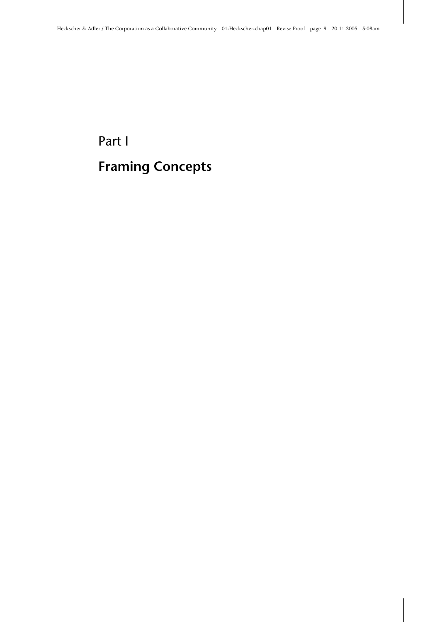# Part I Framing Concepts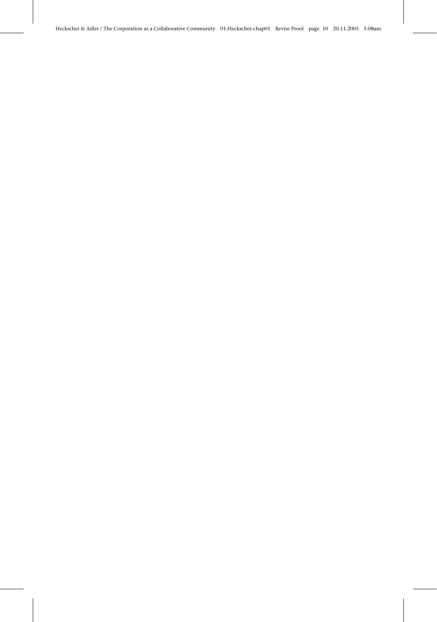Heckscher & Adler / The Corporation as a Collaborative Community 01-Heckscher-chap01 Revise Proof page 10 20.11.2005 5:08am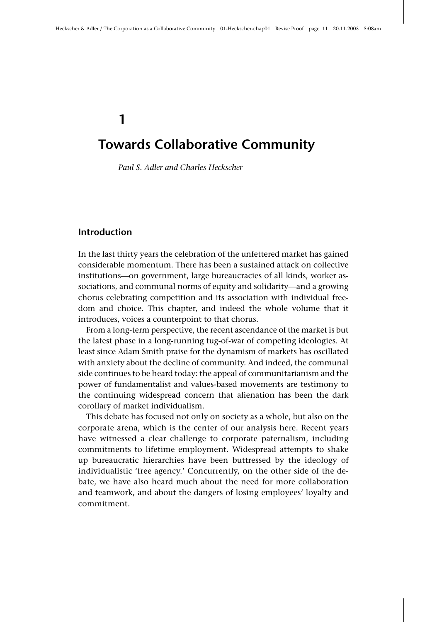Paul S. Adler and Charles Heckscher

## Introduction

In the last thirty years the celebration of the unfettered market has gained considerable momentum. There has been a sustained attack on collective institutions—on government, large bureaucracies of all kinds, worker associations, and communal norms of equity and solidarity—and a growing chorus celebrating competition and its association with individual freedom and choice. This chapter, and indeed the whole volume that it introduces, voices a counterpoint to that chorus.

From a long-term perspective, the recent ascendance of the market is but the latest phase in a long-running tug-of-war of competing ideologies. At least since Adam Smith praise for the dynamism of markets has oscillated with anxiety about the decline of community. And indeed, the communal side continues to be heard today: the appeal of communitarianism and the power of fundamentalist and values-based movements are testimony to the continuing widespread concern that alienation has been the dark corollary of market individualism.

This debate has focused not only on society as a whole, but also on the corporate arena, which is the center of our analysis here. Recent years have witnessed a clear challenge to corporate paternalism, including commitments to lifetime employment. Widespread attempts to shake up bureaucratic hierarchies have been buttressed by the ideology of individualistic 'free agency.' Concurrently, on the other side of the debate, we have also heard much about the need for more collaboration and teamwork, and about the dangers of losing employees' loyalty and commitment.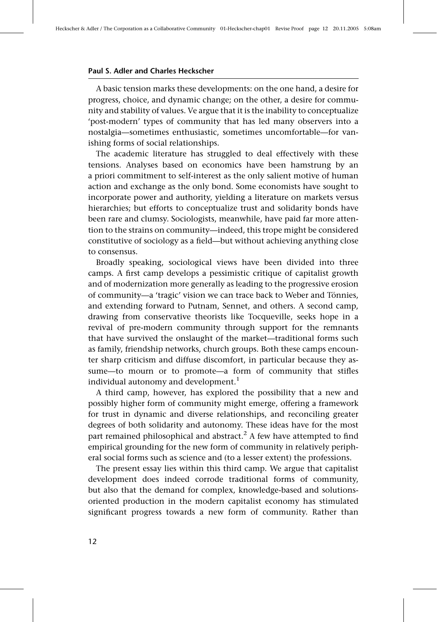A basic tension marks these developments: on the one hand, a desire for progress, choice, and dynamic change; on the other, a desire for community and stability of values. Ve argue that it is the inability to conceptualize 'post-modern' types of community that has led many observers into a nostalgia—sometimes enthusiastic, sometimes uncomfortable—for vanishing forms of social relationships.

The academic literature has struggled to deal effectively with these tensions. Analyses based on economics have been hamstrung by an a priori commitment to self-interest as the only salient motive of human action and exchange as the only bond. Some economists have sought to incorporate power and authority, yielding a literature on markets versus hierarchies; but efforts to conceptualize trust and solidarity bonds have been rare and clumsy. Sociologists, meanwhile, have paid far more attention to the strains on community—indeed, this trope might be considered constitutive of sociology as a field—but without achieving anything close to consensus.

Broadly speaking, sociological views have been divided into three camps. A first camp develops a pessimistic critique of capitalist growth and of modernization more generally as leading to the progressive erosion of community—a 'tragic' vision we can trace back to Weber and Tönnies, and extending forward to Putnam, Sennet, and others. A second camp, drawing from conservative theorists like Tocqueville, seeks hope in a revival of pre-modern community through support for the remnants that have survived the onslaught of the market—traditional forms such as family, friendship networks, church groups. Both these camps encounter sharp criticism and diffuse discomfort, in particular because they assume—to mourn or to promote—a form of community that stifles individual autonomy and development.<sup>1</sup>

A third camp, however, has explored the possibility that a new and possibly higher form of community might emerge, offering a framework for trust in dynamic and diverse relationships, and reconciling greater degrees of both solidarity and autonomy. These ideas have for the most part remained philosophical and abstract.<sup>2</sup> A few have attempted to find empirical grounding for the new form of community in relatively peripheral social forms such as science and (to a lesser extent) the professions.

The present essay lies within this third camp. We argue that capitalist development does indeed corrode traditional forms of community, but also that the demand for complex, knowledge-based and solutionsoriented production in the modern capitalist economy has stimulated significant progress towards a new form of community. Rather than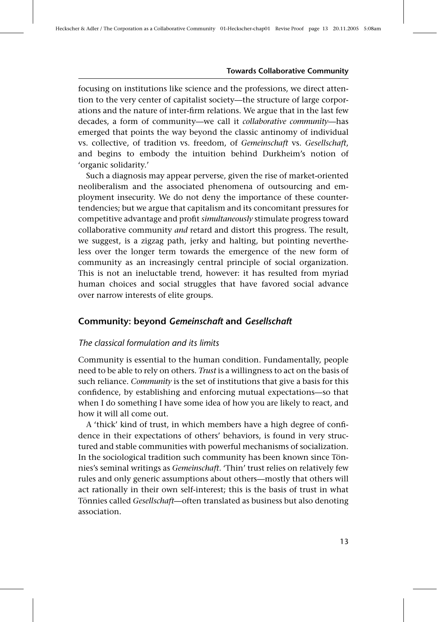focusing on institutions like science and the professions, we direct attention to the very center of capitalist society—the structure of large corporations and the nature of inter-firm relations. We argue that in the last few decades, a form of community—we call it collaborative community—has emerged that points the way beyond the classic antinomy of individual vs. collective, of tradition vs. freedom, of Gemeinschaft vs. Gesellschaft, and begins to embody the intuition behind Durkheim's notion of 'organic solidarity.'

Such a diagnosis may appear perverse, given the rise of market-oriented neoliberalism and the associated phenomena of outsourcing and employment insecurity. We do not deny the importance of these countertendencies; but we argue that capitalism and its concomitant pressures for competitive advantage and profit simultaneously stimulate progress toward collaborative community and retard and distort this progress. The result, we suggest, is a zigzag path, jerky and halting, but pointing nevertheless over the longer term towards the emergence of the new form of community as an increasingly central principle of social organization. This is not an ineluctable trend, however: it has resulted from myriad human choices and social struggles that have favored social advance over narrow interests of elite groups.

#### Community: beyond Gemeinschaft and Gesellschaft

#### The classical formulation and its limits

Community is essential to the human condition. Fundamentally, people need to be able to rely on others. Trust is a willingness to act on the basis of such reliance. Community is the set of institutions that give a basis for this confidence, by establishing and enforcing mutual expectations—so that when I do something I have some idea of how you are likely to react, and how it will all come out.

A 'thick' kind of trust, in which members have a high degree of confidence in their expectations of others' behaviors, is found in very structured and stable communities with powerful mechanisms of socialization. In the sociological tradition such community has been known since Tönnies's seminal writings as Gemeinschaft. 'Thin' trust relies on relatively few rules and only generic assumptions about others—mostly that others will act rationally in their own self-interest; this is the basis of trust in what Tönnies called Gesellschaft—often translated as business but also denoting association.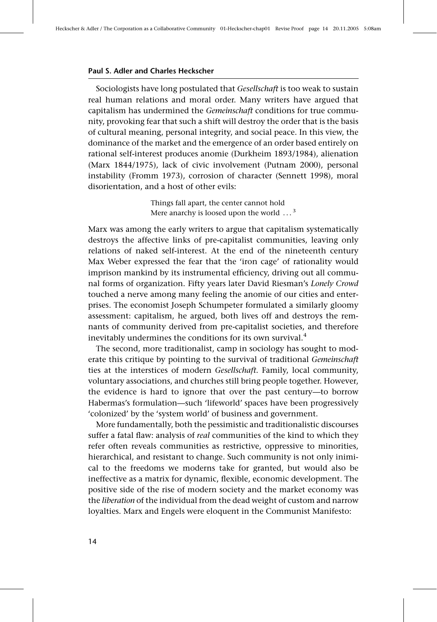Sociologists have long postulated that Gesellschaft is too weak to sustain real human relations and moral order. Many writers have argued that capitalism has undermined the Gemeinschaft conditions for true community, provoking fear that such a shift will destroy the order that is the basis of cultural meaning, personal integrity, and social peace. In this view, the dominance of the market and the emergence of an order based entirely on rational self-interest produces anomie (Durkheim 1893/1984), alienation (Marx 1844/1975), lack of civic involvement (Putnam 2000), personal instability (Fromm 1973), corrosion of character (Sennett 1998), moral disorientation, and a host of other evils:

> Things fall apart, the center cannot hold Mere anarchy is loosed upon the world  $\ldots$ <sup>3</sup>

Marx was among the early writers to argue that capitalism systematically destroys the affective links of pre-capitalist communities, leaving only relations of naked self-interest. At the end of the nineteenth century Max Weber expressed the fear that the 'iron cage' of rationality would imprison mankind by its instrumental efficiency, driving out all communal forms of organization. Fifty years later David Riesman's Lonely Crowd touched a nerve among many feeling the anomie of our cities and enterprises. The economist Joseph Schumpeter formulated a similarly gloomy assessment: capitalism, he argued, both lives off and destroys the remnants of community derived from pre-capitalist societies, and therefore inevitably undermines the conditions for its own survival. $4$ 

The second, more traditionalist, camp in sociology has sought to moderate this critique by pointing to the survival of traditional *Gemeinschaft* ties at the interstices of modern Gesellschaft. Family, local community, voluntary associations, and churches still bring people together. However, the evidence is hard to ignore that over the past century—to borrow Habermas's formulation—such 'lifeworld' spaces have been progressively 'colonized' by the 'system world' of business and government.

More fundamentally, both the pessimistic and traditionalistic discourses suffer a fatal flaw: analysis of real communities of the kind to which they refer often reveals communities as restrictive, oppressive to minorities, hierarchical, and resistant to change. Such community is not only inimical to the freedoms we moderns take for granted, but would also be ineffective as a matrix for dynamic, flexible, economic development. The positive side of the rise of modern society and the market economy was the liberation of the individual from the dead weight of custom and narrow loyalties. Marx and Engels were eloquent in the Communist Manifesto: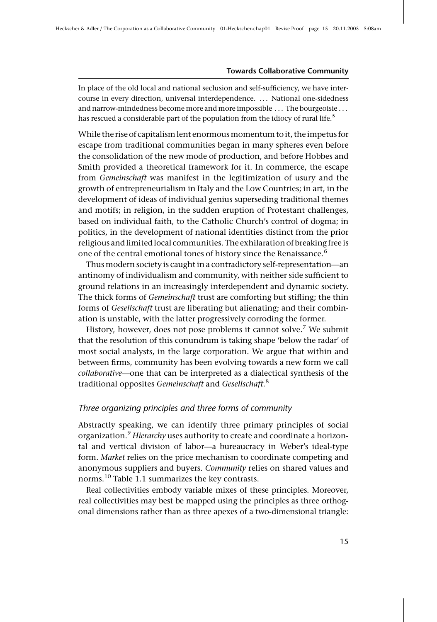In place of the old local and national seclusion and self-sufficiency, we have intercourse in every direction, universal interdependence. . . . National one-sidedness and narrow-mindedness become more and more impossible ... The bourgeoisie ... has rescued a considerable part of the population from the idiocy of rural life.<sup>5</sup>

While the rise of capitalism lent enormous momentum to it, the impetus for escape from traditional communities began in many spheres even before the consolidation of the new mode of production, and before Hobbes and Smith provided a theoretical framework for it. In commerce, the escape from Gemeinschaft was manifest in the legitimization of usury and the growth of entrepreneurialism in Italy and the Low Countries; in art, in the development of ideas of individual genius superseding traditional themes and motifs; in religion, in the sudden eruption of Protestant challenges, based on individual faith, to the Catholic Church's control of dogma; in politics, in the development of national identities distinct from the prior religious and limited local communities. The exhilaration of breaking free is one of the central emotional tones of history since the Renaissance.<sup>6</sup>

Thus modern society is caught in a contradictory self-representation—an antinomy of individualism and community, with neither side sufficient to ground relations in an increasingly interdependent and dynamic society. The thick forms of Gemeinschaft trust are comforting but stifling; the thin forms of Gesellschaft trust are liberating but alienating; and their combination is unstable, with the latter progressively corroding the former.

History, however, does not pose problems it cannot solve.<sup>7</sup> We submit that the resolution of this conundrum is taking shape 'below the radar' of most social analysts, in the large corporation. We argue that within and between firms, community has been evolving towards a new form we call collaborative—one that can be interpreted as a dialectical synthesis of the traditional opposites Gemeinschaft and Gesellschaft.<sup>8</sup>

## Three organizing principles and three forms of community

Abstractly speaking, we can identify three primary principles of social organization.<sup>9</sup> Hierarchy uses authority to create and coordinate a horizontal and vertical division of labor—a bureaucracy in Weber's ideal-type form. Market relies on the price mechanism to coordinate competing and anonymous suppliers and buyers. Community relies on shared values and norms.<sup>10</sup> Table 1.1 summarizes the key contrasts.

Real collectivities embody variable mixes of these principles. Moreover, real collectivities may best be mapped using the principles as three orthogonal dimensions rather than as three apexes of a two-dimensional triangle: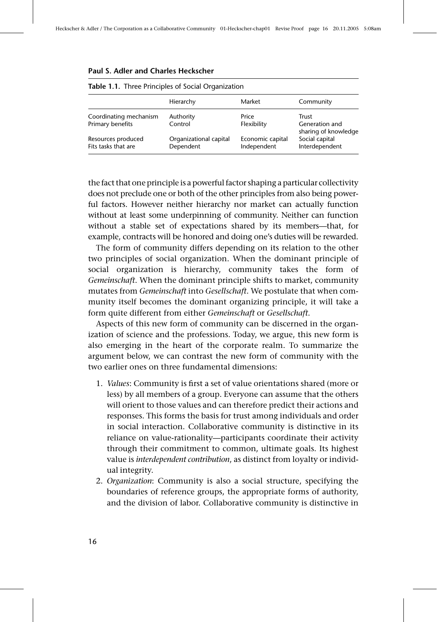| Table 1.1. Three Principles of Social Organization |                                     |                                 |                                                 |  |  |
|----------------------------------------------------|-------------------------------------|---------------------------------|-------------------------------------------------|--|--|
|                                                    | Hierarchy                           | Market                          | Community                                       |  |  |
| Coordinating mechanism<br>Primary benefits         | Authority<br>Control                | Price<br>Flexibility            | Trust<br>Generation and<br>sharing of knowledge |  |  |
| Resources produced<br>Fits tasks that are          | Organizational capital<br>Dependent | Economic capital<br>Independent | Social capital<br>Interdependent                |  |  |

the fact that one principle is a powerful factor shaping a particular collectivity does not preclude one or both of the other principles from also being powerful factors. However neither hierarchy nor market can actually function without at least some underpinning of community. Neither can function without a stable set of expectations shared by its members—that, for example, contracts will be honored and doing one's duties will be rewarded.

The form of community differs depending on its relation to the other two principles of social organization. When the dominant principle of social organization is hierarchy, community takes the form of Gemeinschaft. When the dominant principle shifts to market, community mutates from Gemeinschaft into Gesellschaft. We postulate that when community itself becomes the dominant organizing principle, it will take a form quite different from either Gemeinschaft or Gesellschaft.

Aspects of this new form of community can be discerned in the organization of science and the professions. Today, we argue, this new form is also emerging in the heart of the corporate realm. To summarize the argument below, we can contrast the new form of community with the two earlier ones on three fundamental dimensions:

- 1. Values: Community is first a set of value orientations shared (more or less) by all members of a group. Everyone can assume that the others will orient to those values and can therefore predict their actions and responses. This forms the basis for trust among individuals and order in social interaction. Collaborative community is distinctive in its reliance on value-rationality—participants coordinate their activity through their commitment to common, ultimate goals. Its highest value is interdependent contribution, as distinct from loyalty or individual integrity.
- 2. Organization: Community is also a social structure, specifying the boundaries of reference groups, the appropriate forms of authority, and the division of labor. Collaborative community is distinctive in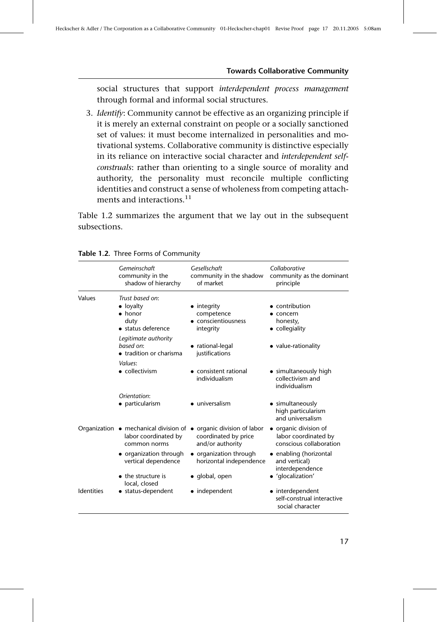social structures that support interdependent process management through formal and informal social structures.

3. Identify: Community cannot be effective as an organizing principle if it is merely an external constraint on people or a socially sanctioned set of values: it must become internalized in personalities and motivational systems. Collaborative community is distinctive especially in its reliance on interactive social character and interdependent selfconstruals: rather than orienting to a single source of morality and authority, the personality must reconcile multiple conflicting identities and construct a sense of wholeness from competing attachments and interactions.<sup>11</sup>

Table 1.2 summarizes the argument that we lay out in the subsequent subsections.

|                   | Gemeinschaft<br>community in the<br>shadow of hierarchy                       | Gesellschaft<br>community in the shadow<br>of market                               | Collaborative<br>community as the dominant<br>principle                  |
|-------------------|-------------------------------------------------------------------------------|------------------------------------------------------------------------------------|--------------------------------------------------------------------------|
| Values            | Trust based on:<br>• loyalty<br>$\bullet$ honor<br>duty<br>• status deference | $\bullet$ integrity<br>competence<br>• conscientiousness<br>integrity              | • contribution<br>concern<br>honesty,<br>• collegiality                  |
|                   | Legitimate authority<br>based on:<br>• tradition or charisma                  | • rational-legal<br>justifications                                                 | • value-rationality                                                      |
|                   | Values:<br>• collectivism                                                     | • consistent rational<br>individualism                                             | • simultaneously high<br>collectivism and<br>individualism               |
|                   | Orientation:<br>• particularism                                               | · universalism                                                                     | • simultaneously<br>high particularism<br>and universalism               |
|                   | Organization ● mechanical division of<br>labor coordinated by<br>common norms | organic division of labor<br>$\bullet$<br>coordinated by price<br>and/or authority | · organic division of<br>labor coordinated by<br>conscious collaboration |
|                   | • organization through<br>vertical dependence                                 | • organization through<br>horizontal independence                                  | • enabling (horizontal<br>and vertical)<br>interdependence               |
|                   | • the structure is<br>local, closed                                           | • global, open                                                                     | · 'qlocalization'                                                        |
| <b>Identities</b> | • status-dependent                                                            | • independent                                                                      | • interdependent<br>self-construal interactive<br>social character       |

| <b>Table 1.2.</b> Three Forms of Community |  |
|--------------------------------------------|--|
|--------------------------------------------|--|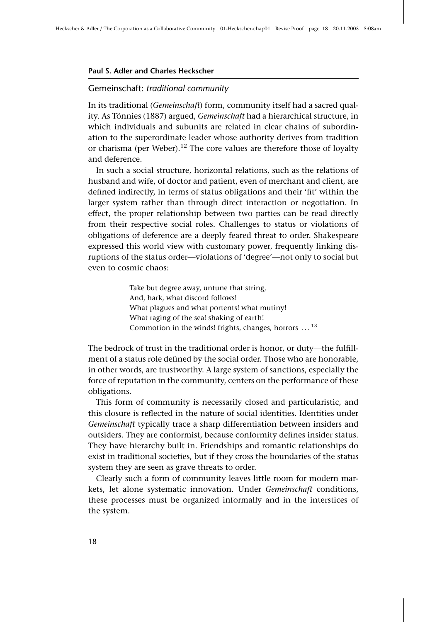#### Gemeinschaft: traditional community

In its traditional (Gemeinschaft) form, community itself had a sacred quality. As Tönnies (1887) argued, *Gemeinschaft* had a hierarchical structure, in which individuals and subunits are related in clear chains of subordination to the superordinate leader whose authority derives from tradition or charisma (per Weber).<sup>12</sup> The core values are therefore those of loyalty and deference.

In such a social structure, horizontal relations, such as the relations of husband and wife, of doctor and patient, even of merchant and client, are defined indirectly, in terms of status obligations and their 'fit' within the larger system rather than through direct interaction or negotiation. In effect, the proper relationship between two parties can be read directly from their respective social roles. Challenges to status or violations of obligations of deference are a deeply feared threat to order. Shakespeare expressed this world view with customary power, frequently linking disruptions of the status order—violations of 'degree'—not only to social but even to cosmic chaos:

> Take but degree away, untune that string, And, hark, what discord follows! What plagues and what portents! what mutiny! What raging of the sea! shaking of earth! Commotion in the winds! frights, changes, horrors  $\dots$ <sup>13</sup>

The bedrock of trust in the traditional order is honor, or duty—the fulfillment of a status role defined by the social order. Those who are honorable, in other words, are trustworthy. A large system of sanctions, especially the force of reputation in the community, centers on the performance of these obligations.

This form of community is necessarily closed and particularistic, and this closure is reflected in the nature of social identities. Identities under Gemeinschaft typically trace a sharp differentiation between insiders and outsiders. They are conformist, because conformity defines insider status. They have hierarchy built in. Friendships and romantic relationships do exist in traditional societies, but if they cross the boundaries of the status system they are seen as grave threats to order.

Clearly such a form of community leaves little room for modern markets, let alone systematic innovation. Under Gemeinschaft conditions, these processes must be organized informally and in the interstices of the system.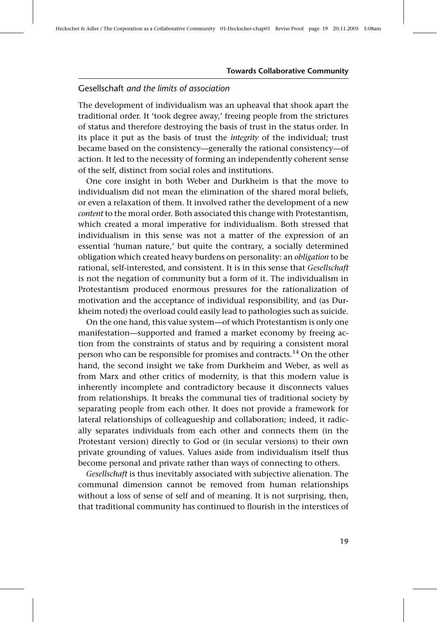## Gesellschaft and the limits of association

The development of individualism was an upheaval that shook apart the traditional order. It 'took degree away,' freeing people from the strictures of status and therefore destroying the basis of trust in the status order. In its place it put as the basis of trust the *integrity* of the individual; trust became based on the consistency—generally the rational consistency—of action. It led to the necessity of forming an independently coherent sense of the self, distinct from social roles and institutions.

One core insight in both Weber and Durkheim is that the move to individualism did not mean the elimination of the shared moral beliefs, or even a relaxation of them. It involved rather the development of a new content to the moral order. Both associated this change with Protestantism, which created a moral imperative for individualism. Both stressed that individualism in this sense was not a matter of the expression of an essential 'human nature,' but quite the contrary, a socially determined obligation which created heavy burdens on personality: an obligation to be rational, self-interested, and consistent. It is in this sense that Gesellschaft is not the negation of community but a form of it. The individualism in Protestantism produced enormous pressures for the rationalization of motivation and the acceptance of individual responsibility, and (as Durkheim noted) the overload could easily lead to pathologies such as suicide.

On the one hand, this value system—of which Protestantism is only one manifestation—supported and framed a market economy by freeing action from the constraints of status and by requiring a consistent moral person who can be responsible for promises and contracts.<sup>14</sup> On the other hand, the second insight we take from Durkheim and Weber, as well as from Marx and other critics of modernity, is that this modern value is inherently incomplete and contradictory because it disconnects values from relationships. It breaks the communal ties of traditional society by separating people from each other. It does not provide a framework for lateral relationships of colleagueship and collaboration; indeed, it radically separates individuals from each other and connects them (in the Protestant version) directly to God or (in secular versions) to their own private grounding of values. Values aside from individualism itself thus become personal and private rather than ways of connecting to others.

Gesellschaft is thus inevitably associated with subjective alienation. The communal dimension cannot be removed from human relationships without a loss of sense of self and of meaning. It is not surprising, then, that traditional community has continued to flourish in the interstices of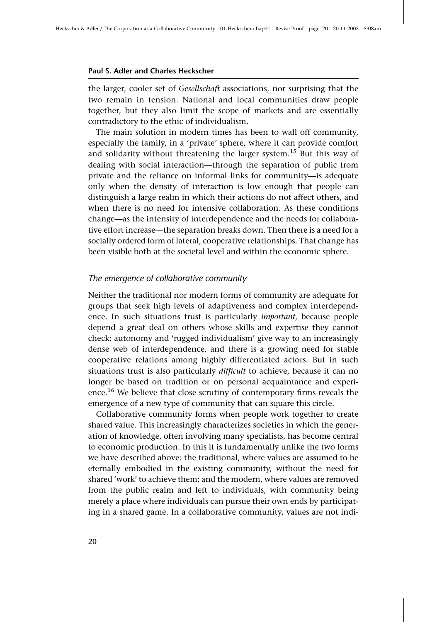the larger, cooler set of Gesellschaft associations, nor surprising that the two remain in tension. National and local communities draw people together, but they also limit the scope of markets and are essentially contradictory to the ethic of individualism.

The main solution in modern times has been to wall off community, especially the family, in a 'private' sphere, where it can provide comfort and solidarity without threatening the larger system.<sup>15</sup> But this way of dealing with social interaction—through the separation of public from private and the reliance on informal links for community—is adequate only when the density of interaction is low enough that people can distinguish a large realm in which their actions do not affect others, and when there is no need for intensive collaboration. As these conditions change—as the intensity of interdependence and the needs for collaborative effort increase—the separation breaks down. Then there is a need for a socially ordered form of lateral, cooperative relationships. That change has been visible both at the societal level and within the economic sphere.

## The emergence of collaborative community

Neither the traditional nor modern forms of community are adequate for groups that seek high levels of adaptiveness and complex interdependence. In such situations trust is particularly important, because people depend a great deal on others whose skills and expertise they cannot check; autonomy and 'rugged individualism' give way to an increasingly dense web of interdependence, and there is a growing need for stable cooperative relations among highly differentiated actors. But in such situations trust is also particularly *difficult* to achieve, because it can no longer be based on tradition or on personal acquaintance and experience.<sup>16</sup> We believe that close scrutiny of contemporary firms reveals the emergence of a new type of community that can square this circle.

Collaborative community forms when people work together to create shared value. This increasingly characterizes societies in which the generation of knowledge, often involving many specialists, has become central to economic production. In this it is fundamentally unlike the two forms we have described above: the traditional, where values are assumed to be eternally embodied in the existing community, without the need for shared 'work' to achieve them; and the modern, where values are removed from the public realm and left to individuals, with community being merely a place where individuals can pursue their own ends by participating in a shared game. In a collaborative community, values are not indi-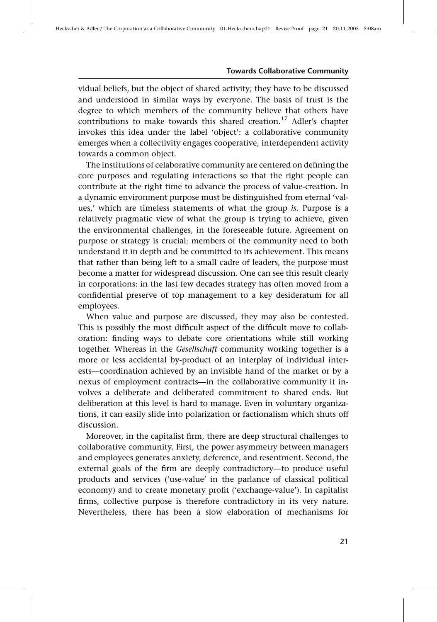vidual beliefs, but the object of shared activity; they have to be discussed and understood in similar ways by everyone. The basis of trust is the degree to which members of the community believe that others have contributions to make towards this shared creation.<sup>17</sup> Adler's chapter invokes this idea under the label 'object': a collaborative community emerges when a collectivity engages cooperative, interdependent activity towards a common object.

The institutions of celaborative community are centered on defining the core purposes and regulating interactions so that the right people can contribute at the right time to advance the process of value-creation. In a dynamic environment purpose must be distinguished from eternal 'values,' which are timeless statements of what the group is. Purpose is a relatively pragmatic view of what the group is trying to achieve, given the environmental challenges, in the foreseeable future. Agreement on purpose or strategy is crucial: members of the community need to both understand it in depth and be committed to its achievement. This means that rather than being left to a small cadre of leaders, the purpose must become a matter for widespread discussion. One can see this result clearly in corporations: in the last few decades strategy has often moved from a confidential preserve of top management to a key desideratum for all employees.

When value and purpose are discussed, they may also be contested. This is possibly the most difficult aspect of the difficult move to collaboration: finding ways to debate core orientations while still working together. Whereas in the Gesellschaft community working together is a more or less accidental by-product of an interplay of individual interests—coordination achieved by an invisible hand of the market or by a nexus of employment contracts—in the collaborative community it involves a deliberate and deliberated commitment to shared ends. But deliberation at this level is hard to manage. Even in voluntary organizations, it can easily slide into polarization or factionalism which shuts off discussion.

Moreover, in the capitalist firm, there are deep structural challenges to collaborative community. First, the power asymmetry between managers and employees generates anxiety, deference, and resentment. Second, the external goals of the firm are deeply contradictory—to produce useful products and services ('use-value' in the parlance of classical political economy) and to create monetary profit ('exchange-value'). In capitalist firms, collective purpose is therefore contradictory in its very nature. Nevertheless, there has been a slow elaboration of mechanisms for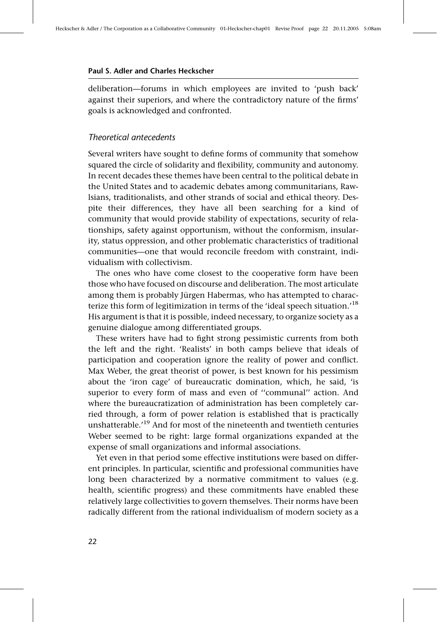deliberation—forums in which employees are invited to 'push back' against their superiors, and where the contradictory nature of the firms' goals is acknowledged and confronted.

## Theoretical antecedents

Several writers have sought to define forms of community that somehow squared the circle of solidarity and flexibility, community and autonomy. In recent decades these themes have been central to the political debate in the United States and to academic debates among communitarians, Rawlsians, traditionalists, and other strands of social and ethical theory. Despite their differences, they have all been searching for a kind of community that would provide stability of expectations, security of relationships, safety against opportunism, without the conformism, insularity, status oppression, and other problematic characteristics of traditional communities—one that would reconcile freedom with constraint, individualism with collectivism.

The ones who have come closest to the cooperative form have been those who have focused on discourse and deliberation. The most articulate among them is probably Jürgen Habermas, who has attempted to characterize this form of legitimization in terms of the 'ideal speech situation.'<sup>18</sup> His argument is that it is possible, indeed necessary, to organize society as a genuine dialogue among differentiated groups.

These writers have had to fight strong pessimistic currents from both the left and the right. 'Realists' in both camps believe that ideals of participation and cooperation ignore the reality of power and conflict. Max Weber, the great theorist of power, is best known for his pessimism about the 'iron cage' of bureaucratic domination, which, he said, 'is superior to every form of mass and even of ''communal'' action. And where the bureaucratization of administration has been completely carried through, a form of power relation is established that is practically unshatterable.'<sup>19</sup> And for most of the nineteenth and twentieth centuries Weber seemed to be right: large formal organizations expanded at the expense of small organizations and informal associations.

Yet even in that period some effective institutions were based on different principles. In particular, scientific and professional communities have long been characterized by a normative commitment to values (e.g. health, scientific progress) and these commitments have enabled these relatively large collectivities to govern themselves. Their norms have been radically different from the rational individualism of modern society as a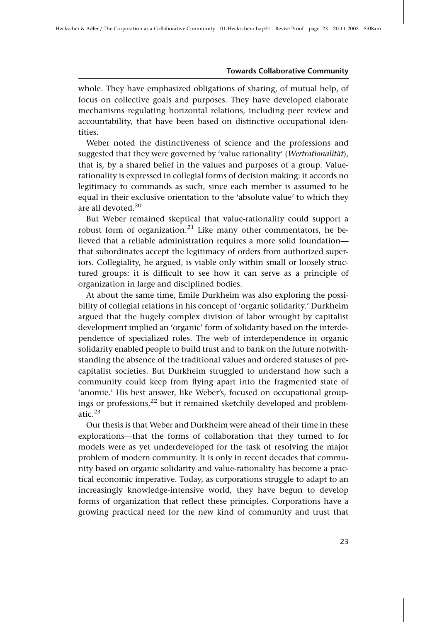whole. They have emphasized obligations of sharing, of mutual help, of focus on collective goals and purposes. They have developed elaborate mechanisms regulating horizontal relations, including peer review and accountability, that have been based on distinctive occupational identities.

Weber noted the distinctiveness of science and the professions and suggested that they were governed by 'value rationality' (Wertrationalität), that is, by a shared belief in the values and purposes of a group. Valuerationality is expressed in collegial forms of decision making: it accords no legitimacy to commands as such, since each member is assumed to be equal in their exclusive orientation to the 'absolute value' to which they are all devoted.<sup>20</sup>

But Weber remained skeptical that value-rationality could support a robust form of organization. $21$  Like many other commentators, he believed that a reliable administration requires a more solid foundation that subordinates accept the legitimacy of orders from authorized superiors. Collegiality, he argued, is viable only within small or loosely structured groups: it is difficult to see how it can serve as a principle of organization in large and disciplined bodies.

At about the same time, Emile Durkheim was also exploring the possibility of collegial relations in his concept of 'organic solidarity.' Durkheim argued that the hugely complex division of labor wrought by capitalist development implied an 'organic' form of solidarity based on the interdependence of specialized roles. The web of interdependence in organic solidarity enabled people to build trust and to bank on the future notwithstanding the absence of the traditional values and ordered statuses of precapitalist societies. But Durkheim struggled to understand how such a community could keep from flying apart into the fragmented state of 'anomie.' His best answer, like Weber's, focused on occupational groupings or professions, $^{22}$  but it remained sketchily developed and problematic.23

Our thesis is that Weber and Durkheim were ahead of their time in these explorations—that the forms of collaboration that they turned to for models were as yet underdeveloped for the task of resolving the major problem of modern community. It is only in recent decades that community based on organic solidarity and value-rationality has become a practical economic imperative. Today, as corporations struggle to adapt to an increasingly knowledge-intensive world, they have begun to develop forms of organization that reflect these principles. Corporations have a growing practical need for the new kind of community and trust that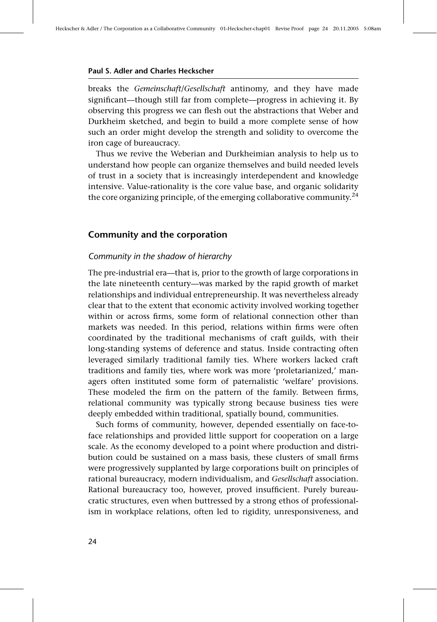breaks the Gemeinschaft/Gesellschaft antinomy, and they have made significant—though still far from complete—progress in achieving it. By observing this progress we can flesh out the abstractions that Weber and Durkheim sketched, and begin to build a more complete sense of how such an order might develop the strength and solidity to overcome the iron cage of bureaucracy.

Thus we revive the Weberian and Durkheimian analysis to help us to understand how people can organize themselves and build needed levels of trust in a society that is increasingly interdependent and knowledge intensive. Value-rationality is the core value base, and organic solidarity the core organizing principle, of the emerging collaborative community.<sup>24</sup>

#### Community and the corporation

## Community in the shadow of hierarchy

The pre-industrial era—that is, prior to the growth of large corporations in the late nineteenth century—was marked by the rapid growth of market relationships and individual entrepreneurship. It was nevertheless already clear that to the extent that economic activity involved working together within or across firms, some form of relational connection other than markets was needed. In this period, relations within firms were often coordinated by the traditional mechanisms of craft guilds, with their long-standing systems of deference and status. Inside contracting often leveraged similarly traditional family ties. Where workers lacked craft traditions and family ties, where work was more 'proletarianized,' managers often instituted some form of paternalistic 'welfare' provisions. These modeled the firm on the pattern of the family. Between firms, relational community was typically strong because business ties were deeply embedded within traditional, spatially bound, communities.

Such forms of community, however, depended essentially on face-toface relationships and provided little support for cooperation on a large scale. As the economy developed to a point where production and distribution could be sustained on a mass basis, these clusters of small firms were progressively supplanted by large corporations built on principles of rational bureaucracy, modern individualism, and Gesellschaft association. Rational bureaucracy too, however, proved insufficient. Purely bureaucratic structures, even when buttressed by a strong ethos of professionalism in workplace relations, often led to rigidity, unresponsiveness, and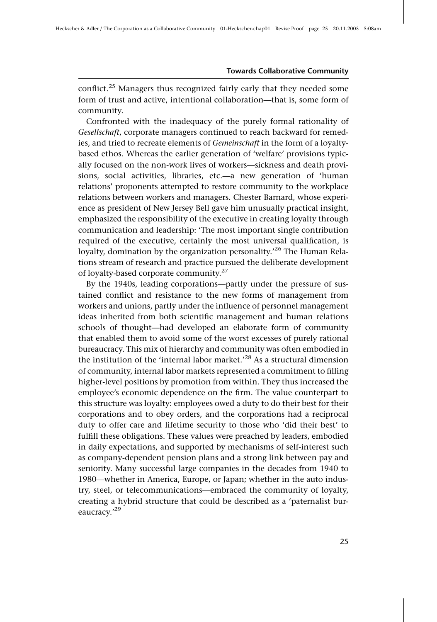conflict.<sup>25</sup> Managers thus recognized fairly early that they needed some form of trust and active, intentional collaboration—that is, some form of community.

Confronted with the inadequacy of the purely formal rationality of Gesellschaft, corporate managers continued to reach backward for remedies, and tried to recreate elements of Gemeinschaft in the form of a loyaltybased ethos. Whereas the earlier generation of 'welfare' provisions typically focused on the non-work lives of workers—sickness and death provisions, social activities, libraries, etc.—a new generation of 'human relations' proponents attempted to restore community to the workplace relations between workers and managers. Chester Barnard, whose experience as president of New Jersey Bell gave him unusually practical insight, emphasized the responsibility of the executive in creating loyalty through communication and leadership: 'The most important single contribution required of the executive, certainly the most universal qualification, is loyalty, domination by the organization personality.<sup>26</sup> The Human Relations stream of research and practice pursued the deliberate development of loyalty-based corporate community.<sup>27</sup>

By the 1940s, leading corporations—partly under the pressure of sustained conflict and resistance to the new forms of management from workers and unions, partly under the influence of personnel management ideas inherited from both scientific management and human relations schools of thought—had developed an elaborate form of community that enabled them to avoid some of the worst excesses of purely rational bureaucracy. This mix of hierarchy and community was often embodied in the institution of the 'internal labor market.'<sup>28</sup> As a structural dimension of community, internal labor markets represented a commitment to filling higher-level positions by promotion from within. They thus increased the employee's economic dependence on the firm. The value counterpart to this structure was loyalty: employees owed a duty to do their best for their corporations and to obey orders, and the corporations had a reciprocal duty to offer care and lifetime security to those who 'did their best' to fulfill these obligations. These values were preached by leaders, embodied in daily expectations, and supported by mechanisms of self-interest such as company-dependent pension plans and a strong link between pay and seniority. Many successful large companies in the decades from 1940 to 1980—whether in America, Europe, or Japan; whether in the auto industry, steel, or telecommunications—embraced the community of loyalty, creating a hybrid structure that could be described as a 'paternalist bureaucracy.'29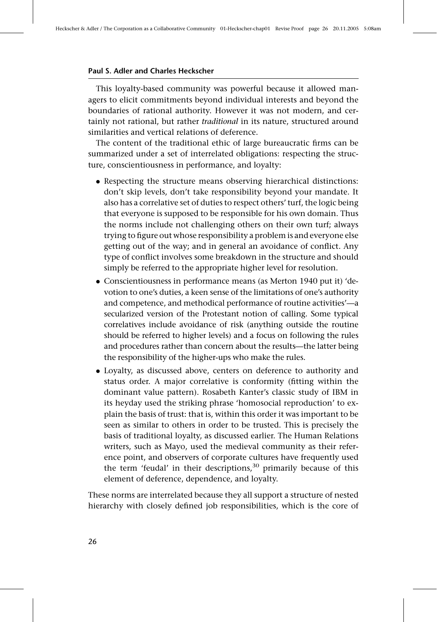This loyalty-based community was powerful because it allowed managers to elicit commitments beyond individual interests and beyond the boundaries of rational authority. However it was not modern, and certainly not rational, but rather *traditional* in its nature, structured around similarities and vertical relations of deference.

The content of the traditional ethic of large bureaucratic firms can be summarized under a set of interrelated obligations: respecting the structure, conscientiousness in performance, and loyalty:

- . Respecting the structure means observing hierarchical distinctions: don't skip levels, don't take responsibility beyond your mandate. It also has a correlative set of duties to respect others' turf, the logic being that everyone is supposed to be responsible for his own domain. Thus the norms include not challenging others on their own turf; always trying to figure out whose responsibility a problem is and everyone else getting out of the way; and in general an avoidance of conflict. Any type of conflict involves some breakdown in the structure and should simply be referred to the appropriate higher level for resolution.
- . Conscientiousness in performance means (as Merton 1940 put it) 'devotion to one's duties, a keen sense of the limitations of one's authority and competence, and methodical performance of routine activities'—a secularized version of the Protestant notion of calling. Some typical correlatives include avoidance of risk (anything outside the routine should be referred to higher levels) and a focus on following the rules and procedures rather than concern about the results—the latter being the responsibility of the higher-ups who make the rules.
- . Loyalty, as discussed above, centers on deference to authority and status order. A major correlative is conformity (fitting within the dominant value pattern). Rosabeth Kanter's classic study of IBM in its heyday used the striking phrase 'homosocial reproduction' to explain the basis of trust: that is, within this order it was important to be seen as similar to others in order to be trusted. This is precisely the basis of traditional loyalty, as discussed earlier. The Human Relations writers, such as Mayo, used the medieval community as their reference point, and observers of corporate cultures have frequently used the term 'feudal' in their descriptions, $30$  primarily because of this element of deference, dependence, and loyalty.

These norms are interrelated because they all support a structure of nested hierarchy with closely defined job responsibilities, which is the core of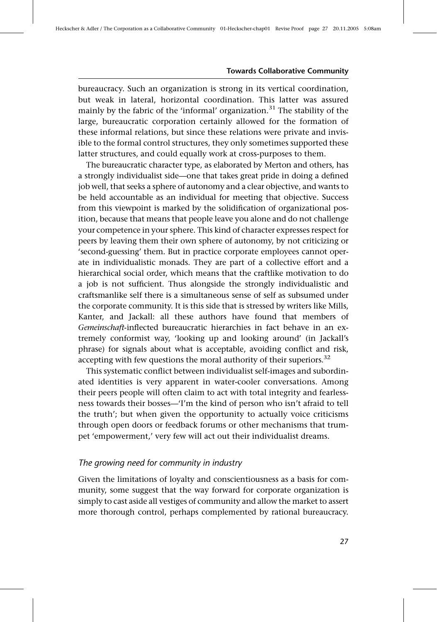bureaucracy. Such an organization is strong in its vertical coordination, but weak in lateral, horizontal coordination. This latter was assured mainly by the fabric of the 'informal' organization. $31$  The stability of the large, bureaucratic corporation certainly allowed for the formation of these informal relations, but since these relations were private and invisible to the formal control structures, they only sometimes supported these latter structures, and could equally work at cross-purposes to them.

The bureaucratic character type, as elaborated by Merton and others, has a strongly individualist side—one that takes great pride in doing a defined job well, that seeks a sphere of autonomy and a clear objective, and wants to be held accountable as an individual for meeting that objective. Success from this viewpoint is marked by the solidification of organizational position, because that means that people leave you alone and do not challenge your competence in your sphere. This kind of character expresses respect for peers by leaving them their own sphere of autonomy, by not criticizing or 'second-guessing' them. But in practice corporate employees cannot operate in individualistic monads. They are part of a collective effort and a hierarchical social order, which means that the craftlike motivation to do a job is not sufficient. Thus alongside the strongly individualistic and craftsmanlike self there is a simultaneous sense of self as subsumed under the corporate community. It is this side that is stressed by writers like Mills, Kanter, and Jackall: all these authors have found that members of Gemeinschaft-inflected bureaucratic hierarchies in fact behave in an extremely conformist way, 'looking up and looking around' (in Jackall's phrase) for signals about what is acceptable, avoiding conflict and risk, accepting with few questions the moral authority of their superiors.<sup>32</sup>

This systematic conflict between individualist self-images and subordinated identities is very apparent in water-cooler conversations. Among their peers people will often claim to act with total integrity and fearlessness towards their bosses—'I'm the kind of person who isn't afraid to tell the truth'; but when given the opportunity to actually voice criticisms through open doors or feedback forums or other mechanisms that trumpet 'empowerment,' very few will act out their individualist dreams.

## The growing need for community in industry

Given the limitations of loyalty and conscientiousness as a basis for community, some suggest that the way forward for corporate organization is simply to cast aside all vestiges of community and allow the market to assert more thorough control, perhaps complemented by rational bureaucracy.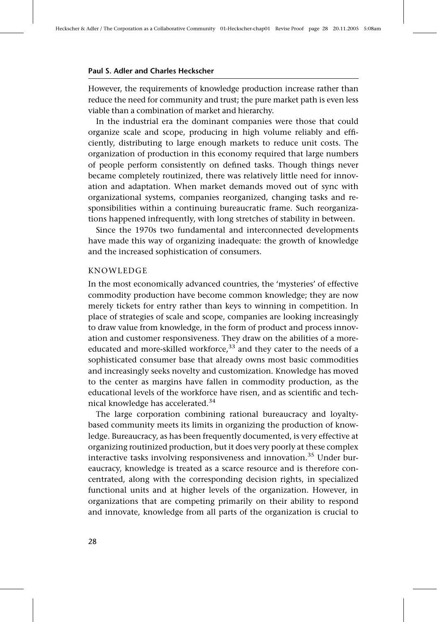However, the requirements of knowledge production increase rather than reduce the need for community and trust; the pure market path is even less viable than a combination of market and hierarchy.

In the industrial era the dominant companies were those that could organize scale and scope, producing in high volume reliably and efficiently, distributing to large enough markets to reduce unit costs. The organization of production in this economy required that large numbers of people perform consistently on defined tasks. Though things never became completely routinized, there was relatively little need for innovation and adaptation. When market demands moved out of sync with organizational systems, companies reorganized, changing tasks and responsibilities within a continuing bureaucratic frame. Such reorganizations happened infrequently, with long stretches of stability in between.

Since the 1970s two fundamental and interconnected developments have made this way of organizing inadequate: the growth of knowledge and the increased sophistication of consumers.

#### KNOWLEDGE

In the most economically advanced countries, the 'mysteries' of effective commodity production have become common knowledge; they are now merely tickets for entry rather than keys to winning in competition. In place of strategies of scale and scope, companies are looking increasingly to draw value from knowledge, in the form of product and process innovation and customer responsiveness. They draw on the abilities of a moreeducated and more-skilled workforce, $33$  and they cater to the needs of a sophisticated consumer base that already owns most basic commodities and increasingly seeks novelty and customization. Knowledge has moved to the center as margins have fallen in commodity production, as the educational levels of the workforce have risen, and as scientific and technical knowledge has accelerated.34

The large corporation combining rational bureaucracy and loyaltybased community meets its limits in organizing the production of knowledge. Bureaucracy, as has been frequently documented, is very effective at organizing routinized production, but it does very poorly at these complex interactive tasks involving responsiveness and innovation.<sup>35</sup> Under bureaucracy, knowledge is treated as a scarce resource and is therefore concentrated, along with the corresponding decision rights, in specialized functional units and at higher levels of the organization. However, in organizations that are competing primarily on their ability to respond and innovate, knowledge from all parts of the organization is crucial to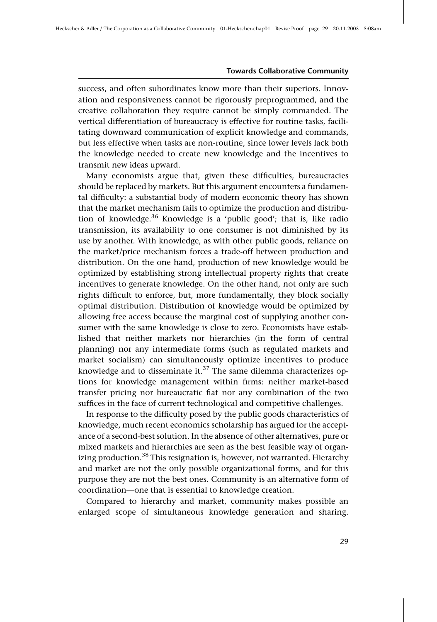success, and often subordinates know more than their superiors. Innovation and responsiveness cannot be rigorously preprogrammed, and the creative collaboration they require cannot be simply commanded. The vertical differentiation of bureaucracy is effective for routine tasks, facilitating downward communication of explicit knowledge and commands, but less effective when tasks are non-routine, since lower levels lack both the knowledge needed to create new knowledge and the incentives to transmit new ideas upward.

Many economists argue that, given these difficulties, bureaucracies should be replaced by markets. But this argument encounters a fundamental difficulty: a substantial body of modern economic theory has shown that the market mechanism fails to optimize the production and distribution of knowledge.<sup>36</sup> Knowledge is a 'public good'; that is, like radio transmission, its availability to one consumer is not diminished by its use by another. With knowledge, as with other public goods, reliance on the market/price mechanism forces a trade-off between production and distribution. On the one hand, production of new knowledge would be optimized by establishing strong intellectual property rights that create incentives to generate knowledge. On the other hand, not only are such rights difficult to enforce, but, more fundamentally, they block socially optimal distribution. Distribution of knowledge would be optimized by allowing free access because the marginal cost of supplying another consumer with the same knowledge is close to zero. Economists have established that neither markets nor hierarchies (in the form of central planning) nor any intermediate forms (such as regulated markets and market socialism) can simultaneously optimize incentives to produce knowledge and to disseminate it.<sup>37</sup> The same dilemma characterizes options for knowledge management within firms: neither market-based transfer pricing nor bureaucratic fiat nor any combination of the two suffices in the face of current technological and competitive challenges.

In response to the difficulty posed by the public goods characteristics of knowledge, much recent economics scholarship has argued for the acceptance of a second-best solution. In the absence of other alternatives, pure or mixed markets and hierarchies are seen as the best feasible way of organizing production.<sup>38</sup> This resignation is, however, not warranted. Hierarchy and market are not the only possible organizational forms, and for this purpose they are not the best ones. Community is an alternative form of coordination—one that is essential to knowledge creation.

Compared to hierarchy and market, community makes possible an enlarged scope of simultaneous knowledge generation and sharing.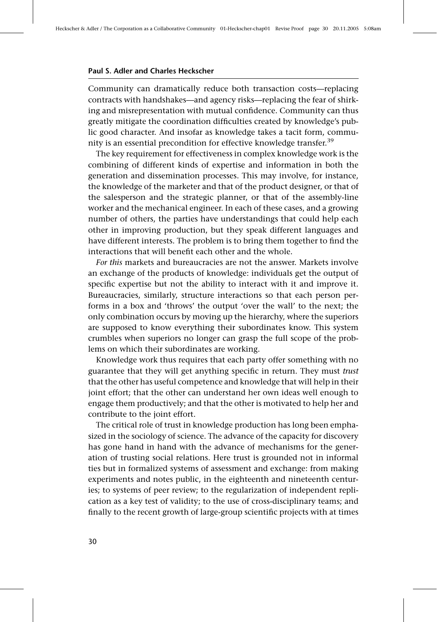Community can dramatically reduce both transaction costs—replacing contracts with handshakes—and agency risks—replacing the fear of shirking and misrepresentation with mutual confidence. Community can thus greatly mitigate the coordination difficulties created by knowledge's public good character. And insofar as knowledge takes a tacit form, community is an essential precondition for effective knowledge transfer.<sup>39</sup>

The key requirement for effectiveness in complex knowledge work is the combining of different kinds of expertise and information in both the generation and dissemination processes. This may involve, for instance, the knowledge of the marketer and that of the product designer, or that of the salesperson and the strategic planner, or that of the assembly-line worker and the mechanical engineer. In each of these cases, and a growing number of others, the parties have understandings that could help each other in improving production, but they speak different languages and have different interests. The problem is to bring them together to find the interactions that will benefit each other and the whole.

For this markets and bureaucracies are not the answer. Markets involve an exchange of the products of knowledge: individuals get the output of specific expertise but not the ability to interact with it and improve it. Bureaucracies, similarly, structure interactions so that each person performs in a box and 'throws' the output 'over the wall' to the next; the only combination occurs by moving up the hierarchy, where the superiors are supposed to know everything their subordinates know. This system crumbles when superiors no longer can grasp the full scope of the problems on which their subordinates are working.

Knowledge work thus requires that each party offer something with no guarantee that they will get anything specific in return. They must trust that the other has useful competence and knowledge that will help in their joint effort; that the other can understand her own ideas well enough to engage them productively; and that the other is motivated to help her and contribute to the joint effort.

The critical role of trust in knowledge production has long been emphasized in the sociology of science. The advance of the capacity for discovery has gone hand in hand with the advance of mechanisms for the generation of trusting social relations. Here trust is grounded not in informal ties but in formalized systems of assessment and exchange: from making experiments and notes public, in the eighteenth and nineteenth centuries; to systems of peer review; to the regularization of independent replication as a key test of validity; to the use of cross-disciplinary teams; and finally to the recent growth of large-group scientific projects with at times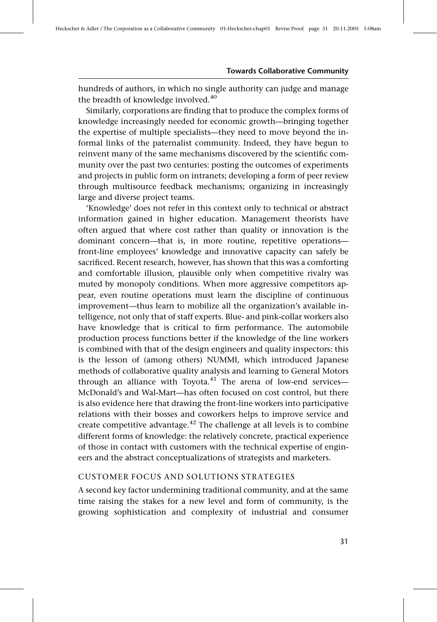hundreds of authors, in which no single authority can judge and manage the breadth of knowledge involved.<sup>40</sup>

Similarly, corporations are finding that to produce the complex forms of knowledge increasingly needed for economic growth—bringing together the expertise of multiple specialists—they need to move beyond the informal links of the paternalist community. Indeed, they have begun to reinvent many of the same mechanisms discovered by the scientific community over the past two centuries: posting the outcomes of experiments and projects in public form on intranets; developing a form of peer review through multisource feedback mechanisms; organizing in increasingly large and diverse project teams.

'Knowledge' does not refer in this context only to technical or abstract information gained in higher education. Management theorists have often argued that where cost rather than quality or innovation is the dominant concern—that is, in more routine, repetitive operations front-line employees' knowledge and innovative capacity can safely be sacrificed. Recent research, however, has shown that this was a comforting and comfortable illusion, plausible only when competitive rivalry was muted by monopoly conditions. When more aggressive competitors appear, even routine operations must learn the discipline of continuous improvement—thus learn to mobilize all the organization's available intelligence, not only that of staff experts. Blue- and pink-collar workers also have knowledge that is critical to firm performance. The automobile production process functions better if the knowledge of the line workers is combined with that of the design engineers and quality inspectors: this is the lesson of (among others) NUMMI, which introduced Japanese methods of collaborative quality analysis and learning to General Motors through an alliance with Toyota. $41$  The arena of low-end services-McDonald's and Wal-Mart—has often focused on cost control, but there is also evidence here that drawing the front-line workers into participative relations with their bosses and coworkers helps to improve service and create competitive advantage.<sup>42</sup> The challenge at all levels is to combine different forms of knowledge: the relatively concrete, practical experience of those in contact with customers with the technical expertise of engineers and the abstract conceptualizations of strategists and marketers.

## CUSTOMER FOCUS AND SOLUTIONS STRATEGIES

A second key factor undermining traditional community, and at the same time raising the stakes for a new level and form of community, is the growing sophistication and complexity of industrial and consumer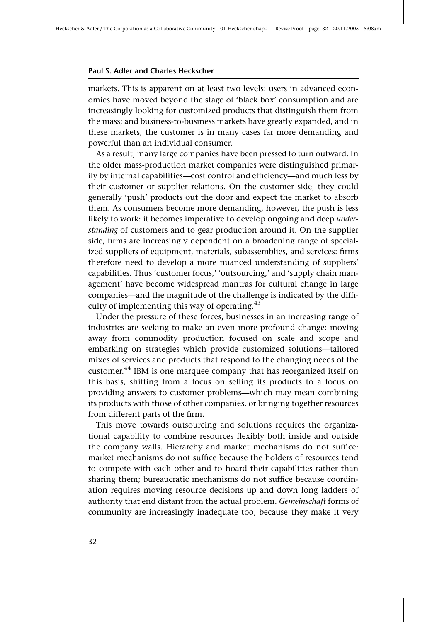markets. This is apparent on at least two levels: users in advanced economies have moved beyond the stage of 'black box' consumption and are increasingly looking for customized products that distinguish them from the mass; and business-to-business markets have greatly expanded, and in these markets, the customer is in many cases far more demanding and powerful than an individual consumer.

As a result, many large companies have been pressed to turn outward. In the older mass-production market companies were distinguished primarily by internal capabilities—cost control and efficiency—and much less by their customer or supplier relations. On the customer side, they could generally 'push' products out the door and expect the market to absorb them. As consumers become more demanding, however, the push is less likely to work: it becomes imperative to develop ongoing and deep understanding of customers and to gear production around it. On the supplier side, firms are increasingly dependent on a broadening range of specialized suppliers of equipment, materials, subassemblies, and services: firms therefore need to develop a more nuanced understanding of suppliers' capabilities. Thus 'customer focus,' 'outsourcing,' and 'supply chain management' have become widespread mantras for cultural change in large companies—and the magnitude of the challenge is indicated by the difficulty of implementing this way of operating.<sup>43</sup>

Under the pressure of these forces, businesses in an increasing range of industries are seeking to make an even more profound change: moving away from commodity production focused on scale and scope and embarking on strategies which provide customized solutions—tailored mixes of services and products that respond to the changing needs of the customer.44 IBM is one marquee company that has reorganized itself on this basis, shifting from a focus on selling its products to a focus on providing answers to customer problems—which may mean combining its products with those of other companies, or bringing together resources from different parts of the firm.

This move towards outsourcing and solutions requires the organizational capability to combine resources flexibly both inside and outside the company walls. Hierarchy and market mechanisms do not suffice: market mechanisms do not suffice because the holders of resources tend to compete with each other and to hoard their capabilities rather than sharing them; bureaucratic mechanisms do not suffice because coordination requires moving resource decisions up and down long ladders of authority that end distant from the actual problem. Gemeinschaft forms of community are increasingly inadequate too, because they make it very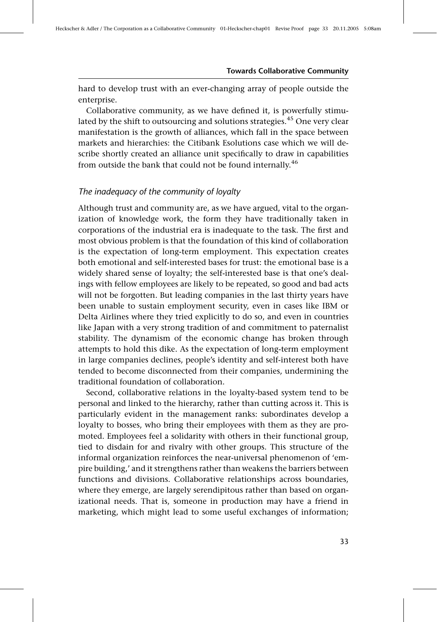hard to develop trust with an ever-changing array of people outside the enterprise.

Collaborative community, as we have defined it, is powerfully stimulated by the shift to outsourcing and solutions strategies.<sup>45</sup> One very clear manifestation is the growth of alliances, which fall in the space between markets and hierarchies: the Citibank Esolutions case which we will describe shortly created an alliance unit specifically to draw in capabilities from outside the bank that could not be found internally.<sup>46</sup>

## The inadequacy of the community of loyalty

Although trust and community are, as we have argued, vital to the organization of knowledge work, the form they have traditionally taken in corporations of the industrial era is inadequate to the task. The first and most obvious problem is that the foundation of this kind of collaboration is the expectation of long-term employment. This expectation creates both emotional and self-interested bases for trust: the emotional base is a widely shared sense of loyalty; the self-interested base is that one's dealings with fellow employees are likely to be repeated, so good and bad acts will not be forgotten. But leading companies in the last thirty years have been unable to sustain employment security, even in cases like IBM or Delta Airlines where they tried explicitly to do so, and even in countries like Japan with a very strong tradition of and commitment to paternalist stability. The dynamism of the economic change has broken through attempts to hold this dike. As the expectation of long-term employment in large companies declines, people's identity and self-interest both have tended to become disconnected from their companies, undermining the traditional foundation of collaboration.

Second, collaborative relations in the loyalty-based system tend to be personal and linked to the hierarchy, rather than cutting across it. This is particularly evident in the management ranks: subordinates develop a loyalty to bosses, who bring their employees with them as they are promoted. Employees feel a solidarity with others in their functional group, tied to disdain for and rivalry with other groups. This structure of the informal organization reinforces the near-universal phenomenon of 'empire building,' and it strengthens rather than weakens the barriers between functions and divisions. Collaborative relationships across boundaries, where they emerge, are largely serendipitous rather than based on organizational needs. That is, someone in production may have a friend in marketing, which might lead to some useful exchanges of information;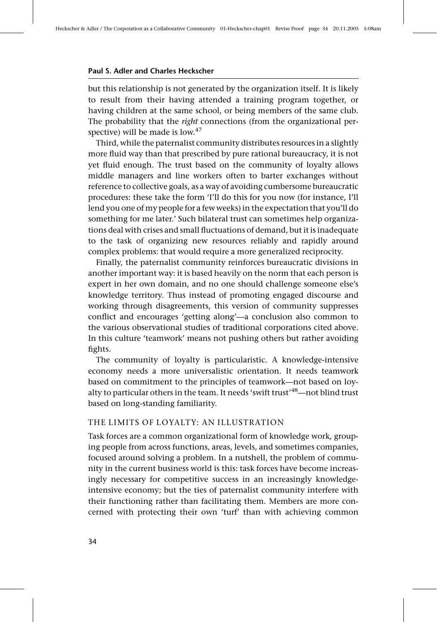but this relationship is not generated by the organization itself. It is likely to result from their having attended a training program together, or having children at the same school, or being members of the same club. The probability that the right connections (from the organizational perspective) will be made is low. $47$ 

Third, while the paternalist community distributes resources in a slightly more fluid way than that prescribed by pure rational bureaucracy, it is not yet fluid enough. The trust based on the community of loyalty allows middle managers and line workers often to barter exchanges without reference to collective goals, as a way of avoiding cumbersome bureaucratic procedures: these take the form 'I'll do this for you now (for instance, I'll lend you one of my people for a few weeks) in the expectation that you'll do something for me later.' Such bilateral trust can sometimes help organizations deal with crises and small fluctuations of demand, but it is inadequate to the task of organizing new resources reliably and rapidly around complex problems: that would require a more generalized reciprocity.

Finally, the paternalist community reinforces bureaucratic divisions in another important way: it is based heavily on the norm that each person is expert in her own domain, and no one should challenge someone else's knowledge territory. Thus instead of promoting engaged discourse and working through disagreements, this version of community suppresses conflict and encourages 'getting along'—a conclusion also common to the various observational studies of traditional corporations cited above. In this culture 'teamwork' means not pushing others but rather avoiding fights.

The community of loyalty is particularistic. A knowledge-intensive economy needs a more universalistic orientation. It needs teamwork based on commitment to the principles of teamwork—not based on loyalty to particular others in the team. It needs 'swift trust'<sup>48</sup>—not blind trust based on long-standing familiarity.

## THE LIMITS OF LOYALTY: AN ILLUSTRATION

Task forces are a common organizational form of knowledge work, grouping people from across functions, areas, levels, and sometimes companies, focused around solving a problem. In a nutshell, the problem of community in the current business world is this: task forces have become increasingly necessary for competitive success in an increasingly knowledgeintensive economy; but the ties of paternalist community interfere with their functioning rather than facilitating them. Members are more concerned with protecting their own 'turf' than with achieving common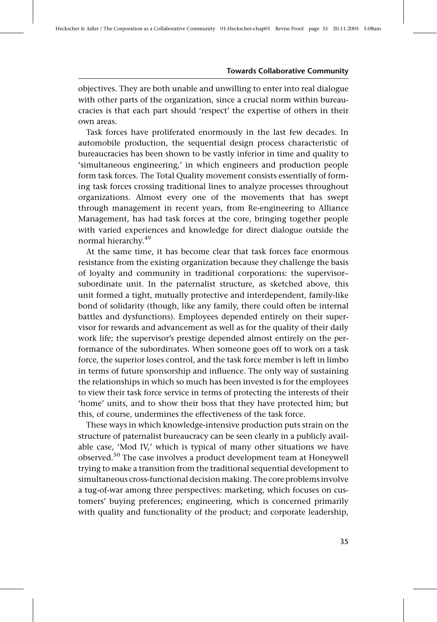objectives. They are both unable and unwilling to enter into real dialogue with other parts of the organization, since a crucial norm within bureaucracies is that each part should 'respect' the expertise of others in their own areas.

Task forces have proliferated enormously in the last few decades. In automobile production, the sequential design process characteristic of bureaucracies has been shown to be vastly inferior in time and quality to 'simultaneous engineering,' in which engineers and production people form task forces. The Total Quality movement consists essentially of forming task forces crossing traditional lines to analyze processes throughout organizations. Almost every one of the movements that has swept through management in recent years, from Re-engineering to Alliance Management, has had task forces at the core, bringing together people with varied experiences and knowledge for direct dialogue outside the normal hierarchy.<sup>49</sup>

At the same time, it has become clear that task forces face enormous resistance from the existing organization because they challenge the basis of loyalty and community in traditional corporations: the supervisor– subordinate unit. In the paternalist structure, as sketched above, this unit formed a tight, mutually protective and interdependent, family-like bond of solidarity (though, like any family, there could often be internal battles and dysfunctions). Employees depended entirely on their supervisor for rewards and advancement as well as for the quality of their daily work life; the supervisor's prestige depended almost entirely on the performance of the subordinates. When someone goes off to work on a task force, the superior loses control, and the task force member is left in limbo in terms of future sponsorship and influence. The only way of sustaining the relationships in which so much has been invested is for the employees to view their task force service in terms of protecting the interests of their 'home' units, and to show their boss that they have protected him; but this, of course, undermines the effectiveness of the task force.

These ways in which knowledge-intensive production puts strain on the structure of paternalist bureaucracy can be seen clearly in a publicly available case, 'Mod IV,' which is typical of many other situations we have observed.<sup>50</sup> The case involves a product development team at Honeywell trying to make a transition from the traditional sequential development to simultaneous cross-functional decision making. The core problems involve a tug-of-war among three perspectives: marketing, which focuses on customers' buying preferences; engineering, which is concerned primarily with quality and functionality of the product; and corporate leadership,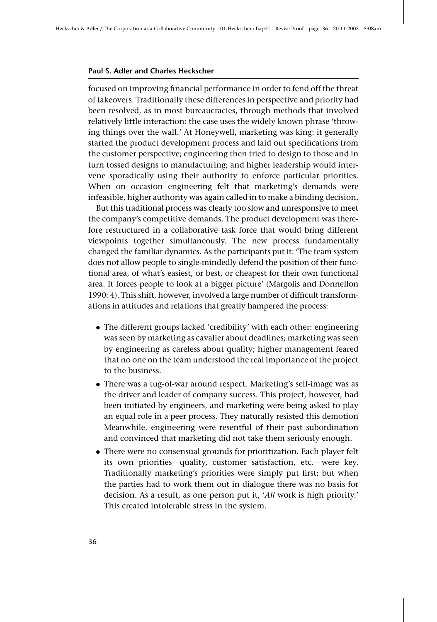focused on improving financial performance in order to fend off the threat of takeovers. Traditionally these differences in perspective and priority had been resolved, as in most bureaucracies, through methods that involved relatively little interaction: the case uses the widely known phrase 'throwing things over the wall.' At Honeywell, marketing was king: it generally started the product development process and laid out specifications from the customer perspective; engineering then tried to design to those and in turn tossed designs to manufacturing; and higher leadership would intervene sporadically using their authority to enforce particular priorities. When on occasion engineering felt that marketing's demands were infeasible, higher authority was again called in to make a binding decision.

But this traditional process was clearly too slow and unresponsive to meet the company's competitive demands. The product development was therefore restructured in a collaborative task force that would bring different viewpoints together simultaneously. The new process fundamentally changed the familiar dynamics. As the participants put it: 'The team system does not allow people to single-mindedly defend the position of their functional area, of what's easiest, or best, or cheapest for their own functional area. It forces people to look at a bigger picture' (Margolis and Donnellon 1990: 4). This shift, however, involved a large number of difficult transformations in attitudes and relations that greatly hampered the process:

- . The different groups lacked 'credibility' with each other: engineering was seen by marketing as cavalier about deadlines; marketing was seen by engineering as careless about quality; higher management feared that no one on the team understood the real importance of the project to the business.
- . There was a tug-of-war around respect. Marketing's self-image was as the driver and leader of company success. This project, however, had been initiated by engineers, and marketing were being asked to play an equal role in a peer process. They naturally resisted this demotion Meanwhile, engineering were resentful of their past subordination and convinced that marketing did not take them seriously enough.
- . There were no consensual grounds for prioritization. Each player felt its own priorities—quality, customer satisfaction, etc.—were key. Traditionally marketing's priorities were simply put first; but when the parties had to work them out in dialogue there was no basis for decision. As a result, as one person put it, 'All work is high priority.' This created intolerable stress in the system.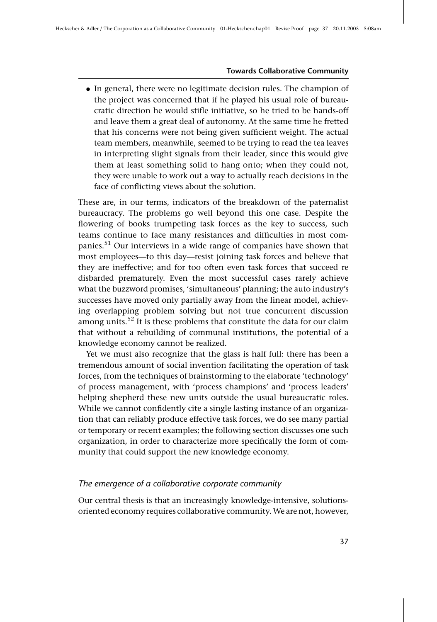. In general, there were no legitimate decision rules. The champion of the project was concerned that if he played his usual role of bureaucratic direction he would stifle initiative, so he tried to be hands-off and leave them a great deal of autonomy. At the same time he fretted that his concerns were not being given sufficient weight. The actual team members, meanwhile, seemed to be trying to read the tea leaves in interpreting slight signals from their leader, since this would give them at least something solid to hang onto; when they could not, they were unable to work out a way to actually reach decisions in the face of conflicting views about the solution.

These are, in our terms, indicators of the breakdown of the paternalist bureaucracy. The problems go well beyond this one case. Despite the flowering of books trumpeting task forces as the key to success, such teams continue to face many resistances and difficulties in most companies.<sup>51</sup> Our interviews in a wide range of companies have shown that most employees—to this day—resist joining task forces and believe that they are ineffective; and for too often even task forces that succeed re disbarded prematurely. Even the most successful cases rarely achieve what the buzzword promises, 'simultaneous' planning; the auto industry's successes have moved only partially away from the linear model, achieving overlapping problem solving but not true concurrent discussion among units.<sup>52</sup> It is these problems that constitute the data for our claim that without a rebuilding of communal institutions, the potential of a knowledge economy cannot be realized.

Yet we must also recognize that the glass is half full: there has been a tremendous amount of social invention facilitating the operation of task forces, from the techniques of brainstorming to the elaborate 'technology' of process management, with 'process champions' and 'process leaders' helping shepherd these new units outside the usual bureaucratic roles. While we cannot confidently cite a single lasting instance of an organization that can reliably produce effective task forces, we do see many partial or temporary or recent examples; the following section discusses one such organization, in order to characterize more specifically the form of community that could support the new knowledge economy.

## The emergence of a collaborative corporate community

Our central thesis is that an increasingly knowledge-intensive, solutionsoriented economy requires collaborative community. We are not, however,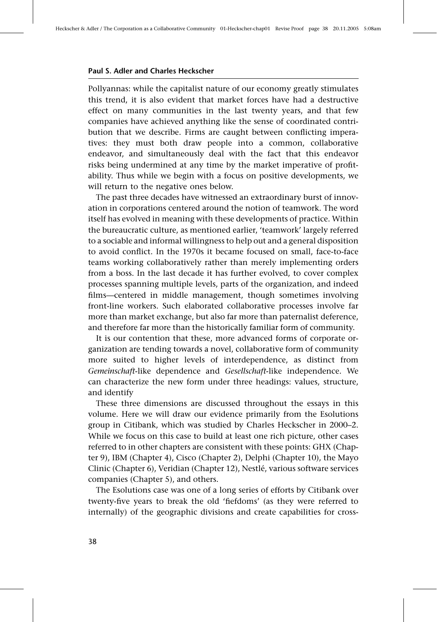Pollyannas: while the capitalist nature of our economy greatly stimulates this trend, it is also evident that market forces have had a destructive effect on many communities in the last twenty years, and that few companies have achieved anything like the sense of coordinated contribution that we describe. Firms are caught between conflicting imperatives: they must both draw people into a common, collaborative endeavor, and simultaneously deal with the fact that this endeavor risks being undermined at any time by the market imperative of profitability. Thus while we begin with a focus on positive developments, we will return to the negative ones below.

The past three decades have witnessed an extraordinary burst of innovation in corporations centered around the notion of teamwork. The word itself has evolved in meaning with these developments of practice. Within the bureaucratic culture, as mentioned earlier, 'teamwork' largely referred to a sociable and informal willingness to help out and a general disposition to avoid conflict. In the 1970s it became focused on small, face-to-face teams working collaboratively rather than merely implementing orders from a boss. In the last decade it has further evolved, to cover complex processes spanning multiple levels, parts of the organization, and indeed films—centered in middle management, though sometimes involving front-line workers. Such elaborated collaborative processes involve far more than market exchange, but also far more than paternalist deference, and therefore far more than the historically familiar form of community.

It is our contention that these, more advanced forms of corporate organization are tending towards a novel, collaborative form of community more suited to higher levels of interdependence, as distinct from Gemeinschaft-like dependence and Gesellschaft-like independence. We can characterize the new form under three headings: values, structure, and identify

These three dimensions are discussed throughout the essays in this volume. Here we will draw our evidence primarily from the Esolutions group in Citibank, which was studied by Charles Heckscher in 2000–2. While we focus on this case to build at least one rich picture, other cases referred to in other chapters are consistent with these points: GHX (Chapter 9), IBM (Chapter 4), Cisco (Chapter 2), Delphi (Chapter 10), the Mayo Clinic (Chapter 6), Veridian (Chapter 12), Nestlé, various software services companies (Chapter 5), and others.

The Esolutions case was one of a long series of efforts by Citibank over twenty-five years to break the old 'fiefdoms' (as they were referred to internally) of the geographic divisions and create capabilities for cross-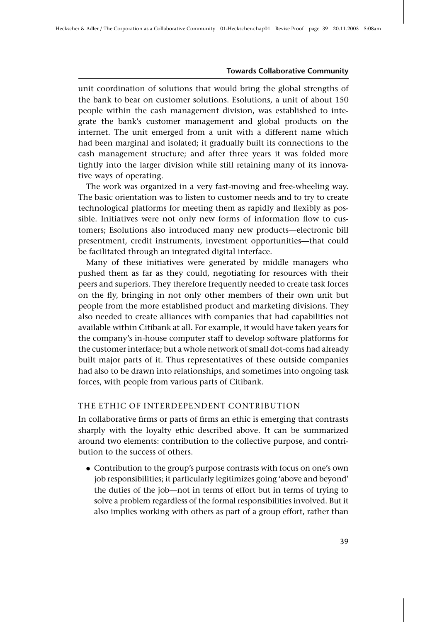unit coordination of solutions that would bring the global strengths of the bank to bear on customer solutions. Esolutions, a unit of about 150 people within the cash management division, was established to integrate the bank's customer management and global products on the internet. The unit emerged from a unit with a different name which had been marginal and isolated; it gradually built its connections to the cash management structure; and after three years it was folded more tightly into the larger division while still retaining many of its innovative ways of operating.

The work was organized in a very fast-moving and free-wheeling way. The basic orientation was to listen to customer needs and to try to create technological platforms for meeting them as rapidly and flexibly as possible. Initiatives were not only new forms of information flow to customers; Esolutions also introduced many new products—electronic bill presentment, credit instruments, investment opportunities—that could be facilitated through an integrated digital interface.

Many of these initiatives were generated by middle managers who pushed them as far as they could, negotiating for resources with their peers and superiors. They therefore frequently needed to create task forces on the fly, bringing in not only other members of their own unit but people from the more established product and marketing divisions. They also needed to create alliances with companies that had capabilities not available within Citibank at all. For example, it would have taken years for the company's in-house computer staff to develop software platforms for the customer interface; but a whole network of small dot-coms had already built major parts of it. Thus representatives of these outside companies had also to be drawn into relationships, and sometimes into ongoing task forces, with people from various parts of Citibank.

## THE ETHIC OF INTERDEPENDENT CONTRIBUTION

In collaborative firms or parts of firms an ethic is emerging that contrasts sharply with the loyalty ethic described above. It can be summarized around two elements: contribution to the collective purpose, and contribution to the success of others.

. Contribution to the group's purpose contrasts with focus on one's own job responsibilities; it particularly legitimizes going 'above and beyond' the duties of the job—not in terms of effort but in terms of trying to solve a problem regardless of the formal responsibilities involved. But it also implies working with others as part of a group effort, rather than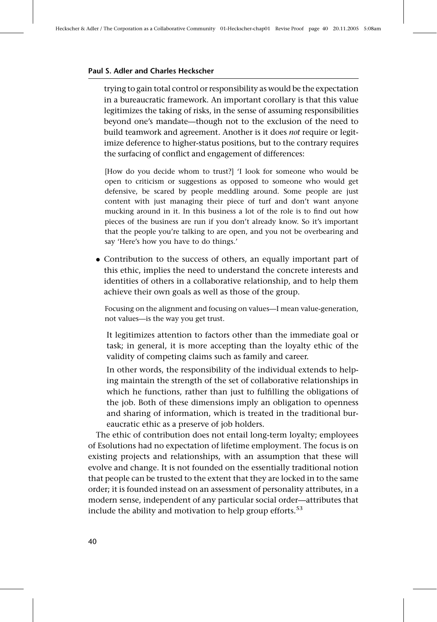trying to gain total control or responsibility as would be the expectation in a bureaucratic framework. An important corollary is that this value legitimizes the taking of risks, in the sense of assuming responsibilities beyond one's mandate—though not to the exclusion of the need to build teamwork and agreement. Another is it does not require or legitimize deference to higher-status positions, but to the contrary requires the surfacing of conflict and engagement of differences:

[How do you decide whom to trust?] 'I look for someone who would be open to criticism or suggestions as opposed to someone who would get defensive, be scared by people meddling around. Some people are just content with just managing their piece of turf and don't want anyone mucking around in it. In this business a lot of the role is to find out how pieces of the business are run if you don't already know. So it's important that the people you're talking to are open, and you not be overbearing and say 'Here's how you have to do things.'

. Contribution to the success of others, an equally important part of this ethic, implies the need to understand the concrete interests and identities of others in a collaborative relationship, and to help them achieve their own goals as well as those of the group.

Focusing on the alignment and focusing on values—I mean value-generation, not values—is the way you get trust.

It legitimizes attention to factors other than the immediate goal or task; in general, it is more accepting than the loyalty ethic of the validity of competing claims such as family and career.

In other words, the responsibility of the individual extends to helping maintain the strength of the set of collaborative relationships in which he functions, rather than just to fulfilling the obligations of the job. Both of these dimensions imply an obligation to openness and sharing of information, which is treated in the traditional bureaucratic ethic as a preserve of job holders.

The ethic of contribution does not entail long-term loyalty; employees of Esolutions had no expectation of lifetime employment. The focus is on existing projects and relationships, with an assumption that these will evolve and change. It is not founded on the essentially traditional notion that people can be trusted to the extent that they are locked in to the same order; it is founded instead on an assessment of personality attributes, in a modern sense, independent of any particular social order—attributes that include the ability and motivation to help group efforts.<sup>53</sup>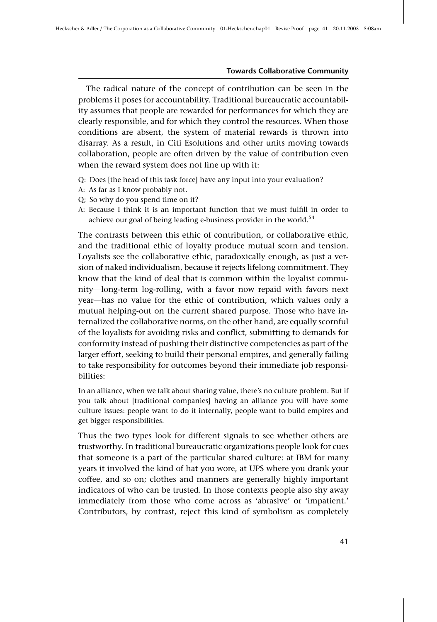The radical nature of the concept of contribution can be seen in the problems it poses for accountability. Traditional bureaucratic accountability assumes that people are rewarded for performances for which they are clearly responsible, and for which they control the resources. When those conditions are absent, the system of material rewards is thrown into disarray. As a result, in Citi Esolutions and other units moving towards collaboration, people are often driven by the value of contribution even when the reward system does not line up with it:

- Q: Does [the head of this task force] have any input into your evaluation?
- A: As far as I know probably not.
- Q; So why do you spend time on it?
- A: Because I think it is an important function that we must fulfill in order to achieve our goal of being leading e-business provider in the world.<sup>54</sup>

The contrasts between this ethic of contribution, or collaborative ethic, and the traditional ethic of loyalty produce mutual scorn and tension. Loyalists see the collaborative ethic, paradoxically enough, as just a version of naked individualism, because it rejects lifelong commitment. They know that the kind of deal that is common within the loyalist community—long-term log-rolling, with a favor now repaid with favors next year—has no value for the ethic of contribution, which values only a mutual helping-out on the current shared purpose. Those who have internalized the collaborative norms, on the other hand, are equally scornful of the loyalists for avoiding risks and conflict, submitting to demands for conformity instead of pushing their distinctive competencies as part of the larger effort, seeking to build their personal empires, and generally failing to take responsibility for outcomes beyond their immediate job responsibilities:

In an alliance, when we talk about sharing value, there's no culture problem. But if you talk about [traditional companies] having an alliance you will have some culture issues: people want to do it internally, people want to build empires and get bigger responsibilities.

Thus the two types look for different signals to see whether others are trustworthy. In traditional bureaucratic organizations people look for cues that someone is a part of the particular shared culture: at IBM for many years it involved the kind of hat you wore, at UPS where you drank your coffee, and so on; clothes and manners are generally highly important indicators of who can be trusted. In those contexts people also shy away immediately from those who come across as 'abrasive' or 'impatient.' Contributors, by contrast, reject this kind of symbolism as completely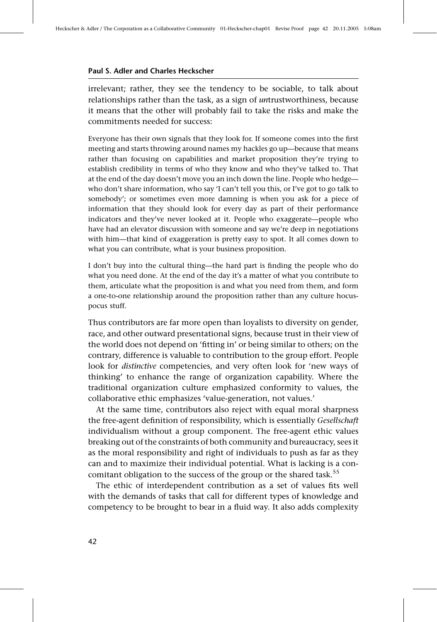irrelevant; rather, they see the tendency to be sociable, to talk about relationships rather than the task, as a sign of untrustworthiness, because it means that the other will probably fail to take the risks and make the commitments needed for success:

Everyone has their own signals that they look for. If someone comes into the first meeting and starts throwing around names my hackles go up—because that means rather than focusing on capabilities and market proposition they're trying to establish credibility in terms of who they know and who they've talked to. That at the end of the day doesn't move you an inch down the line. People who hedge who don't share information, who say 'I can't tell you this, or I've got to go talk to somebody'; or sometimes even more damning is when you ask for a piece of information that they should look for every day as part of their performance indicators and they've never looked at it. People who exaggerate—people who have had an elevator discussion with someone and say we're deep in negotiations with him—that kind of exaggeration is pretty easy to spot. It all comes down to what you can contribute, what is your business proposition.

I don't buy into the cultural thing—the hard part is finding the people who do what you need done. At the end of the day it's a matter of what you contribute to them, articulate what the proposition is and what you need from them, and form a one-to-one relationship around the proposition rather than any culture hocuspocus stuff.

Thus contributors are far more open than loyalists to diversity on gender, race, and other outward presentational signs, because trust in their view of the world does not depend on 'fitting in' or being similar to others; on the contrary, difference is valuable to contribution to the group effort. People look for distinctive competencies, and very often look for 'new ways of thinking' to enhance the range of organization capability. Where the traditional organization culture emphasized conformity to values, the collaborative ethic emphasizes 'value-generation, not values.'

At the same time, contributors also reject with equal moral sharpness the free-agent definition of responsibility, which is essentially Gesellschaft individualism without a group component. The free-agent ethic values breaking out of the constraints of both community and bureaucracy, sees it as the moral responsibility and right of individuals to push as far as they can and to maximize their individual potential. What is lacking is a concomitant obligation to the success of the group or the shared task.<sup>55</sup>

The ethic of interdependent contribution as a set of values fits well with the demands of tasks that call for different types of knowledge and competency to be brought to bear in a fluid way. It also adds complexity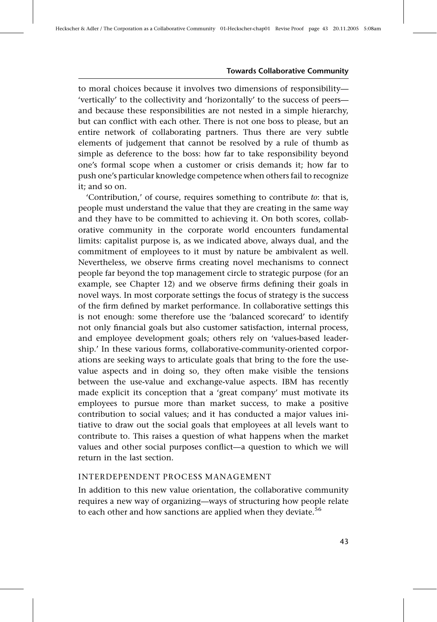to moral choices because it involves two dimensions of responsibility— 'vertically' to the collectivity and 'horizontally' to the success of peers and because these responsibilities are not nested in a simple hierarchy, but can conflict with each other. There is not one boss to please, but an entire network of collaborating partners. Thus there are very subtle elements of judgement that cannot be resolved by a rule of thumb as simple as deference to the boss: how far to take responsibility beyond one's formal scope when a customer or crisis demands it; how far to push one's particular knowledge competence when others fail to recognize it; and so on.

'Contribution,' of course, requires something to contribute to: that is, people must understand the value that they are creating in the same way and they have to be committed to achieving it. On both scores, collaborative community in the corporate world encounters fundamental limits: capitalist purpose is, as we indicated above, always dual, and the commitment of employees to it must by nature be ambivalent as well. Nevertheless, we observe firms creating novel mechanisms to connect people far beyond the top management circle to strategic purpose (for an example, see Chapter 12) and we observe firms defining their goals in novel ways. In most corporate settings the focus of strategy is the success of the firm defined by market performance. In collaborative settings this is not enough: some therefore use the 'balanced scorecard' to identify not only financial goals but also customer satisfaction, internal process, and employee development goals; others rely on 'values-based leadership.' In these various forms, collaborative-community-oriented corporations are seeking ways to articulate goals that bring to the fore the usevalue aspects and in doing so, they often make visible the tensions between the use-value and exchange-value aspects. IBM has recently made explicit its conception that a 'great company' must motivate its employees to pursue more than market success, to make a positive contribution to social values; and it has conducted a major values initiative to draw out the social goals that employees at all levels want to contribute to. This raises a question of what happens when the market values and other social purposes conflict—a question to which we will return in the last section.

## INTERDEPENDENT PROCESS MANAGEMENT

In addition to this new value orientation, the collaborative community requires a new way of organizing—ways of structuring how people relate to each other and how sanctions are applied when they deviate.<sup>56</sup>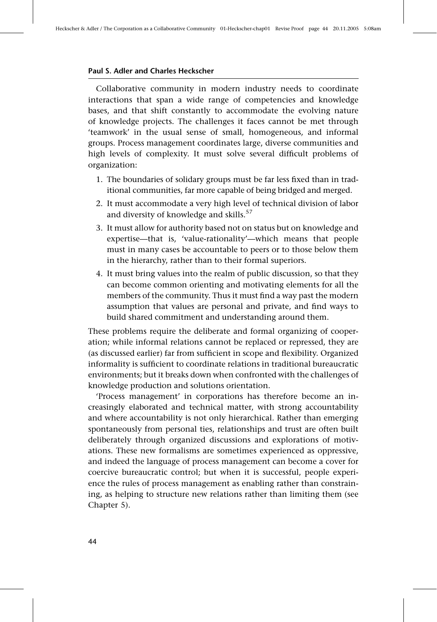Collaborative community in modern industry needs to coordinate interactions that span a wide range of competencies and knowledge bases, and that shift constantly to accommodate the evolving nature of knowledge projects. The challenges it faces cannot be met through 'teamwork' in the usual sense of small, homogeneous, and informal groups. Process management coordinates large, diverse communities and high levels of complexity. It must solve several difficult problems of organization:

- 1. The boundaries of solidary groups must be far less fixed than in traditional communities, far more capable of being bridged and merged.
- 2. It must accommodate a very high level of technical division of labor and diversity of knowledge and skills.<sup>57</sup>
- 3. It must allow for authority based not on status but on knowledge and expertise—that is, 'value-rationality'—which means that people must in many cases be accountable to peers or to those below them in the hierarchy, rather than to their formal superiors.
- 4. It must bring values into the realm of public discussion, so that they can become common orienting and motivating elements for all the members of the community. Thus it must find a way past the modern assumption that values are personal and private, and find ways to build shared commitment and understanding around them.

These problems require the deliberate and formal organizing of cooperation; while informal relations cannot be replaced or repressed, they are (as discussed earlier) far from sufficient in scope and flexibility. Organized informality is sufficient to coordinate relations in traditional bureaucratic environments; but it breaks down when confronted with the challenges of knowledge production and solutions orientation.

'Process management' in corporations has therefore become an increasingly elaborated and technical matter, with strong accountability and where accountability is not only hierarchical. Rather than emerging spontaneously from personal ties, relationships and trust are often built deliberately through organized discussions and explorations of motivations. These new formalisms are sometimes experienced as oppressive, and indeed the language of process management can become a cover for coercive bureaucratic control; but when it is successful, people experience the rules of process management as enabling rather than constraining, as helping to structure new relations rather than limiting them (see Chapter 5).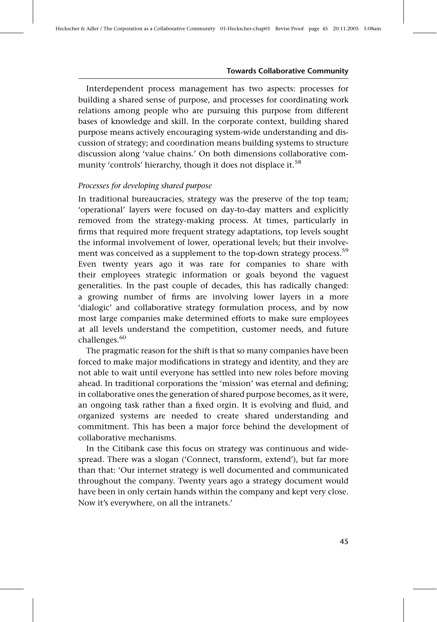Interdependent process management has two aspects: processes for building a shared sense of purpose, and processes for coordinating work relations among people who are pursuing this purpose from different bases of knowledge and skill. In the corporate context, building shared purpose means actively encouraging system-wide understanding and discussion of strategy; and coordination means building systems to structure discussion along 'value chains.' On both dimensions collaborative community 'controls' hierarchy, though it does not displace it.<sup>58</sup>

## Processes for developing shared purpose

In traditional bureaucracies, strategy was the preserve of the top team; 'operational' layers were focused on day-to-day matters and explicitly removed from the strategy-making process. At times, particularly in firms that required more frequent strategy adaptations, top levels sought the informal involvement of lower, operational levels; but their involvement was conceived as a supplement to the top-down strategy process.<sup>59</sup> Even twenty years ago it was rare for companies to share with their employees strategic information or goals beyond the vaguest generalities. In the past couple of decades, this has radically changed: a growing number of firms are involving lower layers in a more 'dialogic' and collaborative strategy formulation process, and by now most large companies make determined efforts to make sure employees at all levels understand the competition, customer needs, and future challenges.<sup>60</sup>

The pragmatic reason for the shift is that so many companies have been forced to make major modifications in strategy and identity, and they are not able to wait until everyone has settled into new roles before moving ahead. In traditional corporations the 'mission' was eternal and defining; in collaborative ones the generation of shared purpose becomes, as it were, an ongoing task rather than a fixed orgin. It is evolving and fluid, and organized systems are needed to create shared understanding and commitment. This has been a major force behind the development of collaborative mechanisms.

In the Citibank case this focus on strategy was continuous and widespread. There was a slogan ('Connect, transform, extend'), but far more than that: 'Our internet strategy is well documented and communicated throughout the company. Twenty years ago a strategy document would have been in only certain hands within the company and kept very close. Now it's everywhere, on all the intranets.'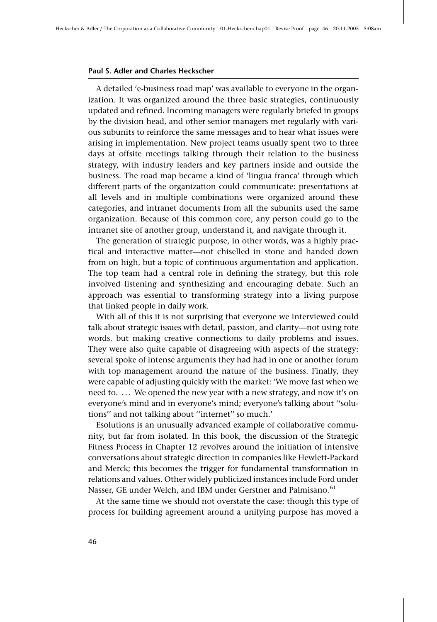A detailed 'e-business road map' was available to everyone in the organization. It was organized around the three basic strategies, continuously updated and refined. Incoming managers were regularly briefed in groups by the division head, and other senior managers met regularly with various subunits to reinforce the same messages and to hear what issues were arising in implementation. New project teams usually spent two to three days at offsite meetings talking through their relation to the business strategy, with industry leaders and key partners inside and outside the business. The road map became a kind of 'lingua franca' through which different parts of the organization could communicate: presentations at all levels and in multiple combinations were organized around these categories, and intranet documents from all the subunits used the same organization. Because of this common core, any person could go to the intranet site of another group, understand it, and navigate through it.

The generation of strategic purpose, in other words, was a highly practical and interactive matter—not chiselled in stone and handed down from on high, but a topic of continuous argumentation and application. The top team had a central role in defining the strategy, but this role involved listening and synthesizing and encouraging debate. Such an approach was essential to transforming strategy into a living purpose that linked people in daily work.

With all of this it is not surprising that everyone we interviewed could talk about strategic issues with detail, passion, and clarity—not using rote words, but making creative connections to daily problems and issues. They were also quite capable of disagreeing with aspects of the strategy: several spoke of intense arguments they had had in one or another forum with top management around the nature of the business. Finally, they were capable of adjusting quickly with the market: 'We move fast when we need to. ... We opened the new year with a new strategy, and now it's on everyone's mind and in everyone's mind; everyone's talking about ''solutions'' and not talking about ''internet'' so much.'

Esolutions is an unusually advanced example of collaborative community, but far from isolated. In this book, the discussion of the Strategic Fitness Process in Chapter 12 revolves around the initiation of intensive conversations about strategic direction in companies like Hewlett-Packard and Merck; this becomes the trigger for fundamental transformation in relations and values. Other widely publicized instances include Ford under Nasser, GE under Welch, and IBM under Gerstner and Palmisano.<sup>61</sup>

At the same time we should not overstate the case: though this type of process for building agreement around a unifying purpose has moved a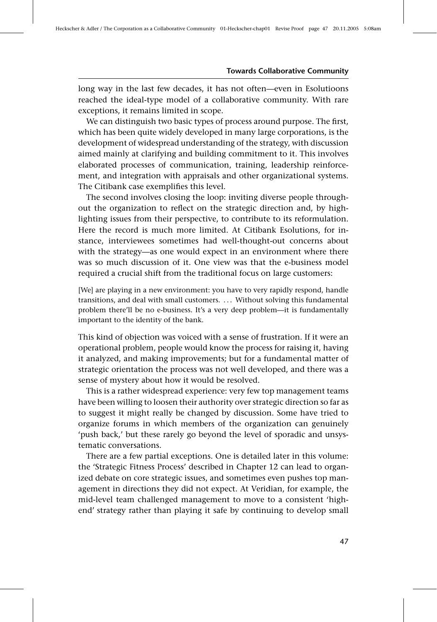long way in the last few decades, it has not often—even in Esolutioons reached the ideal-type model of a collaborative community. With rare exceptions, it remains limited in scope.

We can distinguish two basic types of process around purpose. The first, which has been quite widely developed in many large corporations, is the development of widespread understanding of the strategy, with discussion aimed mainly at clarifying and building commitment to it. This involves elaborated processes of communication, training, leadership reinforcement, and integration with appraisals and other organizational systems. The Citibank case exemplifies this level.

The second involves closing the loop: inviting diverse people throughout the organization to reflect on the strategic direction and, by highlighting issues from their perspective, to contribute to its reformulation. Here the record is much more limited. At Citibank Esolutions, for instance, interviewees sometimes had well-thought-out concerns about with the strategy—as one would expect in an environment where there was so much discussion of it. One view was that the e-business model required a crucial shift from the traditional focus on large customers:

[We] are playing in a new environment: you have to very rapidly respond, handle transitions, and deal with small customers. . . . Without solving this fundamental problem there'll be no e-business. It's a very deep problem—it is fundamentally important to the identity of the bank.

This kind of objection was voiced with a sense of frustration. If it were an operational problem, people would know the process for raising it, having it analyzed, and making improvements; but for a fundamental matter of strategic orientation the process was not well developed, and there was a sense of mystery about how it would be resolved.

This is a rather widespread experience: very few top management teams have been willing to loosen their authority over strategic direction so far as to suggest it might really be changed by discussion. Some have tried to organize forums in which members of the organization can genuinely 'push back,' but these rarely go beyond the level of sporadic and unsystematic conversations.

There are a few partial exceptions. One is detailed later in this volume: the 'Strategic Fitness Process' described in Chapter 12 can lead to organized debate on core strategic issues, and sometimes even pushes top management in directions they did not expect. At Veridian, for example, the mid-level team challenged management to move to a consistent 'highend' strategy rather than playing it safe by continuing to develop small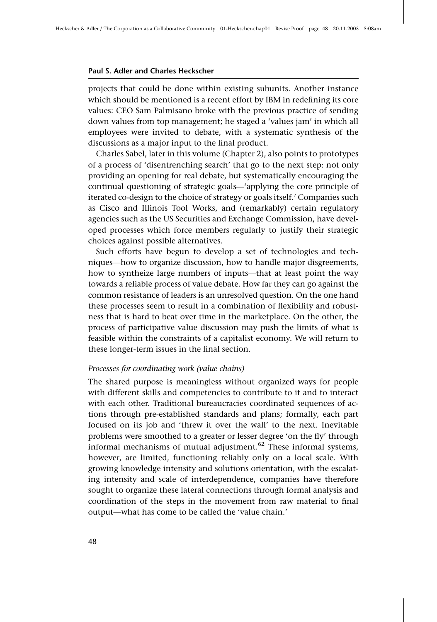projects that could be done within existing subunits. Another instance which should be mentioned is a recent effort by IBM in redefining its core values: CEO Sam Palmisano broke with the previous practice of sending down values from top management; he staged a 'values jam' in which all employees were invited to debate, with a systematic synthesis of the discussions as a major input to the final product.

Charles Sabel, later in this volume (Chapter 2), also points to prototypes of a process of 'disentrenching search' that go to the next step: not only providing an opening for real debate, but systematically encouraging the continual questioning of strategic goals—'applying the core principle of iterated co-design to the choice of strategy or goals itself.' Companies such as Cisco and Illinois Tool Works, and (remarkably) certain regulatory agencies such as the US Securities and Exchange Commission, have developed processes which force members regularly to justify their strategic choices against possible alternatives.

Such efforts have begun to develop a set of technologies and techniques—how to organize discussion, how to handle major disgreements, how to syntheize large numbers of inputs—that at least point the way towards a reliable process of value debate. How far they can go against the common resistance of leaders is an unresolved question. On the one hand these processes seem to result in a combination of flexibility and robustness that is hard to beat over time in the marketplace. On the other, the process of participative value discussion may push the limits of what is feasible within the constraints of a capitalist economy. We will return to these longer-term issues in the final section.

## Processes for coordinating work (value chains)

The shared purpose is meaningless without organized ways for people with different skills and competencies to contribute to it and to interact with each other. Traditional bureaucracies coordinated sequences of actions through pre-established standards and plans; formally, each part focused on its job and 'threw it over the wall' to the next. Inevitable problems were smoothed to a greater or lesser degree 'on the fly' through informal mechanisms of mutual adjustment.<sup>62</sup> These informal systems, however, are limited, functioning reliably only on a local scale. With growing knowledge intensity and solutions orientation, with the escalating intensity and scale of interdependence, companies have therefore sought to organize these lateral connections through formal analysis and coordination of the steps in the movement from raw material to final output—what has come to be called the 'value chain.'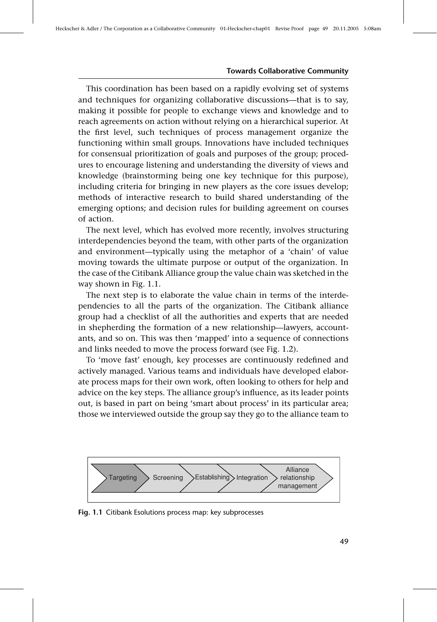This coordination has been based on a rapidly evolving set of systems and techniques for organizing collaborative discussions—that is to say, making it possible for people to exchange views and knowledge and to reach agreements on action without relying on a hierarchical superior. At the first level, such techniques of process management organize the functioning within small groups. Innovations have included techniques for consensual prioritization of goals and purposes of the group; procedures to encourage listening and understanding the diversity of views and knowledge (brainstorming being one key technique for this purpose), including criteria for bringing in new players as the core issues develop; methods of interactive research to build shared understanding of the emerging options; and decision rules for building agreement on courses of action.

The next level, which has evolved more recently, involves structuring interdependencies beyond the team, with other parts of the organization and environment—typically using the metaphor of a 'chain' of value moving towards the ultimate purpose or output of the organization. In the case of the Citibank Alliance group the value chain was sketched in the way shown in Fig. 1.1.

The next step is to elaborate the value chain in terms of the interdependencies to all the parts of the organization. The Citibank alliance group had a checklist of all the authorities and experts that are needed in shepherding the formation of a new relationship—lawyers, accountants, and so on. This was then 'mapped' into a sequence of connections and links needed to move the process forward (see Fig. 1.2).

To 'move fast' enough, key processes are continuously redefined and actively managed. Various teams and individuals have developed elaborate process maps for their own work, often looking to others for help and advice on the key steps. The alliance group's influence, as its leader points out, is based in part on being 'smart about process' in its particular area; those we interviewed outside the group say they go to the alliance team to



Fig. 1.1 Citibank Esolutions process map: key subprocesses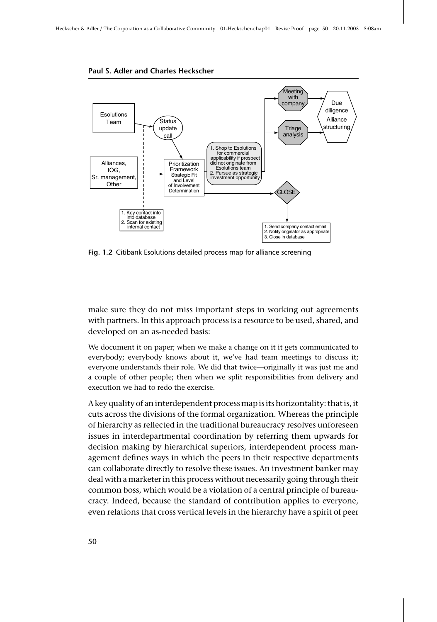



Fig. 1.2 Citibank Esolutions detailed process map for alliance screening

make sure they do not miss important steps in working out agreements with partners. In this approach process is a resource to be used, shared, and developed on an as-needed basis:

We document it on paper; when we make a change on it it gets communicated to everybody; everybody knows about it, we've had team meetings to discuss it; everyone understands their role. We did that twice—originally it was just me and a couple of other people; then when we split responsibilities from delivery and execution we had to redo the exercise.

A key quality of an interdependent process map is its horizontality: that is, it cuts across the divisions of the formal organization. Whereas the principle of hierarchy as reflected in the traditional bureaucracy resolves unforeseen issues in interdepartmental coordination by referring them upwards for decision making by hierarchical superiors, interdependent process management defines ways in which the peers in their respective departments can collaborate directly to resolve these issues. An investment banker may deal with a marketer in this process without necessarily going through their common boss, which would be a violation of a central principle of bureaucracy. Indeed, because the standard of contribution applies to everyone, even relations that cross vertical levels in the hierarchy have a spirit of peer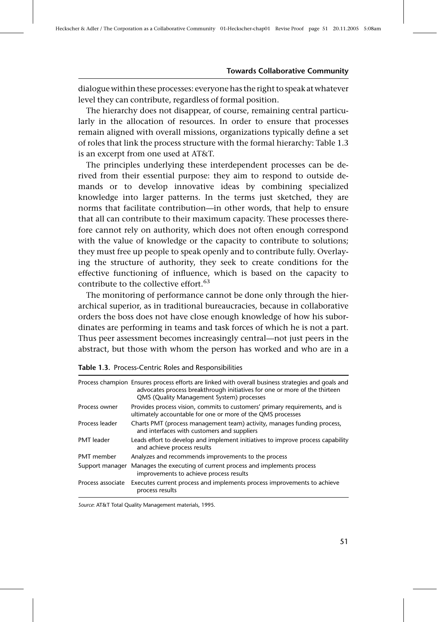dialogue within these processes: everyone has the right to speak at whatever level they can contribute, regardless of formal position.

The hierarchy does not disappear, of course, remaining central particularly in the allocation of resources. In order to ensure that processes remain aligned with overall missions, organizations typically define a set of roles that link the process structure with the formal hierarchy: Table 1.3 is an excerpt from one used at AT&T.

The principles underlying these interdependent processes can be derived from their essential purpose: they aim to respond to outside demands or to develop innovative ideas by combining specialized knowledge into larger patterns. In the terms just sketched, they are norms that facilitate contribution—in other words, that help to ensure that all can contribute to their maximum capacity. These processes therefore cannot rely on authority, which does not often enough correspond with the value of knowledge or the capacity to contribute to solutions; they must free up people to speak openly and to contribute fully. Overlaying the structure of authority, they seek to create conditions for the effective functioning of influence, which is based on the capacity to contribute to the collective effort.<sup>63</sup>

The monitoring of performance cannot be done only through the hierarchical superior, as in traditional bureaucracies, because in collaborative orders the boss does not have close enough knowledge of how his subordinates are performing in teams and task forces of which he is not a part. Thus peer assessment becomes increasingly central—not just peers in the abstract, but those with whom the person has worked and who are in a

|                   | Process champion Ensures process efforts are linked with overall business strategies and goals and<br>advocates process breakthrough initiatives for one or more of the thirteen<br>QMS (Quality Management System) processes |
|-------------------|-------------------------------------------------------------------------------------------------------------------------------------------------------------------------------------------------------------------------------|
| Process owner     | Provides process vision, commits to customers' primary requirements, and is<br>ultimately accountable for one or more of the QMS processes                                                                                    |
| Process leader    | Charts PMT (process management team) activity, manages funding process,<br>and interfaces with customers and suppliers                                                                                                        |
| PMT leader        | Leads effort to develop and implement initiatives to improve process capability<br>and achieve process results                                                                                                                |
| PMT member        | Analyzes and recommends improvements to the process                                                                                                                                                                           |
| Support manager   | Manages the executing of current process and implements process<br>improvements to achieve process results                                                                                                                    |
| Process associate | Executes current process and implements process improvements to achieve<br>process results                                                                                                                                    |

|  |  |  | <b>Table 1.3. Process-Centric Roles and Responsibilities</b> |  |  |  |
|--|--|--|--------------------------------------------------------------|--|--|--|
|--|--|--|--------------------------------------------------------------|--|--|--|

Source: AT&T Total Quality Management materials, 1995.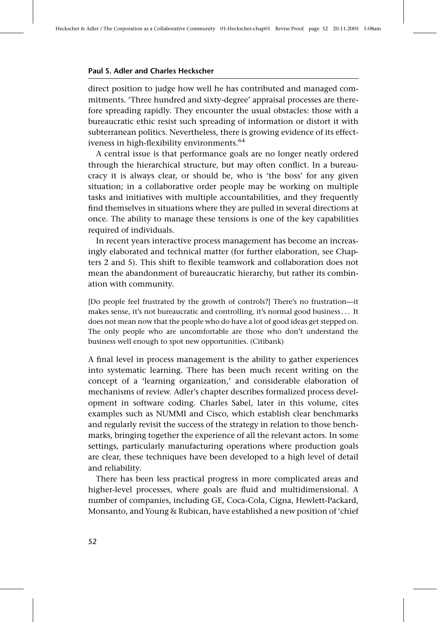direct position to judge how well he has contributed and managed commitments. 'Three hundred and sixty-degree' appraisal processes are therefore spreading rapidly. They encounter the usual obstacles: those with a bureaucratic ethic resist such spreading of information or distort it with subterranean politics. Nevertheless, there is growing evidence of its effectiveness in high-flexibility environments.<sup>64</sup>

A central issue is that performance goals are no longer neatly ordered through the hierarchical structure, but may often conflict. In a bureaucracy it is always clear, or should be, who is 'the boss' for any given situation; in a collaborative order people may be working on multiple tasks and initiatives with multiple accountabilities, and they frequently find themselves in situations where they are pulled in several directions at once. The ability to manage these tensions is one of the key capabilities required of individuals.

In recent years interactive process management has become an increasingly elaborated and technical matter (for further elaboration, see Chapters 2 and 5). This shift to flexible teamwork and collaboration does not mean the abandonment of bureaucratic hierarchy, but rather its combination with community.

[Do people feel frustrated by the growth of controls?] There's no frustration—it makes sense, it's not bureaucratic and controlling, it's normal good business . . . It does not mean now that the people who do have a lot of good ideas get stepped on. The only people who are uncomfortable are those who don't understand the business well enough to spot new opportunities. (Citibank)

A final level in process management is the ability to gather experiences into systematic learning. There has been much recent writing on the concept of a 'learning organization,' and considerable elaboration of mechanisms of review. Adler's chapter describes formalized process development in software coding. Charles Sabel, later in this volume, cites examples such as NUMMI and Cisco, which establish clear benchmarks and regularly revisit the success of the strategy in relation to those benchmarks, bringing together the experience of all the relevant actors. In some settings, particularly manufacturing operations where production goals are clear, these techniques have been developed to a high level of detail and reliability.

There has been less practical progress in more complicated areas and higher-level processes, where goals are fluid and multidimensional. A number of companies, including GE, Coca-Cola, Cigna, Hewlett-Packard, Monsanto, and Young & Rubican, have established a new position of 'chief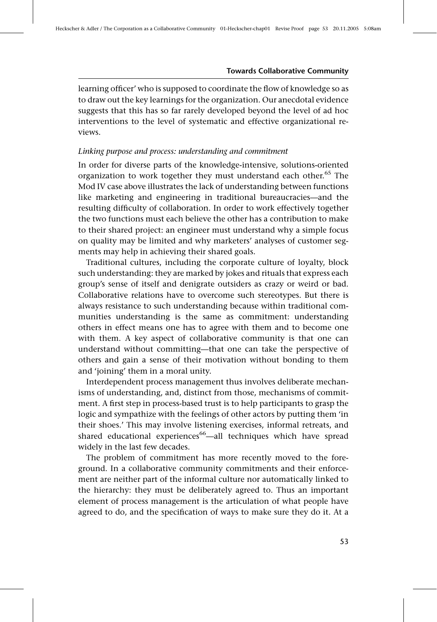learning officer' who is supposed to coordinate the flow of knowledge so as to draw out the key learnings for the organization. Our anecdotal evidence suggests that this has so far rarely developed beyond the level of ad hoc interventions to the level of systematic and effective organizational reviews.

## Linking purpose and process: understanding and commitment

In order for diverse parts of the knowledge-intensive, solutions-oriented organization to work together they must understand each other.<sup>65</sup> The Mod IV case above illustrates the lack of understanding between functions like marketing and engineering in traditional bureaucracies—and the resulting difficulty of collaboration. In order to work effectively together the two functions must each believe the other has a contribution to make to their shared project: an engineer must understand why a simple focus on quality may be limited and why marketers' analyses of customer segments may help in achieving their shared goals.

Traditional cultures, including the corporate culture of loyalty, block such understanding: they are marked by jokes and rituals that express each group's sense of itself and denigrate outsiders as crazy or weird or bad. Collaborative relations have to overcome such stereotypes. But there is always resistance to such understanding because within traditional communities understanding is the same as commitment: understanding others in effect means one has to agree with them and to become one with them. A key aspect of collaborative community is that one can understand without committing—that one can take the perspective of others and gain a sense of their motivation without bonding to them and 'joining' them in a moral unity.

Interdependent process management thus involves deliberate mechanisms of understanding, and, distinct from those, mechanisms of commitment. A first step in process-based trust is to help participants to grasp the logic and sympathize with the feelings of other actors by putting them 'in their shoes.' This may involve listening exercises, informal retreats, and shared educational experiences<sup>66</sup>—all techniques which have spread widely in the last few decades.

The problem of commitment has more recently moved to the foreground. In a collaborative community commitments and their enforcement are neither part of the informal culture nor automatically linked to the hierarchy: they must be deliberately agreed to. Thus an important element of process management is the articulation of what people have agreed to do, and the specification of ways to make sure they do it. At a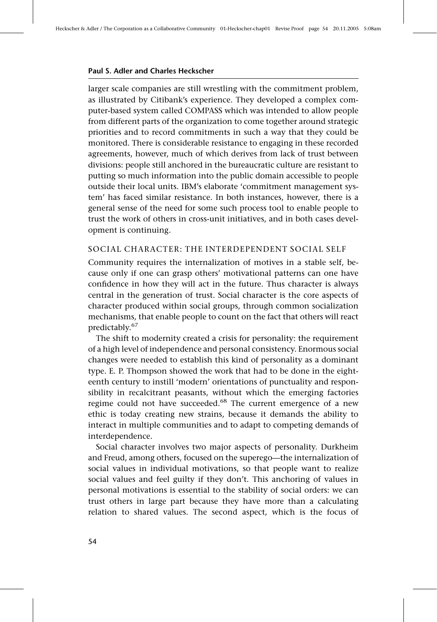larger scale companies are still wrestling with the commitment problem, as illustrated by Citibank's experience. They developed a complex computer-based system called COMPASS which was intended to allow people from different parts of the organization to come together around strategic priorities and to record commitments in such a way that they could be monitored. There is considerable resistance to engaging in these recorded agreements, however, much of which derives from lack of trust between divisions: people still anchored in the bureaucratic culture are resistant to putting so much information into the public domain accessible to people outside their local units. IBM's elaborate 'commitment management system' has faced similar resistance. In both instances, however, there is a general sense of the need for some such process tool to enable people to trust the work of others in cross-unit initiatives, and in both cases development is continuing.

## SOCIAL CHARACTER: THE INTERDEPENDENT SOCIAL SELF

Community requires the internalization of motives in a stable self, because only if one can grasp others' motivational patterns can one have confidence in how they will act in the future. Thus character is always central in the generation of trust. Social character is the core aspects of character produced within social groups, through common socialization mechanisms, that enable people to count on the fact that others will react predictably.67

The shift to modernity created a crisis for personality: the requirement of a high level of independence and personal consistency. Enormous social changes were needed to establish this kind of personality as a dominant type. E. P. Thompson showed the work that had to be done in the eighteenth century to instill 'modern' orientations of punctuality and responsibility in recalcitrant peasants, without which the emerging factories regime could not have succeeded.<sup>68</sup> The current emergence of a new ethic is today creating new strains, because it demands the ability to interact in multiple communities and to adapt to competing demands of interdependence.

Social character involves two major aspects of personality. Durkheim and Freud, among others, focused on the superego—the internalization of social values in individual motivations, so that people want to realize social values and feel guilty if they don't. This anchoring of values in personal motivations is essential to the stability of social orders: we can trust others in large part because they have more than a calculating relation to shared values. The second aspect, which is the focus of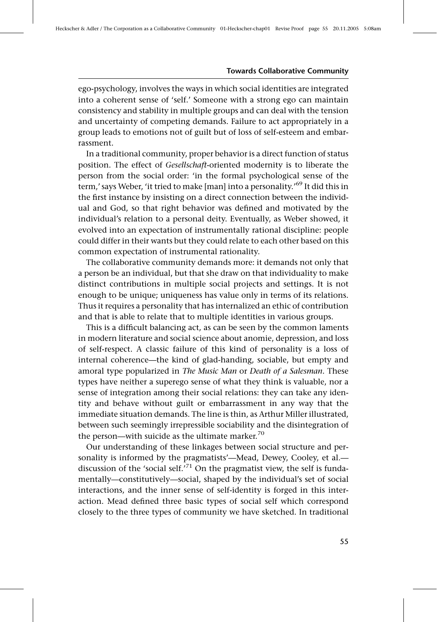ego-psychology, involves the ways in which social identities are integrated into a coherent sense of 'self.' Someone with a strong ego can maintain consistency and stability in multiple groups and can deal with the tension and uncertainty of competing demands. Failure to act appropriately in a group leads to emotions not of guilt but of loss of self-esteem and embarrassment.

In a traditional community, proper behavior is a direct function of status position. The effect of Gesellschaft-oriented modernity is to liberate the person from the social order: 'in the formal psychological sense of the term,' says Weber, 'it tried to make [man] into a personality.'<sup>69</sup> It did this in the first instance by insisting on a direct connection between the individual and God, so that right behavior was defined and motivated by the individual's relation to a personal deity. Eventually, as Weber showed, it evolved into an expectation of instrumentally rational discipline: people could differ in their wants but they could relate to each other based on this common expectation of instrumental rationality.

The collaborative community demands more: it demands not only that a person be an individual, but that she draw on that individuality to make distinct contributions in multiple social projects and settings. It is not enough to be unique; uniqueness has value only in terms of its relations. Thus it requires a personality that has internalized an ethic of contribution and that is able to relate that to multiple identities in various groups.

This is a difficult balancing act, as can be seen by the common laments in modern literature and social science about anomie, depression, and loss of self-respect. A classic failure of this kind of personality is a loss of internal coherence—the kind of glad-handing, sociable, but empty and amoral type popularized in The Music Man or Death of a Salesman. These types have neither a superego sense of what they think is valuable, nor a sense of integration among their social relations: they can take any identity and behave without guilt or embarrassment in any way that the immediate situation demands. The line is thin, as Arthur Miller illustrated, between such seemingly irrepressible sociability and the disintegration of the person—with suicide as the ultimate marker.<sup>70</sup>

Our understanding of these linkages between social structure and personality is informed by the pragmatists'—Mead, Dewey, Cooley, et al. discussion of the 'social self.<sup> $71$ </sup> On the pragmatist view, the self is fundamentally—constitutively—social, shaped by the individual's set of social interactions, and the inner sense of self-identity is forged in this interaction. Mead defined three basic types of social self which correspond closely to the three types of community we have sketched. In traditional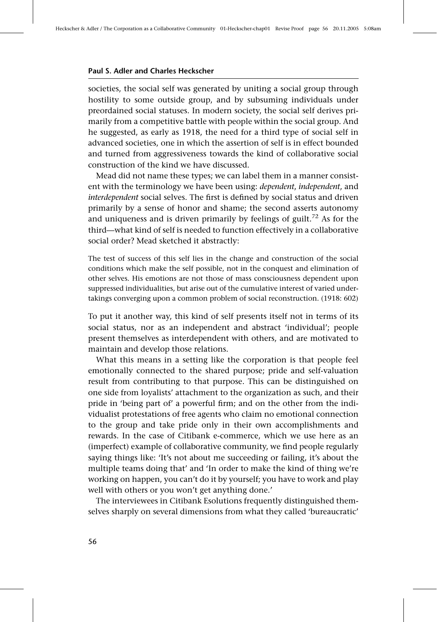societies, the social self was generated by uniting a social group through hostility to some outside group, and by subsuming individuals under preordained social statuses. In modern society, the social self derives primarily from a competitive battle with people within the social group. And he suggested, as early as 1918, the need for a third type of social self in advanced societies, one in which the assertion of self is in effect bounded and turned from aggressiveness towards the kind of collaborative social construction of the kind we have discussed.

Mead did not name these types; we can label them in a manner consistent with the terminology we have been using: dependent, independent, and interdependent social selves. The first is defined by social status and driven primarily by a sense of honor and shame; the second asserts autonomy and uniqueness and is driven primarily by feelings of guilt.<sup>72</sup> As for the third—what kind of self is needed to function effectively in a collaborative social order? Mead sketched it abstractly:

The test of success of this self lies in the change and construction of the social conditions which make the self possible, not in the conquest and elimination of other selves. His emotions are not those of mass consciousness dependent upon suppressed individualities, but arise out of the cumulative interest of varied undertakings converging upon a common problem of social reconstruction. (1918: 602)

To put it another way, this kind of self presents itself not in terms of its social status, nor as an independent and abstract 'individual'; people present themselves as interdependent with others, and are motivated to maintain and develop those relations.

What this means in a setting like the corporation is that people feel emotionally connected to the shared purpose; pride and self-valuation result from contributing to that purpose. This can be distinguished on one side from loyalists' attachment to the organization as such, and their pride in 'being part of' a powerful firm; and on the other from the individualist protestations of free agents who claim no emotional connection to the group and take pride only in their own accomplishments and rewards. In the case of Citibank e-commerce, which we use here as an (imperfect) example of collaborative community, we find people regularly saying things like: 'It's not about me succeeding or failing, it's about the multiple teams doing that' and 'In order to make the kind of thing we're working on happen, you can't do it by yourself; you have to work and play well with others or you won't get anything done.'

The interviewees in Citibank Esolutions frequently distinguished themselves sharply on several dimensions from what they called 'bureaucratic'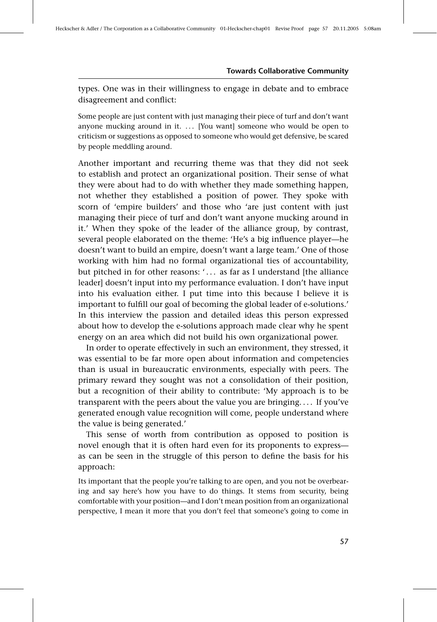types. One was in their willingness to engage in debate and to embrace disagreement and conflict:

Some people are just content with just managing their piece of turf and don't want anyone mucking around in it. ... [You want] someone who would be open to criticism or suggestions as opposed to someone who would get defensive, be scared by people meddling around.

Another important and recurring theme was that they did not seek to establish and protect an organizational position. Their sense of what they were about had to do with whether they made something happen, not whether they established a position of power. They spoke with scorn of 'empire builders' and those who 'are just content with just managing their piece of turf and don't want anyone mucking around in it.' When they spoke of the leader of the alliance group, by contrast, several people elaborated on the theme: 'He's a big influence player—he doesn't want to build an empire, doesn't want a large team.' One of those working with him had no formal organizational ties of accountability, but pitched in for other reasons: '... as far as I understand [the alliance leader] doesn't input into my performance evaluation. I don't have input into his evaluation either. I put time into this because I believe it is important to fulfill our goal of becoming the global leader of e-solutions.' In this interview the passion and detailed ideas this person expressed about how to develop the e-solutions approach made clear why he spent energy on an area which did not build his own organizational power.

In order to operate effectively in such an environment, they stressed, it was essential to be far more open about information and competencies than is usual in bureaucratic environments, especially with peers. The primary reward they sought was not a consolidation of their position, but a recognition of their ability to contribute: 'My approach is to be transparent with the peers about the value you are bringing. . . . If you've generated enough value recognition will come, people understand where the value is being generated.'

This sense of worth from contribution as opposed to position is novel enough that it is often hard even for its proponents to express as can be seen in the struggle of this person to define the basis for his approach:

Its important that the people you're talking to are open, and you not be overbearing and say here's how you have to do things. It stems from security, being comfortable with your position—and I don't mean position from an organizational perspective, I mean it more that you don't feel that someone's going to come in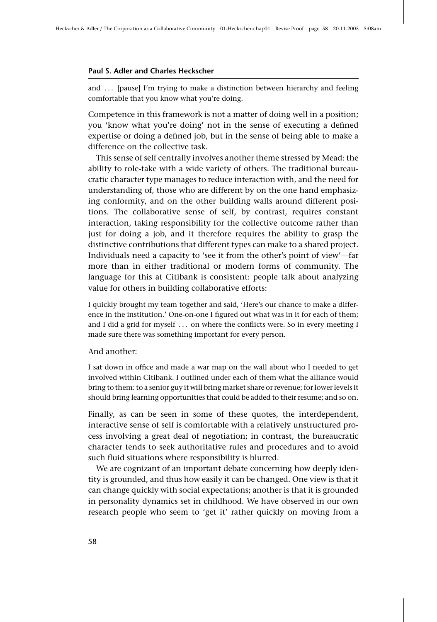and ... [pause] I'm trying to make a distinction between hierarchy and feeling comfortable that you know what you're doing.

Competence in this framework is not a matter of doing well in a position; you 'know what you're doing' not in the sense of executing a defined expertise or doing a defined job, but in the sense of being able to make a difference on the collective task.

This sense of self centrally involves another theme stressed by Mead: the ability to role-take with a wide variety of others. The traditional bureaucratic character type manages to reduce interaction with, and the need for understanding of, those who are different by on the one hand emphasizing conformity, and on the other building walls around different positions. The collaborative sense of self, by contrast, requires constant interaction, taking responsibility for the collective outcome rather than just for doing a job, and it therefore requires the ability to grasp the distinctive contributions that different types can make to a shared project. Individuals need a capacity to 'see it from the other's point of view'—far more than in either traditional or modern forms of community. The language for this at Citibank is consistent: people talk about analyzing value for others in building collaborative efforts:

I quickly brought my team together and said, 'Here's our chance to make a difference in the institution.' One-on-one I figured out what was in it for each of them; and I did a grid for myself . . . on where the conflicts were. So in every meeting I made sure there was something important for every person.

#### And another:

I sat down in office and made a war map on the wall about who I needed to get involved within Citibank. I outlined under each of them what the alliance would bring to them: to a senior guy it will bring market share or revenue; for lower levels it should bring learning opportunities that could be added to their resume; and so on.

Finally, as can be seen in some of these quotes, the interdependent, interactive sense of self is comfortable with a relatively unstructured process involving a great deal of negotiation; in contrast, the bureaucratic character tends to seek authoritative rules and procedures and to avoid such fluid situations where responsibility is blurred.

We are cognizant of an important debate concerning how deeply identity is grounded, and thus how easily it can be changed. One view is that it can change quickly with social expectations; another is that it is grounded in personality dynamics set in childhood. We have observed in our own research people who seem to 'get it' rather quickly on moving from a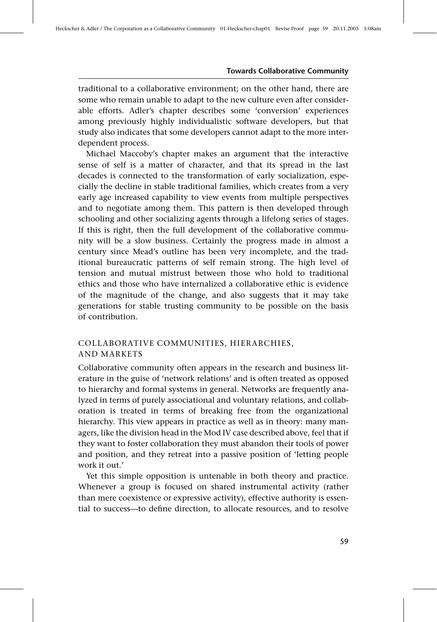traditional to a collaborative environment; on the other hand, there are some who remain unable to adapt to the new culture even after considerable efforts. Adler's chapter describes some 'conversion' experiences among previously highly individualistic software developers, but that study also indicates that some developers cannot adapt to the more interdependent process.

Michael Maccoby's chapter makes an argument that the interactive sense of self is a matter of character, and that its spread in the last decades is connected to the transformation of early socialization, especially the decline in stable traditional families, which creates from a very early age increased capability to view events from multiple perspectives and to negotiate among them. This pattern is then developed through schooling and other socializing agents through a lifelong series of stages. If this is right, then the full development of the collaborative community will be a slow business. Certainly the progress made in almost a century since Mead's outline has been very incomplete, and the traditional bureaucratic patterns of self remain strong. The high level of tension and mutual mistrust between those who hold to traditional ethics and those who have internalized a collaborative ethic is evidence of the magnitude of the change, and also suggests that it may take generations for stable trusting community to be possible on the basis of contribution.

# COLLABORATIVE COMMUNITIES, HIERARCHIES, AND MARKETS

Collaborative community often appears in the research and business literature in the guise of 'network relations' and is often treated as opposed to hierarchy and formal systems in general. Networks are frequently analyzed in terms of purely associational and voluntary relations, and collaboration is treated in terms of breaking free from the organizational hierarchy. This view appears in practice as well as in theory: many managers, like the division head in the Mod IV case described above, feel that if they want to foster collaboration they must abandon their tools of power and position, and they retreat into a passive position of 'letting people work it out.'

Yet this simple opposition is untenable in both theory and practice. Whenever a group is focused on shared instrumental activity (rather than mere coexistence or expressive activity), effective authority is essential to success—to define direction, to allocate resources, and to resolve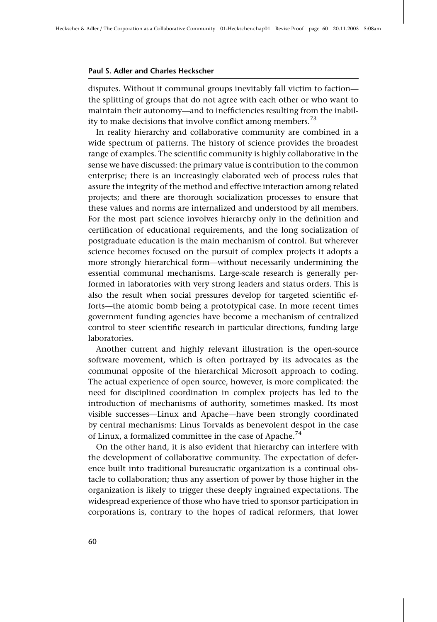disputes. Without it communal groups inevitably fall victim to faction the splitting of groups that do not agree with each other or who want to maintain their autonomy—and to inefficiencies resulting from the inability to make decisions that involve conflict among members.<sup>73</sup>

In reality hierarchy and collaborative community are combined in a wide spectrum of patterns. The history of science provides the broadest range of examples. The scientific community is highly collaborative in the sense we have discussed: the primary value is contribution to the common enterprise; there is an increasingly elaborated web of process rules that assure the integrity of the method and effective interaction among related projects; and there are thorough socialization processes to ensure that these values and norms are internalized and understood by all members. For the most part science involves hierarchy only in the definition and certification of educational requirements, and the long socialization of postgraduate education is the main mechanism of control. But wherever science becomes focused on the pursuit of complex projects it adopts a more strongly hierarchical form—without necessarily undermining the essential communal mechanisms. Large-scale research is generally performed in laboratories with very strong leaders and status orders. This is also the result when social pressures develop for targeted scientific efforts—the atomic bomb being a prototypical case. In more recent times government funding agencies have become a mechanism of centralized control to steer scientific research in particular directions, funding large laboratories.

Another current and highly relevant illustration is the open-source software movement, which is often portrayed by its advocates as the communal opposite of the hierarchical Microsoft approach to coding. The actual experience of open source, however, is more complicated: the need for disciplined coordination in complex projects has led to the introduction of mechanisms of authority, sometimes masked. Its most visible successes—Linux and Apache—have been strongly coordinated by central mechanisms: Linus Torvalds as benevolent despot in the case of Linux, a formalized committee in the case of Apache.<sup>74</sup>

On the other hand, it is also evident that hierarchy can interfere with the development of collaborative community. The expectation of deference built into traditional bureaucratic organization is a continual obstacle to collaboration; thus any assertion of power by those higher in the organization is likely to trigger these deeply ingrained expectations. The widespread experience of those who have tried to sponsor participation in corporations is, contrary to the hopes of radical reformers, that lower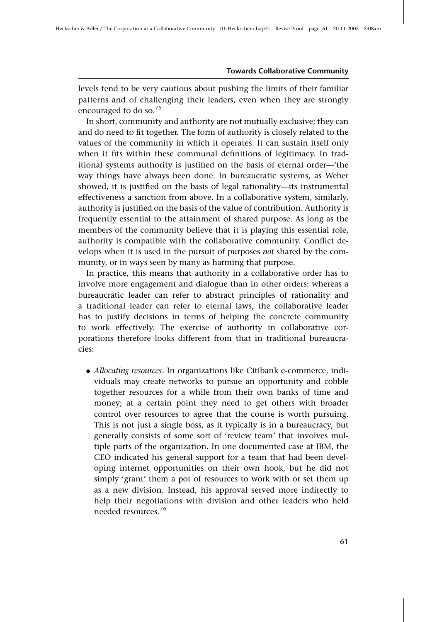levels tend to be very cautious about pushing the limits of their familiar patterns and of challenging their leaders, even when they are strongly encouraged to do so.<sup>75</sup>

In short, community and authority are not mutually exclusive; they can and do need to fit together. The form of authority is closely related to the values of the community in which it operates. It can sustain itself only when it fits within these communal definitions of legitimacy. In traditional systems authority is justified on the basis of eternal order—'the way things have always been done. In bureaucratic systems, as Weber showed, it is justified on the basis of legal rationality—its instrumental effectiveness a sanction from above. In a collaborative system, similarly, authority is justified on the basis of the value of contribution. Authority is frequently essential to the attainment of shared purpose. As long as the members of the community believe that it is playing this essential role, authority is compatible with the collaborative community. Conflict develops when it is used in the pursuit of purposes not shared by the community, or in ways seen by many as harming that purpose.

In practice, this means that authority in a collaborative order has to involve more engagement and dialogue than in other orders: whereas a bureaucratic leader can refer to abstract principles of rationality and a traditional leader can refer to eternal laws, the collaborative leader has to justify decisions in terms of helping the concrete community to work effectively. The exercise of authority in collaborative corporations therefore looks different from that in traditional bureaucracies:

. Allocating resources. In organizations like Citibank e-commerce, individuals may create networks to pursue an opportunity and cobble together resources for a while from their own banks of time and money; at a certain point they need to get others with broader control over resources to agree that the course is worth pursuing. This is not just a single boss, as it typically is in a bureaucracy, but generally consists of some sort of 'review team' that involves multiple parts of the organization. In one documented case at IBM, the CEO indicated his general support for a team that had been developing internet opportunities on their own hook, but he did not simply 'grant' them a pot of resources to work with or set them up as a new division. Instead, his approval served more indirectly to help their negotiations with division and other leaders who held needed resources.76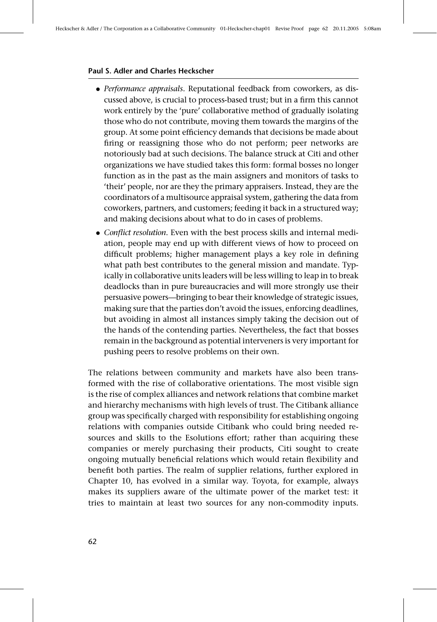- . Performance appraisals. Reputational feedback from coworkers, as discussed above, is crucial to process-based trust; but in a firm this cannot work entirely by the 'pure' collaborative method of gradually isolating those who do not contribute, moving them towards the margins of the group. At some point efficiency demands that decisions be made about firing or reassigning those who do not perform; peer networks are notoriously bad at such decisions. The balance struck at Citi and other organizations we have studied takes this form: formal bosses no longer function as in the past as the main assigners and monitors of tasks to 'their' people, nor are they the primary appraisers. Instead, they are the coordinators of a multisource appraisal system, gathering the data from coworkers, partners, and customers; feeding it back in a structured way; and making decisions about what to do in cases of problems.
- . Conflict resolution. Even with the best process skills and internal mediation, people may end up with different views of how to proceed on difficult problems; higher management plays a key role in defining what path best contributes to the general mission and mandate. Typically in collaborative units leaders will be less willing to leap in to break deadlocks than in pure bureaucracies and will more strongly use their persuasive powers—bringing to bear their knowledge of strategic issues, making sure that the parties don't avoid the issues, enforcing deadlines, but avoiding in almost all instances simply taking the decision out of the hands of the contending parties. Nevertheless, the fact that bosses remain in the background as potential interveners is very important for pushing peers to resolve problems on their own.

The relations between community and markets have also been transformed with the rise of collaborative orientations. The most visible sign is the rise of complex alliances and network relations that combine market and hierarchy mechanisms with high levels of trust. The Citibank alliance group was specifically charged with responsibility for establishing ongoing relations with companies outside Citibank who could bring needed resources and skills to the Esolutions effort; rather than acquiring these companies or merely purchasing their products, Citi sought to create ongoing mutually beneficial relations which would retain flexibility and benefit both parties. The realm of supplier relations, further explored in Chapter 10, has evolved in a similar way. Toyota, for example, always makes its suppliers aware of the ultimate power of the market test: it tries to maintain at least two sources for any non-commodity inputs.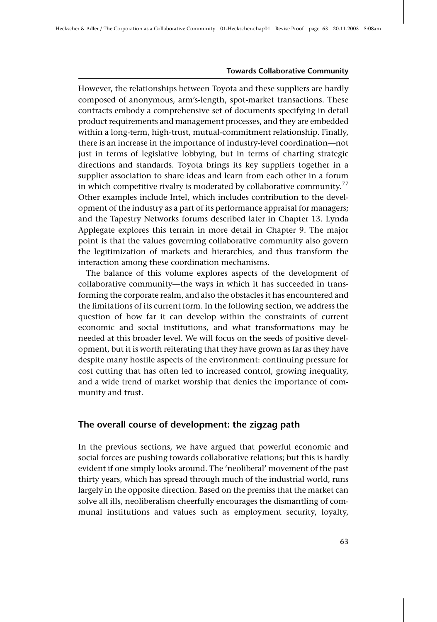However, the relationships between Toyota and these suppliers are hardly composed of anonymous, arm's-length, spot-market transactions. These contracts embody a comprehensive set of documents specifying in detail product requirements and management processes, and they are embedded within a long-term, high-trust, mutual-commitment relationship. Finally, there is an increase in the importance of industry-level coordination—not just in terms of legislative lobbying, but in terms of charting strategic directions and standards. Toyota brings its key suppliers together in a supplier association to share ideas and learn from each other in a forum in which competitive rivalry is moderated by collaborative community.<sup>77</sup> Other examples include Intel, which includes contribution to the development of the industry as a part of its performance appraisal for managers; and the Tapestry Networks forums described later in Chapter 13. Lynda Applegate explores this terrain in more detail in Chapter 9. The major point is that the values governing collaborative community also govern the legitimization of markets and hierarchies, and thus transform the interaction among these coordination mechanisms.

The balance of this volume explores aspects of the development of collaborative community—the ways in which it has succeeded in transforming the corporate realm, and also the obstacles it has encountered and the limitations of its current form. In the following section, we address the question of how far it can develop within the constraints of current economic and social institutions, and what transformations may be needed at this broader level. We will focus on the seeds of positive development, but it is worth reiterating that they have grown as far as they have despite many hostile aspects of the environment: continuing pressure for cost cutting that has often led to increased control, growing inequality, and a wide trend of market worship that denies the importance of community and trust.

# The overall course of development: the zigzag path

In the previous sections, we have argued that powerful economic and social forces are pushing towards collaborative relations; but this is hardly evident if one simply looks around. The 'neoliberal' movement of the past thirty years, which has spread through much of the industrial world, runs largely in the opposite direction. Based on the premiss that the market can solve all ills, neoliberalism cheerfully encourages the dismantling of communal institutions and values such as employment security, loyalty,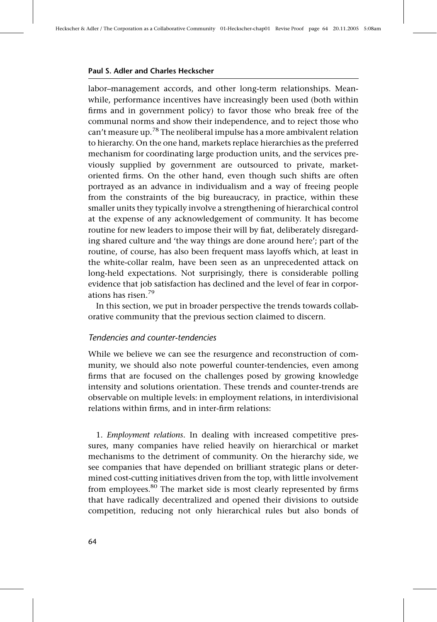labor–management accords, and other long-term relationships. Meanwhile, performance incentives have increasingly been used (both within firms and in government policy) to favor those who break free of the communal norms and show their independence, and to reject those who can't measure up.<sup>78</sup> The neoliberal impulse has a more ambivalent relation to hierarchy. On the one hand, markets replace hierarchies as the preferred mechanism for coordinating large production units, and the services previously supplied by government are outsourced to private, marketoriented firms. On the other hand, even though such shifts are often portrayed as an advance in individualism and a way of freeing people from the constraints of the big bureaucracy, in practice, within these smaller units they typically involve a strengthening of hierarchical control at the expense of any acknowledgement of community. It has become routine for new leaders to impose their will by fiat, deliberately disregarding shared culture and 'the way things are done around here'; part of the routine, of course, has also been frequent mass layoffs which, at least in the white-collar realm, have been seen as an unprecedented attack on long-held expectations. Not surprisingly, there is considerable polling evidence that job satisfaction has declined and the level of fear in corporations has risen.79

In this section, we put in broader perspective the trends towards collaborative community that the previous section claimed to discern.

# Tendencies and counter-tendencies

While we believe we can see the resurgence and reconstruction of community, we should also note powerful counter-tendencies, even among firms that are focused on the challenges posed by growing knowledge intensity and solutions orientation. These trends and counter-trends are observable on multiple levels: in employment relations, in interdivisional relations within firms, and in inter-firm relations:

1. Employment relations. In dealing with increased competitive pressures, many companies have relied heavily on hierarchical or market mechanisms to the detriment of community. On the hierarchy side, we see companies that have depended on brilliant strategic plans or determined cost-cutting initiatives driven from the top, with little involvement from employees.<sup>80</sup> The market side is most clearly represented by firms that have radically decentralized and opened their divisions to outside competition, reducing not only hierarchical rules but also bonds of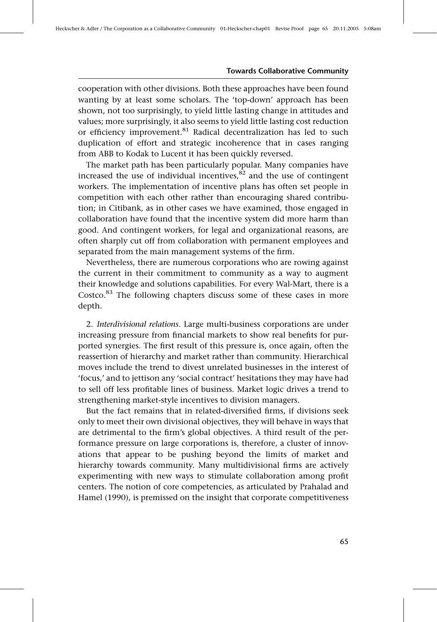cooperation with other divisions. Both these approaches have been found wanting by at least some scholars. The 'top-down' approach has been shown, not too surprisingly, to yield little lasting change in attitudes and values; more surprisingly, it also seems to yield little lasting cost reduction or efficiency improvement.<sup>81</sup> Radical decentralization has led to such duplication of effort and strategic incoherence that in cases ranging from ABB to Kodak to Lucent it has been quickly reversed.

The market path has been particularly popular. Many companies have increased the use of individual incentives, $82$  and the use of contingent workers. The implementation of incentive plans has often set people in competition with each other rather than encouraging shared contribution; in Citibank, as in other cases we have examined, those engaged in collaboration have found that the incentive system did more harm than good. And contingent workers, for legal and organizational reasons, are often sharply cut off from collaboration with permanent employees and separated from the main management systems of the firm.

Nevertheless, there are numerous corporations who are rowing against the current in their commitment to community as a way to augment their knowledge and solutions capabilities. For every Wal-Mart, there is a Costco.<sup>83</sup> The following chapters discuss some of these cases in more depth.

2. Interdivisional relations. Large multi-business corporations are under increasing pressure from financial markets to show real benefits for purported synergies. The first result of this pressure is, once again, often the reassertion of hierarchy and market rather than community. Hierarchical moves include the trend to divest unrelated businesses in the interest of 'focus,' and to jettison any 'social contract' hesitations they may have had to sell off less profitable lines of business. Market logic drives a trend to strengthening market-style incentives to division managers.

But the fact remains that in related-diversified firms, if divisions seek only to meet their own divisional objectives, they will behave in ways that are detrimental to the firm's global objectives. A third result of the performance pressure on large corporations is, therefore, a cluster of innovations that appear to be pushing beyond the limits of market and hierarchy towards community. Many multidivisional firms are actively experimenting with new ways to stimulate collaboration among profit centers. The notion of core competencies, as articulated by Prahalad and Hamel (1990), is premissed on the insight that corporate competitiveness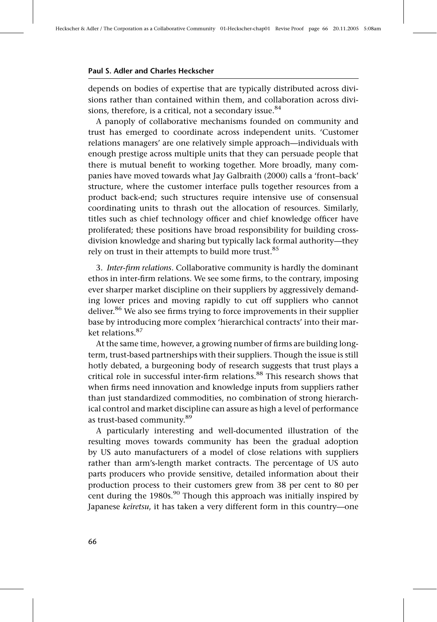depends on bodies of expertise that are typically distributed across divisions rather than contained within them, and collaboration across divisions, therefore, is a critical, not a secondary issue.<sup>84</sup>

A panoply of collaborative mechanisms founded on community and trust has emerged to coordinate across independent units. 'Customer relations managers' are one relatively simple approach—individuals with enough prestige across multiple units that they can persuade people that there is mutual benefit to working together. More broadly, many companies have moved towards what Jay Galbraith (2000) calls a 'front–back' structure, where the customer interface pulls together resources from a product back-end; such structures require intensive use of consensual coordinating units to thrash out the allocation of resources. Similarly, titles such as chief technology officer and chief knowledge officer have proliferated; these positions have broad responsibility for building crossdivision knowledge and sharing but typically lack formal authority—they rely on trust in their attempts to build more trust.<sup>85</sup>

3. Inter-firm relations. Collaborative community is hardly the dominant ethos in inter-firm relations. We see some firms, to the contrary, imposing ever sharper market discipline on their suppliers by aggressively demanding lower prices and moving rapidly to cut off suppliers who cannot deliver.<sup>86</sup> We also see firms trying to force improvements in their supplier base by introducing more complex 'hierarchical contracts' into their market relations.<sup>87</sup>

At the same time, however, a growing number of firms are building longterm, trust-based partnerships with their suppliers. Though the issue is still hotly debated, a burgeoning body of research suggests that trust plays a critical role in successful inter-firm relations.<sup>88</sup> This research shows that when firms need innovation and knowledge inputs from suppliers rather than just standardized commodities, no combination of strong hierarchical control and market discipline can assure as high a level of performance as trust-based community.<sup>89</sup>

A particularly interesting and well-documented illustration of the resulting moves towards community has been the gradual adoption by US auto manufacturers of a model of close relations with suppliers rather than arm's-length market contracts. The percentage of US auto parts producers who provide sensitive, detailed information about their production process to their customers grew from 38 per cent to 80 per cent during the  $1980s$ .<sup>90</sup> Though this approach was initially inspired by Japanese keiretsu, it has taken a very different form in this country—one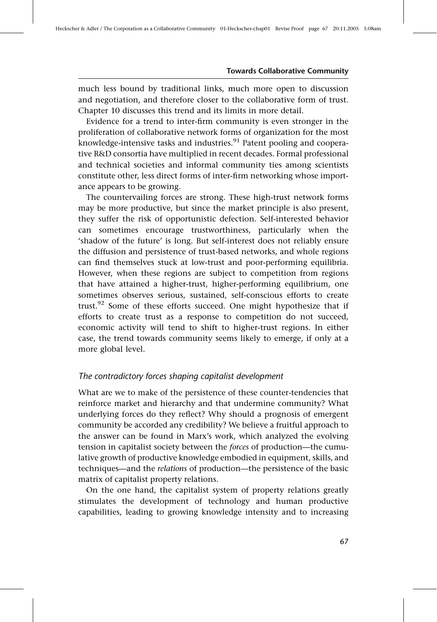much less bound by traditional links, much more open to discussion and negotiation, and therefore closer to the collaborative form of trust. Chapter 10 discusses this trend and its limits in more detail.

Evidence for a trend to inter-firm community is even stronger in the proliferation of collaborative network forms of organization for the most knowledge-intensive tasks and industries. $91$  Patent pooling and cooperative R&D consortia have multiplied in recent decades. Formal professional and technical societies and informal community ties among scientists constitute other, less direct forms of inter-firm networking whose importance appears to be growing.

The countervailing forces are strong. These high-trust network forms may be more productive, but since the market principle is also present, they suffer the risk of opportunistic defection. Self-interested behavior can sometimes encourage trustworthiness, particularly when the 'shadow of the future' is long. But self-interest does not reliably ensure the diffusion and persistence of trust-based networks, and whole regions can find themselves stuck at low-trust and poor-performing equilibria. However, when these regions are subject to competition from regions that have attained a higher-trust, higher-performing equilibrium, one sometimes observes serious, sustained, self-conscious efforts to create trust.<sup>92</sup> Some of these efforts succeed. One might hypothesize that if efforts to create trust as a response to competition do not succeed, economic activity will tend to shift to higher-trust regions. In either case, the trend towards community seems likely to emerge, if only at a more global level.

## The contradictory forces shaping capitalist development

What are we to make of the persistence of these counter-tendencies that reinforce market and hierarchy and that undermine community? What underlying forces do they reflect? Why should a prognosis of emergent community be accorded any credibility? We believe a fruitful approach to the answer can be found in Marx's work, which analyzed the evolving tension in capitalist society between the *forces* of production—the cumulative growth of productive knowledge embodied in equipment, skills, and techniques—and the relations of production—the persistence of the basic matrix of capitalist property relations.

On the one hand, the capitalist system of property relations greatly stimulates the development of technology and human productive capabilities, leading to growing knowledge intensity and to increasing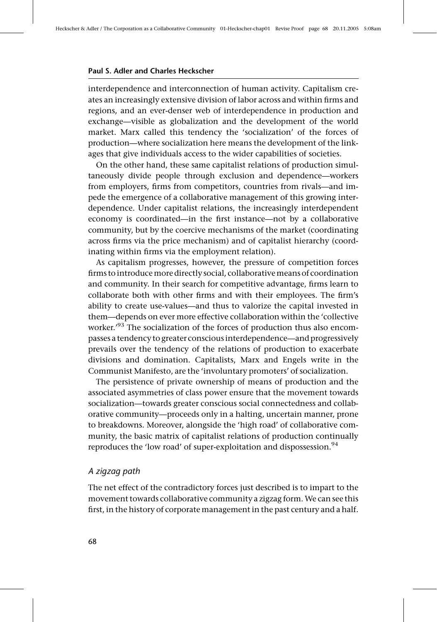interdependence and interconnection of human activity. Capitalism creates an increasingly extensive division of labor across and within firms and regions, and an ever-denser web of interdependence in production and exchange—visible as globalization and the development of the world market. Marx called this tendency the 'socialization' of the forces of production—where socialization here means the development of the linkages that give individuals access to the wider capabilities of societies.

On the other hand, these same capitalist relations of production simultaneously divide people through exclusion and dependence—workers from employers, firms from competitors, countries from rivals—and impede the emergence of a collaborative management of this growing interdependence. Under capitalist relations, the increasingly interdependent economy is coordinated—in the first instance—not by a collaborative community, but by the coercive mechanisms of the market (coordinating across firms via the price mechanism) and of capitalist hierarchy (coordinating within firms via the employment relation).

As capitalism progresses, however, the pressure of competition forces firms to introduce more directly social, collaborative means of coordination and community. In their search for competitive advantage, firms learn to collaborate both with other firms and with their employees. The firm's ability to create use-values—and thus to valorize the capital invested in them—depends on ever more effective collaboration within the 'collective worker.'93 The socialization of the forces of production thus also encompasses a tendency to greater conscious interdependence—and progressively prevails over the tendency of the relations of production to exacerbate divisions and domination. Capitalists, Marx and Engels write in the Communist Manifesto, are the 'involuntary promoters' of socialization.

The persistence of private ownership of means of production and the associated asymmetries of class power ensure that the movement towards socialization—towards greater conscious social connectedness and collaborative community—proceeds only in a halting, uncertain manner, prone to breakdowns. Moreover, alongside the 'high road' of collaborative community, the basic matrix of capitalist relations of production continually reproduces the 'low road' of super-exploitation and dispossession.<sup>94</sup>

# A zigzag path

The net effect of the contradictory forces just described is to impart to the movement towards collaborative community a zigzag form. We can see this first, in the history of corporate management in the past century and a half.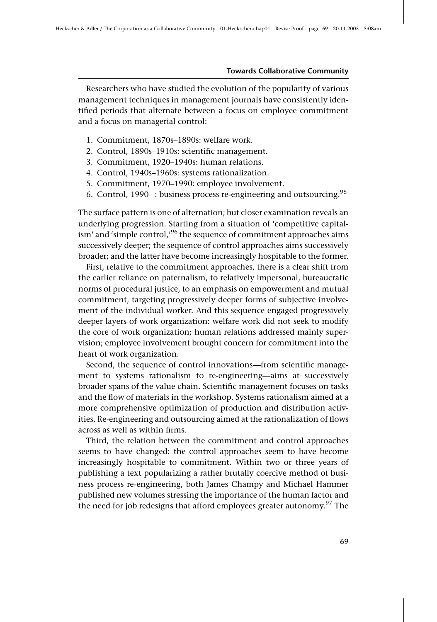Researchers who have studied the evolution of the popularity of various management techniques in management journals have consistently identified periods that alternate between a focus on employee commitment and a focus on managerial control:

- 1. Commitment, 1870s–1890s: welfare work.
- 2. Control, 1890s–1910s: scientific management.
- 3. Commitment, 1920–1940s: human relations.
- 4. Control, 1940s–1960s: systems rationalization.
- 5. Commitment, 1970–1990: employee involvement.
- 6. Control, 1990– : business process re-engineering and outsourcing.  $95$

The surface pattern is one of alternation; but closer examination reveals an underlying progression. Starting from a situation of 'competitive capitalism' and 'simple control,<sup>196</sup> the sequence of commitment approaches aims successively deeper; the sequence of control approaches aims successively broader; and the latter have become increasingly hospitable to the former.

First, relative to the commitment approaches, there is a clear shift from the earlier reliance on paternalism, to relatively impersonal, bureaucratic norms of procedural justice, to an emphasis on empowerment and mutual commitment, targeting progressively deeper forms of subjective involvement of the individual worker. And this sequence engaged progressively deeper layers of work organization: welfare work did not seek to modify the core of work organization; human relations addressed mainly supervision; employee involvement brought concern for commitment into the heart of work organization.

Second, the sequence of control innovations—from scientific management to systems rationalism to re-engineering—aims at successively broader spans of the value chain. Scientific management focuses on tasks and the flow of materials in the workshop. Systems rationalism aimed at a more comprehensive optimization of production and distribution activities. Re-engineering and outsourcing aimed at the rationalization of flows across as well as within firms.

Third, the relation between the commitment and control approaches seems to have changed: the control approaches seem to have become increasingly hospitable to commitment. Within two or three years of publishing a text popularizing a rather brutally coercive method of business process re-engineering, both James Champy and Michael Hammer published new volumes stressing the importance of the human factor and the need for job redesigns that afford employees greater autonomy.<sup>97</sup> The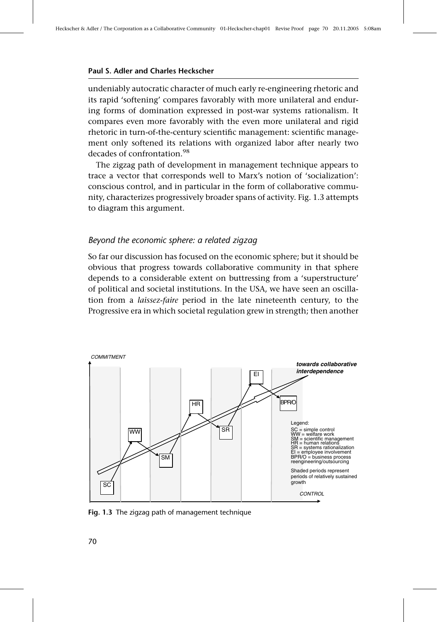undeniably autocratic character of much early re-engineering rhetoric and its rapid 'softening' compares favorably with more unilateral and enduring forms of domination expressed in post-war systems rationalism. It compares even more favorably with the even more unilateral and rigid rhetoric in turn-of-the-century scientific management: scientific management only softened its relations with organized labor after nearly two decades of confrontation.<sup>98</sup>

The zigzag path of development in management technique appears to trace a vector that corresponds well to Marx's notion of 'socialization': conscious control, and in particular in the form of collaborative community, characterizes progressively broader spans of activity. Fig. 1.3 attempts to diagram this argument.

## Beyond the economic sphere: a related zigzag

So far our discussion has focused on the economic sphere; but it should be obvious that progress towards collaborative community in that sphere depends to a considerable extent on buttressing from a 'superstructure' of political and societal institutions. In the USA, we have seen an oscillation from a laissez-faire period in the late nineteenth century, to the Progressive era in which societal regulation grew in strength; then another



Fig. 1.3 The zigzag path of management technique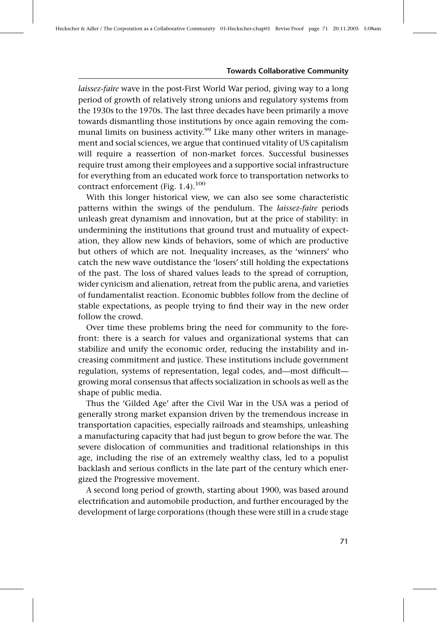laissez-faire wave in the post-First World War period, giving way to a long period of growth of relatively strong unions and regulatory systems from the 1930s to the 1970s. The last three decades have been primarily a move towards dismantling those institutions by once again removing the communal limits on business activity.<sup>99</sup> Like many other writers in management and social sciences, we argue that continued vitality of US capitalism will require a reassertion of non-market forces. Successful businesses require trust among their employees and a supportive social infrastructure for everything from an educated work force to transportation networks to contract enforcement (Fig. 1.4).<sup>100</sup>

With this longer historical view, we can also see some characteristic patterns within the swings of the pendulum. The laissez-faire periods unleash great dynamism and innovation, but at the price of stability: in undermining the institutions that ground trust and mutuality of expectation, they allow new kinds of behaviors, some of which are productive but others of which are not. Inequality increases, as the 'winners' who catch the new wave outdistance the 'losers' still holding the expectations of the past. The loss of shared values leads to the spread of corruption, wider cynicism and alienation, retreat from the public arena, and varieties of fundamentalist reaction. Economic bubbles follow from the decline of stable expectations, as people trying to find their way in the new order follow the crowd.

Over time these problems bring the need for community to the forefront: there is a search for values and organizational systems that can stabilize and unify the economic order, reducing the instability and increasing commitment and justice. These institutions include government regulation, systems of representation, legal codes, and—most difficult growing moral consensus that affects socialization in schools as well as the shape of public media.

Thus the 'Gilded Age' after the Civil War in the USA was a period of generally strong market expansion driven by the tremendous increase in transportation capacities, especially railroads and steamships, unleashing a manufacturing capacity that had just begun to grow before the war. The severe dislocation of communities and traditional relationships in this age, including the rise of an extremely wealthy class, led to a populist backlash and serious conflicts in the late part of the century which energized the Progressive movement.

A second long period of growth, starting about 1900, was based around electrification and automobile production, and further encouraged by the development of large corporations (though these were still in a crude stage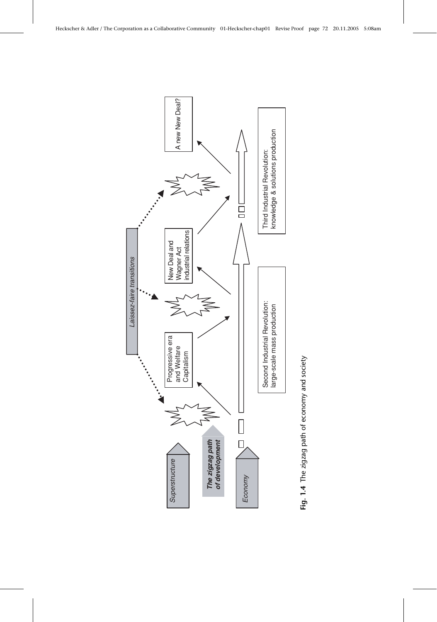

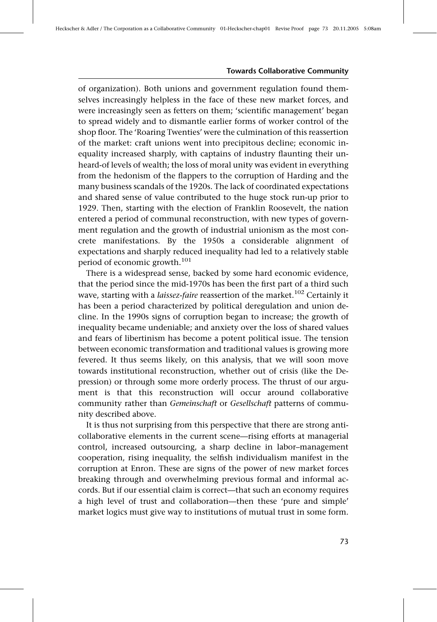of organization). Both unions and government regulation found themselves increasingly helpless in the face of these new market forces, and were increasingly seen as fetters on them; 'scientific management' began to spread widely and to dismantle earlier forms of worker control of the shop floor. The 'Roaring Twenties' were the culmination of this reassertion of the market: craft unions went into precipitous decline; economic inequality increased sharply, with captains of industry flaunting their unheard-of levels of wealth; the loss of moral unity was evident in everything from the hedonism of the flappers to the corruption of Harding and the many business scandals of the 1920s. The lack of coordinated expectations and shared sense of value contributed to the huge stock run-up prior to 1929. Then, starting with the election of Franklin Roosevelt, the nation entered a period of communal reconstruction, with new types of government regulation and the growth of industrial unionism as the most concrete manifestations. By the 1950s a considerable alignment of expectations and sharply reduced inequality had led to a relatively stable period of economic growth.<sup>101</sup>

There is a widespread sense, backed by some hard economic evidence, that the period since the mid-1970s has been the first part of a third such wave, starting with a laissez-faire reassertion of the market.<sup>102</sup> Certainly it has been a period characterized by political deregulation and union decline. In the 1990s signs of corruption began to increase; the growth of inequality became undeniable; and anxiety over the loss of shared values and fears of libertinism has become a potent political issue. The tension between economic transformation and traditional values is growing more fevered. It thus seems likely, on this analysis, that we will soon move towards institutional reconstruction, whether out of crisis (like the Depression) or through some more orderly process. The thrust of our argument is that this reconstruction will occur around collaborative community rather than Gemeinschaft or Gesellschaft patterns of community described above.

It is thus not surprising from this perspective that there are strong anticollaborative elements in the current scene—rising efforts at managerial control, increased outsourcing, a sharp decline in labor–management cooperation, rising inequality, the selfish individualism manifest in the corruption at Enron. These are signs of the power of new market forces breaking through and overwhelming previous formal and informal accords. But if our essential claim is correct—that such an economy requires a high level of trust and collaboration—then these 'pure and simple' market logics must give way to institutions of mutual trust in some form.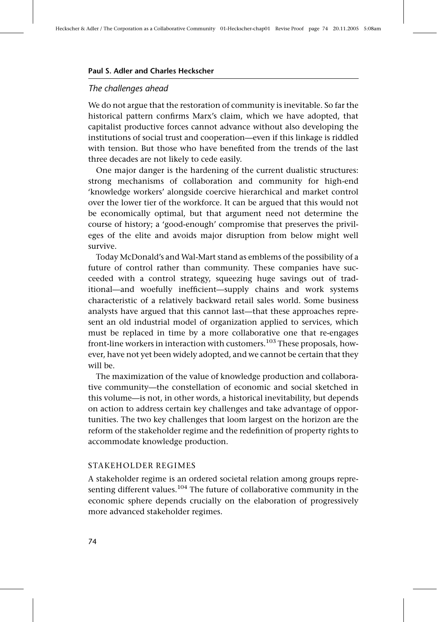### The challenges ahead

We do not argue that the restoration of community is inevitable. So far the historical pattern confirms Marx's claim, which we have adopted, that capitalist productive forces cannot advance without also developing the institutions of social trust and cooperation—even if this linkage is riddled with tension. But those who have benefited from the trends of the last three decades are not likely to cede easily.

One major danger is the hardening of the current dualistic structures: strong mechanisms of collaboration and community for high-end 'knowledge workers' alongside coercive hierarchical and market control over the lower tier of the workforce. It can be argued that this would not be economically optimal, but that argument need not determine the course of history; a 'good-enough' compromise that preserves the privileges of the elite and avoids major disruption from below might well survive.

Today McDonald's and Wal-Mart stand as emblems of the possibility of a future of control rather than community. These companies have succeeded with a control strategy, squeezing huge savings out of traditional—and woefully inefficient—supply chains and work systems characteristic of a relatively backward retail sales world. Some business analysts have argued that this cannot last—that these approaches represent an old industrial model of organization applied to services, which must be replaced in time by a more collaborative one that re-engages front-line workers in interaction with customers.<sup>103</sup> These proposals, however, have not yet been widely adopted, and we cannot be certain that they will be.

The maximization of the value of knowledge production and collaborative community—the constellation of economic and social sketched in this volume—is not, in other words, a historical inevitability, but depends on action to address certain key challenges and take advantage of opportunities. The two key challenges that loom largest on the horizon are the reform of the stakeholder regime and the redefinition of property rights to accommodate knowledge production.

# STAKEHOLDER REGIMES

A stakeholder regime is an ordered societal relation among groups representing different values.<sup>104</sup> The future of collaborative community in the economic sphere depends crucially on the elaboration of progressively more advanced stakeholder regimes.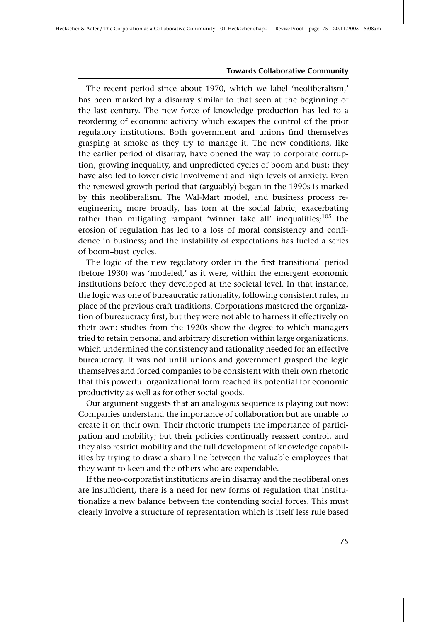The recent period since about 1970, which we label 'neoliberalism,' has been marked by a disarray similar to that seen at the beginning of the last century. The new force of knowledge production has led to a reordering of economic activity which escapes the control of the prior regulatory institutions. Both government and unions find themselves grasping at smoke as they try to manage it. The new conditions, like the earlier period of disarray, have opened the way to corporate corruption, growing inequality, and unpredicted cycles of boom and bust; they have also led to lower civic involvement and high levels of anxiety. Even the renewed growth period that (arguably) began in the 1990s is marked by this neoliberalism. The Wal-Mart model, and business process reengineering more broadly, has torn at the social fabric, exacerbating rather than mitigating rampant 'winner take all' inequalities;  $105$  the erosion of regulation has led to a loss of moral consistency and confidence in business; and the instability of expectations has fueled a series of boom–bust cycles.

The logic of the new regulatory order in the first transitional period (before 1930) was 'modeled,' as it were, within the emergent economic institutions before they developed at the societal level. In that instance, the logic was one of bureaucratic rationality, following consistent rules, in place of the previous craft traditions. Corporations mastered the organization of bureaucracy first, but they were not able to harness it effectively on their own: studies from the 1920s show the degree to which managers tried to retain personal and arbitrary discretion within large organizations, which undermined the consistency and rationality needed for an effective bureaucracy. It was not until unions and government grasped the logic themselves and forced companies to be consistent with their own rhetoric that this powerful organizational form reached its potential for economic productivity as well as for other social goods.

Our argument suggests that an analogous sequence is playing out now: Companies understand the importance of collaboration but are unable to create it on their own. Their rhetoric trumpets the importance of participation and mobility; but their policies continually reassert control, and they also restrict mobility and the full development of knowledge capabilities by trying to draw a sharp line between the valuable employees that they want to keep and the others who are expendable.

If the neo-corporatist institutions are in disarray and the neoliberal ones are insufficient, there is a need for new forms of regulation that institutionalize a new balance between the contending social forces. This must clearly involve a structure of representation which is itself less rule based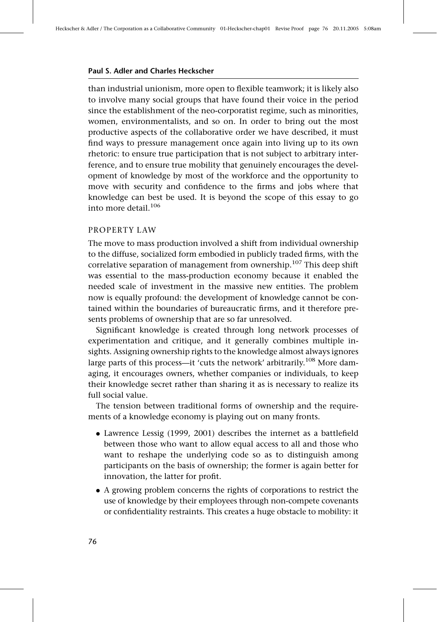than industrial unionism, more open to flexible teamwork; it is likely also to involve many social groups that have found their voice in the period since the establishment of the neo-corporatist regime, such as minorities, women, environmentalists, and so on. In order to bring out the most productive aspects of the collaborative order we have described, it must find ways to pressure management once again into living up to its own rhetoric: to ensure true participation that is not subject to arbitrary interference, and to ensure true mobility that genuinely encourages the development of knowledge by most of the workforce and the opportunity to move with security and confidence to the firms and jobs where that knowledge can best be used. It is beyond the scope of this essay to go into more detail.<sup>106</sup>

## PROPERTY LAW

The move to mass production involved a shift from individual ownership to the diffuse, socialized form embodied in publicly traded firms, with the correlative separation of management from ownership.<sup>107</sup> This deep shift was essential to the mass-production economy because it enabled the needed scale of investment in the massive new entities. The problem now is equally profound: the development of knowledge cannot be contained within the boundaries of bureaucratic firms, and it therefore presents problems of ownership that are so far unresolved.

Significant knowledge is created through long network processes of experimentation and critique, and it generally combines multiple insights. Assigning ownership rights to the knowledge almost always ignores large parts of this process—it 'cuts the network' arbitrarily.<sup>108</sup> More damaging, it encourages owners, whether companies or individuals, to keep their knowledge secret rather than sharing it as is necessary to realize its full social value.

The tension between traditional forms of ownership and the requirements of a knowledge economy is playing out on many fronts.

- . Lawrence Lessig (1999, 2001) describes the internet as a battlefield between those who want to allow equal access to all and those who want to reshape the underlying code so as to distinguish among participants on the basis of ownership; the former is again better for innovation, the latter for profit.
- . A growing problem concerns the rights of corporations to restrict the use of knowledge by their employees through non-compete covenants or confidentiality restraints. This creates a huge obstacle to mobility: it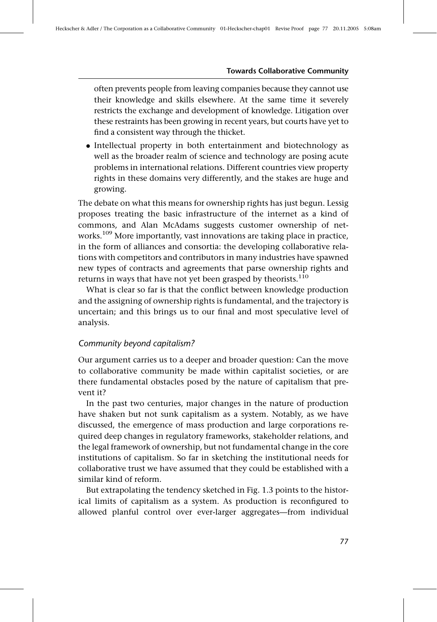often prevents people from leaving companies because they cannot use their knowledge and skills elsewhere. At the same time it severely restricts the exchange and development of knowledge. Litigation over these restraints has been growing in recent years, but courts have yet to find a consistent way through the thicket.

. Intellectual property in both entertainment and biotechnology as well as the broader realm of science and technology are posing acute problems in international relations. Different countries view property rights in these domains very differently, and the stakes are huge and growing.

The debate on what this means for ownership rights has just begun. Lessig proposes treating the basic infrastructure of the internet as a kind of commons, and Alan McAdams suggests customer ownership of networks.<sup>109</sup> More importantly, vast innovations are taking place in practice, in the form of alliances and consortia: the developing collaborative relations with competitors and contributors in many industries have spawned new types of contracts and agreements that parse ownership rights and returns in ways that have not yet been grasped by theorists.<sup>110</sup>

What is clear so far is that the conflict between knowledge production and the assigning of ownership rights is fundamental, and the trajectory is uncertain; and this brings us to our final and most speculative level of analysis.

## Community beyond capitalism?

Our argument carries us to a deeper and broader question: Can the move to collaborative community be made within capitalist societies, or are there fundamental obstacles posed by the nature of capitalism that prevent it?

In the past two centuries, major changes in the nature of production have shaken but not sunk capitalism as a system. Notably, as we have discussed, the emergence of mass production and large corporations required deep changes in regulatory frameworks, stakeholder relations, and the legal framework of ownership, but not fundamental change in the core institutions of capitalism. So far in sketching the institutional needs for collaborative trust we have assumed that they could be established with a similar kind of reform.

But extrapolating the tendency sketched in Fig. 1.3 points to the historical limits of capitalism as a system. As production is reconfigured to allowed planful control over ever-larger aggregates—from individual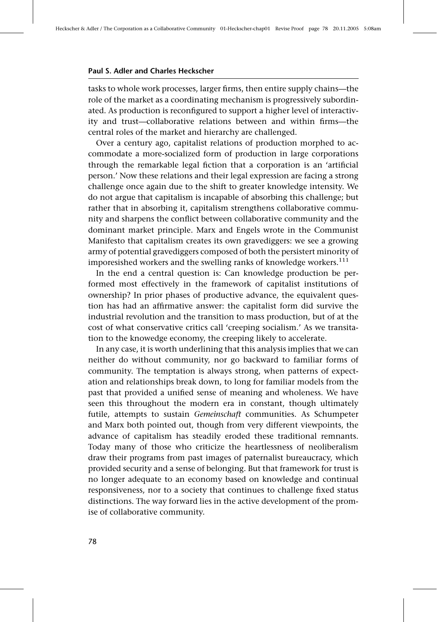tasks to whole work processes, larger firms, then entire supply chains—the role of the market as a coordinating mechanism is progressively subordinated. As production is reconfigured to support a higher level of interactivity and trust—collaborative relations between and within firms—the central roles of the market and hierarchy are challenged.

Over a century ago, capitalist relations of production morphed to accommodate a more-socialized form of production in large corporations through the remarkable legal fiction that a corporation is an 'artificial person.' Now these relations and their legal expression are facing a strong challenge once again due to the shift to greater knowledge intensity. We do not argue that capitalism is incapable of absorbing this challenge; but rather that in absorbing it, capitalism strengthens collaborative community and sharpens the conflict between collaborative community and the dominant market principle. Marx and Engels wrote in the Communist Manifesto that capitalism creates its own gravediggers: we see a growing army of potential gravediggers composed of both the persistert minority of imporesished workers and the swelling ranks of knowledge workers.<sup>111</sup>

In the end a central question is: Can knowledge production be performed most effectively in the framework of capitalist institutions of ownership? In prior phases of productive advance, the equivalent question has had an affirmative answer: the capitalist form did survive the industrial revolution and the transition to mass production, but of at the cost of what conservative critics call 'creeping socialism.' As we transitation to the knowedge economy, the creeping likely to accelerate.

In any case, it is worth underlining that this analysis implies that we can neither do without community, nor go backward to familiar forms of community. The temptation is always strong, when patterns of expectation and relationships break down, to long for familiar models from the past that provided a unified sense of meaning and wholeness. We have seen this throughout the modern era in constant, though ultimately futile, attempts to sustain Gemeinschaft communities. As Schumpeter and Marx both pointed out, though from very different viewpoints, the advance of capitalism has steadily eroded these traditional remnants. Today many of those who criticize the heartlessness of neoliberalism draw their programs from past images of paternalist bureaucracy, which provided security and a sense of belonging. But that framework for trust is no longer adequate to an economy based on knowledge and continual responsiveness, nor to a society that continues to challenge fixed status distinctions. The way forward lies in the active development of the promise of collaborative community.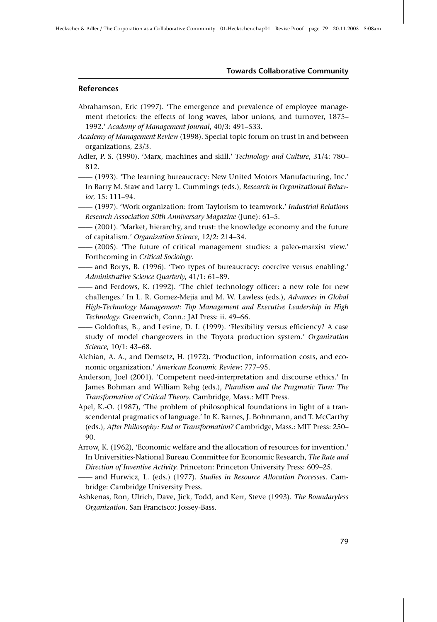#### References

- Abrahamson, Eric (1997). 'The emergence and prevalence of employee management rhetorics: the effects of long waves, labor unions, and turnover, 1875– 1992.' Academy of Management Journal, 40/3: 491–533.
- Academy of Management Review (1998). Special topic forum on trust in and between organizations, 23/3.
- Adler, P. S. (1990). 'Marx, machines and skill.' Technology and Culture, 31/4: 780– 812.

—— (1993). 'The learning bureaucracy: New United Motors Manufacturing, Inc.' In Barry M. Staw and Larry L. Cummings (eds.), Research in Organizational Behavior, 15: 111–94.

- —— (1997). 'Work organization: from Taylorism to teamwork.' Industrial Relations Research Association 50th Anniversary Magazine (June): 61–5.
- —— (2001). 'Market, hierarchy, and trust: the knowledge economy and the future of capitalism.' Organization Science, 12/2: 214–34.
- —— (2005). 'The future of critical management studies: a paleo-marxist view.' Forthcoming in Critical Sociology.
- —— and Borys, B. (1996). 'Two types of bureaucracy: coercive versus enabling.' Administrative Science Quarterly, 41/1: 61–89.
- —— and Ferdows, K. (1992). 'The chief technology officer: a new role for new challenges.' In L. R. Gomez-Mejia and M. W. Lawless (eds.), Advances in Global High-Technology Management: Top Management and Executive Leadership in High Technology. Greenwich, Conn.: JAI Press: ii. 49–66.
- —— Goldoftas, B., and Levine, D. I. (1999). 'Flexibility versus efficiency? A case study of model changeovers in the Toyota production system.' Organization Science, 10/1: 43–68.
- Alchian, A. A., and Demsetz, H. (1972). 'Production, information costs, and economic organization.' American Economic Review: 777–95.
- Anderson, Joel (2001). 'Competent need-interpretation and discourse ethics.' In James Bohman and William Rehg (eds.), Pluralism and the Pragmatic Turn: The Transformation of Critical Theory. Cambridge, Mass.: MIT Press.
- Apel, K.-O. (1987), 'The problem of philosophical foundations in light of a transcendental pragmatics of language.' In K. Barnes, J. Bohnmann, and T. McCarthy (eds.), After Philosophy: End or Transformation? Cambridge, Mass.: MIT Press: 250– 90.
- Arrow, K. (1962), 'Economic welfare and the allocation of resources for invention.' In Universities-National Bureau Committee for Economic Research, The Rate and Direction of Inventive Activity. Princeton: Princeton University Press: 609–25.
- and Hurwicz, L. (eds.) (1977). Studies in Resource Allocation Processes. Cambridge: Cambridge University Press.
- Ashkenas, Ron, Ulrich, Dave, Jick, Todd, and Kerr, Steve (1993). The Boundaryless Organization. San Francisco: Jossey-Bass.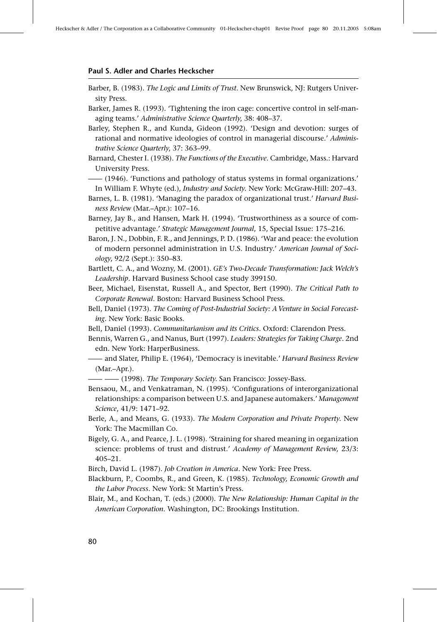- Barber, B. (1983). The Logic and Limits of Trust. New Brunswick, NJ: Rutgers University Press.
- Barker, James R. (1993). 'Tightening the iron cage: concertive control in self-managing teams.' Administrative Science Quarterly, 38: 408–37.
- Barley, Stephen R., and Kunda, Gideon (1992). 'Design and devotion: surges of rational and normative ideologies of control in managerial discourse.' Administrative Science Quarterly, 37: 363–99.
- Barnard, Chester I. (1938). The Functions of the Executive. Cambridge, Mass.: Harvard University Press.
- —— (1946). 'Functions and pathology of status systems in formal organizations.' In William F. Whyte (ed.), Industry and Society. New York: McGraw-Hill: 207–43.
- Barnes, L. B. (1981). 'Managing the paradox of organizational trust.' Harvard Business Review (Mar.–Apr.): 107–16.
- Barney, Jay B., and Hansen, Mark H. (1994). 'Trustworthiness as a source of competitive advantage.' Strategic Management Journal, 15, Special Issue: 175–216.
- Baron, J. N., Dobbin, F. R., and Jennings, P. D. (1986). 'War and peace: the evolution of modern personnel administration in U.S. Industry.' American Journal of Sociology, 92/2 (Sept.): 350–83.
- Bartlett, C. A., and Wozny, M. (2001). GE's Two-Decade Transformation: Jack Welch's Leadership. Harvard Business School case study 399150.
- Beer, Michael, Eisenstat, Russell A., and Spector, Bert (1990). The Critical Path to Corporate Renewal. Boston: Harvard Business School Press.
- Bell, Daniel (1973). The Coming of Post-Industrial Society: A Venture in Social Forecasting. New York: Basic Books.
- Bell, Daniel (1993). Communitarianism and its Critics. Oxford: Clarendon Press.
- Bennis, Warren G., and Nanus, Burt (1997). Leaders: Strategies for Taking Charge. 2nd edn. New York: HarperBusiness.
- and Slater, Philip E. (1964), 'Democracy is inevitable.' Harvard Business Review (Mar.–Apr.).

— —— (1998). The Temporary Society. San Francisco: Jossey-Bass.

- Bensaou, M., and Venkatraman, N. (1995). 'Configurations of interorganizational relationships: a comparison between U.S. and Japanese automakers.' Management Science, 41/9: 1471–92.
- Berle, A., and Means, G. (1933). The Modern Corporation and Private Property. New York: The Macmillan Co.
- Bigely, G. A., and Pearce, J. L. (1998). 'Straining for shared meaning in organization science: problems of trust and distrust.' Academy of Management Review, 23/3: 405–21.

Birch, David L. (1987). Job Creation in America. New York: Free Press.

- Blackburn, P., Coombs, R., and Green, K. (1985). Technology, Economic Growth and the Labor Process. New York: St Martin's Press.
- Blair, M., and Kochan, T. (eds.) (2000). The New Relationship: Human Capital in the American Corporation. Washington, DC: Brookings Institution.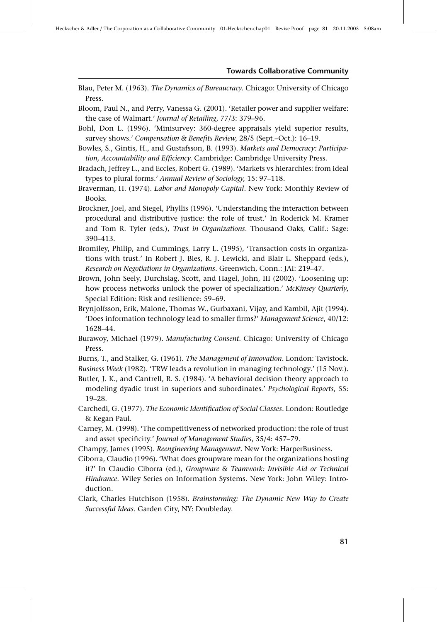- Blau, Peter M. (1963). The Dynamics of Bureaucracy. Chicago: University of Chicago Press.
- Bloom, Paul N., and Perry, Vanessa G. (2001). 'Retailer power and supplier welfare: the case of Walmart.' Journal of Retailing, 77/3: 379–96.
- Bohl, Don L. (1996). 'Minisurvey: 360-degree appraisals yield superior results, survey shows.' Compensation & Benefits Review, 28/5 (Sept.–Oct.): 16–19.
- Bowles, S., Gintis, H., and Gustafsson, B. (1993). Markets and Democracy: Participation, Accountability and Efficiency. Cambridge: Cambridge University Press.
- Bradach, Jeffrey L., and Eccles, Robert G. (1989). 'Markets vs hierarchies: from ideal types to plural forms.' Annual Review of Sociology, 15: 97–118.
- Braverman, H. (1974). Labor and Monopoly Capital. New York: Monthly Review of Books.
- Brockner, Joel, and Siegel, Phyllis (1996). 'Understanding the interaction between procedural and distributive justice: the role of trust.' In Roderick M. Kramer and Tom R. Tyler (eds.), Trust in Organizations. Thousand Oaks, Calif.: Sage: 390–413.
- Bromiley, Philip, and Cummings, Larry L. (1995), 'Transaction costs in organizations with trust.' In Robert J. Bies, R. J. Lewicki, and Blair L. Sheppard (eds.), Research on Negotiations in Organizations. Greenwich, Conn.: JAI: 219–47.
- Brown, John Seely, Durchslag, Scott, and Hagel, John, III (2002). 'Loosening up: how process networks unlock the power of specialization.' McKinsey Quarterly, Special Edition: Risk and resilience: 59–69.
- Brynjolfsson, Erik, Malone, Thomas W., Gurbaxani, Vijay, and Kambil, Ajit (1994). 'Does information technology lead to smaller firms?' Management Science, 40/12: 1628–44.
- Burawoy, Michael (1979). Manufacturing Consent. Chicago: University of Chicago Press.
- Burns, T., and Stalker, G. (1961). The Management of Innovation. London: Tavistock.

Business Week (1982). 'TRW leads a revolution in managing technology.' (15 Nov.).

- Butler, J. K., and Cantrell, R. S. (1984). 'A behavioral decision theory approach to modeling dyadic trust in superiors and subordinates.' Psychological Reports, 55: 19–28.
- Carchedi, G. (1977). The Economic Identification of Social Classes. London: Routledge & Kegan Paul.
- Carney, M. (1998). 'The competitiveness of networked production: the role of trust and asset specificity.' Journal of Management Studies, 35/4: 457–79.
- Champy, James (1995). Reengineering Management. New York: HarperBusiness.
- Ciborra, Claudio (1996). 'What does groupware mean for the organizations hosting it?' In Claudio Ciborra (ed.), Groupware & Teamwork: Invisible Aid or Technical Hindrance. Wiley Series on Information Systems. New York: John Wiley: Introduction.
- Clark, Charles Hutchison (1958). Brainstorming: The Dynamic New Way to Create Successful Ideas. Garden City, NY: Doubleday.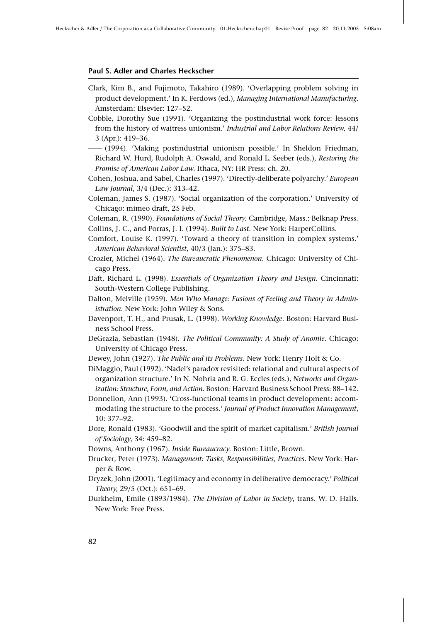- Clark, Kim B., and Fujimoto, Takahiro (1989). 'Overlapping problem solving in product development.' In K. Ferdows (ed.), Managing International Manufacturing. Amsterdam: Elsevier: 127–52.
- Cobble, Dorothy Sue (1991). 'Organizing the postindustrial work force: lessons from the history of waitress unionism.' Industrial and Labor Relations Review, 44/ 3 (Apr.): 419–36.
- —— (1994). 'Making postindustrial unionism possible.' In Sheldon Friedman, Richard W. Hurd, Rudolph A. Oswald, and Ronald L. Seeber (eds.), Restoring the Promise of American Labor Law. Ithaca, NY: HR Press: ch. 20.
- Cohen, Joshua, and Sabel, Charles (1997). 'Directly-deliberate polyarchy.' European Law Journal, 3/4 (Dec.): 313–42.
- Coleman, James S. (1987). 'Social organization of the corporation.' University of Chicago: mimeo draft, 25 Feb.
- Coleman, R. (1990). Foundations of Social Theory. Cambridge, Mass.: Belknap Press.
- Collins, J. C., and Porras, J. I. (1994). Built to Last. New York: HarperCollins.
- Comfort, Louise K. (1997). 'Toward a theory of transition in complex systems.' American Behavioral Scientist, 40/3 (Jan.): 375–83.
- Crozier, Michel (1964). The Bureaucratic Phenomenon. Chicago: University of Chicago Press.
- Daft, Richard L. (1998). Essentials of Organization Theory and Design. Cincinnati: South-Western College Publishing.
- Dalton, Melville (1959). Men Who Manage: Fusions of Feeling and Theory in Administration. New York: John Wiley & Sons.
- Davenport, T. H., and Prusak, L. (1998). Working Knowledge. Boston: Harvard Business School Press.
- DeGrazia, Sebastian (1948). The Political Community: A Study of Anomie. Chicago: University of Chicago Press.
- Dewey, John (1927). The Public and its Problems. New York: Henry Holt & Co.
- DiMaggio, Paul (1992). 'Nadel's paradox revisited: relational and cultural aspects of organization structure.' In N. Nohria and R. G. Eccles (eds.), Networks and Organization: Structure, Form, and Action. Boston: Harvard Business School Press: 88–142.
- Donnellon, Ann (1993). 'Cross-functional teams in product development: accommodating the structure to the process.' Journal of Product Innovation Management, 10: 377–92.
- Dore, Ronald (1983). 'Goodwill and the spirit of market capitalism.' British Journal of Sociology, 34: 459–82.
- Downs, Anthony (1967). Inside Bureaucracy. Boston: Little, Brown.
- Drucker, Peter (1973). Management: Tasks, Responsibilities, Practices. New York: Harper & Row.
- Dryzek, John (2001). 'Legitimacy and economy in deliberative democracy.' Political Theory, 29/5 (Oct.): 651–69.
- Durkheim, Emile (1893/1984). The Division of Labor in Society, trans. W. D. Halls. New York: Free Press.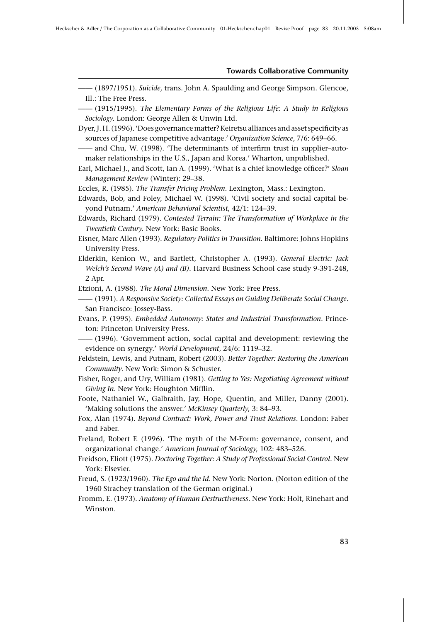- —— (1897/1951). Suicide, trans. John A. Spaulding and George Simpson. Glencoe, Ill.: The Free Press.
- —— (1915/1995). The Elementary Forms of the Religious Life: A Study in Religious Sociology. London: George Allen & Unwin Ltd.
- Dyer, J. H. (1996). 'Does governance matter? Keiretsu alliances and asset specificity as sources of Japanese competitive advantage.' Organization Science, 7/6: 649–66.
- —— and Chu, W. (1998). 'The determinants of interfirm trust in supplier–automaker relationships in the U.S., Japan and Korea.' Wharton, unpublished.
- Earl, Michael J., and Scott, Ian A. (1999). 'What is a chief knowledge officer?' Sloan Management Review (Winter): 29–38.

Eccles, R. (1985). The Transfer Pricing Problem. Lexington, Mass.: Lexington.

- Edwards, Bob, and Foley, Michael W. (1998). 'Civil society and social capital beyond Putnam.' American Behavioral Scientist, 42/1: 124–39.
- Edwards, Richard (1979). Contested Terrain: The Transformation of Workplace in the Twentieth Century. New York: Basic Books.
- Eisner, Marc Allen (1993). Regulatory Politics in Transition. Baltimore: Johns Hopkins University Press.
- Elderkin, Kenion W., and Bartlett, Christopher A. (1993). General Electric: Jack Welch's Second Wave (A) and (B). Harvard Business School case study 9-391-248, 2 Apr.

Etzioni, A. (1988). The Moral Dimension. New York: Free Press.

- —— (1991). A Responsive Society: Collected Essays on Guiding Deliberate Social Change. San Francisco: Jossey-Bass.
- Evans, P. (1995). Embedded Autonomy: States and Industrial Transformation. Princeton: Princeton University Press.
- (1996). 'Government action, social capital and development: reviewing the evidence on synergy.' World Development, 24/6: 1119–32.
- Feldstein, Lewis, and Putnam, Robert (2003). Better Together: Restoring the American Community. New York: Simon & Schuster.
- Fisher, Roger, and Ury, William (1981). Getting to Yes: Negotiating Agreement without Giving In. New York: Houghton Mifflin.
- Foote, Nathaniel W., Galbraith, Jay, Hope, Quentin, and Miller, Danny (2001). 'Making solutions the answer.' McKinsey Quarterly, 3: 84–93.
- Fox, Alan (1974). Beyond Contract: Work, Power and Trust Relations. London: Faber and Faber.
- Freland, Robert F. (1996). 'The myth of the M-Form: governance, consent, and organizational change.' American Journal of Sociology, 102: 483–526.
- Freidson, Eliott (1975). Doctoring Together: A Study of Professional Social Control. New York: Elsevier.
- Freud, S. (1923/1960). The Ego and the Id. New York: Norton. (Norton edition of the 1960 Strachey translation of the German original.)
- Fromm, E. (1973). Anatomy of Human Destructiveness. New York: Holt, Rinehart and Winston.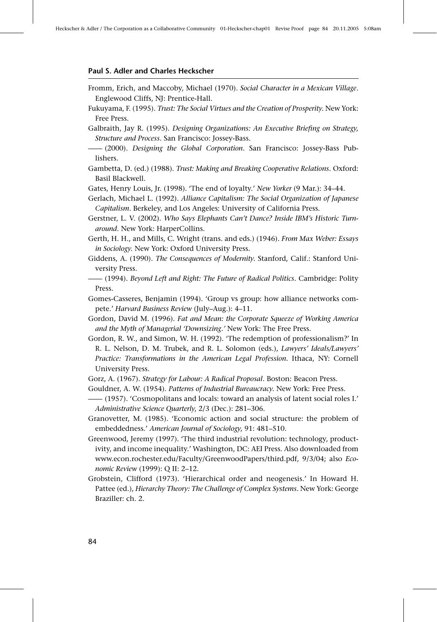- Fromm, Erich, and Maccoby, Michael (1970). Social Character in a Mexican Village. Englewood Cliffs, NJ: Prentice-Hall.
- Fukuyama, F. (1995). Trust: The Social Virtues and the Creation of Prosperity. New York: Free Press.
- Galbraith, Jay R. (1995). Designing Organizations: An Executive Briefing on Strategy, Structure and Process. San Francisco: Jossey-Bass.
- —— (2000). Designing the Global Corporation. San Francisco: Jossey-Bass Publishers.
- Gambetta, D. (ed.) (1988). Trust: Making and Breaking Cooperative Relations. Oxford: Basil Blackwell.

Gates, Henry Louis, Jr. (1998). 'The end of loyalty.' New Yorker (9 Mar.): 34–44.

- Gerlach, Michael L. (1992). Alliance Capitalism: The Social Organization of Japanese Capitalism. Berkeley, and Los Angeles: University of California Press.
- Gerstner, L. V. (2002). Who Says Elephants Can't Dance? Inside IBM's Historic Turnaround. New York: HarperCollins.
- Gerth, H. H., and Mills, C. Wright (trans. and eds.) (1946). From Max Weber: Essays in Sociology. New York: Oxford University Press.
- Giddens, A. (1990). The Consequences of Modernity. Stanford, Calif.: Stanford University Press.
- —— (1994). Beyond Left and Right: The Future of Radical Politics. Cambridge: Polity Press.
- Gomes-Casseres, Benjamin (1994). 'Group vs group: how alliance networks compete.' Harvard Business Review (July–Aug.): 4–11.
- Gordon, David M. (1996). Fat and Mean: the Corporate Squeeze of Working America and the Myth of Managerial 'Downsizing.' New York: The Free Press.
- Gordon, R. W., and Simon, W. H. (1992). 'The redemption of professionalism?' In R. L. Nelson, D. M. Trubek, and R. L. Solomon (eds.), Lawyers' Ideals/Lawyers' Practice: Transformations in the American Legal Profession. Ithaca, NY: Cornell University Press.
- Gorz, A. (1967). Strategy for Labour: A Radical Proposal. Boston: Beacon Press.
- Gouldner, A. W. (1954). Patterns of Industrial Bureaucracy. New York: Free Press.
- —— (1957). 'Cosmopolitans and locals: toward an analysis of latent social roles I.' Administrative Science Quarterly, 2/3 (Dec.): 281–306.
- Granovetter, M. (1985). 'Economic action and social structure: the problem of embeddedness.' American Journal of Sociology, 91: 481–510.
- Greenwood, Jeremy (1997). 'The third industrial revolution: technology, productivity, and income inequality.' Washington, DC: AEI Press. Also downloaded from www.econ.rochester.edu/Faculty/GreenwoodPapers/third.pdf, 9/3/04; also Economic Review (1999): Q II: 2–12.
- Grobstein, Clifford (1973). 'Hierarchical order and neogenesis.' In Howard H. Pattee (ed.), Hierarchy Theory: The Challenge of Complex Systems. New York: George Braziller: ch. 2.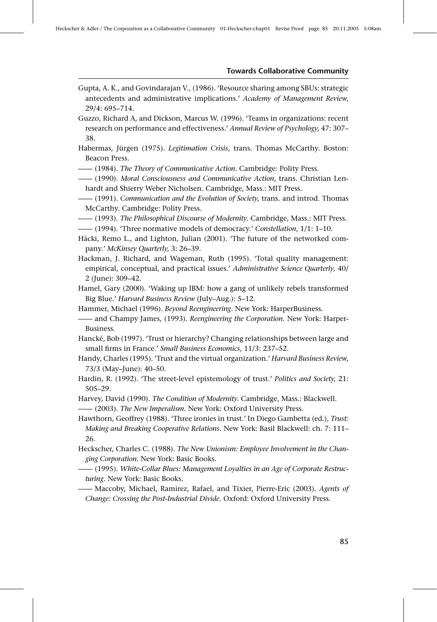- Gupta, A. K., and Govindarajan V., (1986). 'Resource sharing among SBUs: strategic antecedents and administrative implications.' Academy of Management Review, 29/4: 695–714.
- Guzzo, Richard A, and Dickson, Marcus W. (1996). 'Teams in organizations: recent research on performance and effectiveness.' Annual Review of Psychology, 47: 307– 38.
- Habermas, Jürgen (1975). Legitimation Crisis, trans. Thomas McCarthy. Boston: Beacon Press.
- —— (1984). The Theory of Communicative Action. Cambridge: Polity Press.
- —— (1990). Moral Consciousness and Communicative Action, trans. Christian Lenhardt and Shierry Weber Nicholsen. Cambridge, Mass.: MIT Press.
- $-$  (1991). Communication and the Evolution of Society, trans. and introd. Thomas McCarthy. Cambridge: Polity Press.
- —— (1993). The Philosophical Discourse of Modernity. Cambridge, Mass.: MIT Press.
- (1994). 'Three normative models of democracy.' Constellation, 1/1: 1-10.
- Häcki, Remo L., and Lighton, Julian (2001). 'The future of the networked company.' McKinsey Quarterly, 3: 26–39.
- Hackman, J. Richard, and Wageman, Ruth (1995). 'Total quality management: empirical, conceptual, and practical issues.' Administrative Science Quarterly, 40/ 2 (June): 309–42.
- Hamel, Gary (2000). 'Waking up IBM: how a gang of unlikely rebels transformed Big Blue.' Harvard Business Review (July–Aug.): 5–12.
- Hammer, Michael (1996). Beyond Reengineering. New York: HarperBusiness.
- —— and Champy James, (1993). Reengineering the Corporation. New York: Harper-Business.
- Hancké, Bob (1997). 'Trust or hierarchy? Changing relationships between large and small firms in France.' Small Business Economics, 11/3: 237–52.
- Handy, Charles (1995). 'Trust and the virtual organization.' Harvard Business Review, 73/3 (May–June): 40–50.
- Hardin, R. (1992). 'The street-level epistemology of trust.' Politics and Society, 21: 505–29.
- Harvey, David (1990). The Condition of Modernity. Cambridge, Mass.: Blackwell.

—— (2003). The New Imperalism. New York: Oxford University Press.

- Hawthorn, Geoffrey (1988). 'Three ironies in trust.' In Diego Gambetta (ed.), Trust: Making and Breaking Cooperative Relations. New York: Basil Blackwell: ch. 7: 111– 26.
- Heckscher, Charles C. (1988). The New Unionism: Employee Involvement in the Changing Corporation. New York: Basic Books.
- (1995). White-Collar Blues: Management Loyalties in an Age of Corporate Restructuring. New York: Basic Books.
- —— Maccoby, Michael, Ramirez, Rafael, and Tixier, Pierre-Eric (2003). Agents of Change: Crossing the Post-Industrial Divide. Oxford: Oxford University Press.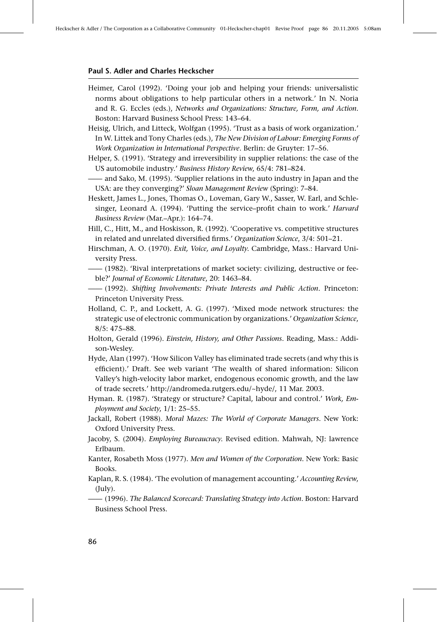- Heimer, Carol (1992). 'Doing your job and helping your friends: universalistic norms about obligations to help particular others in a network.' In N. Noria and R. G. Eccles (eds.), Networks and Organizations: Structure, Form, and Action. Boston: Harvard Business School Press: 143–64.
- Heisig, Ulrich, and Litteck, Wolfgan (1995). 'Trust as a basis of work organization.' In W. Littek and Tony Charles (eds.), The New Division of Labour: Emerging Forms of Work Organization in International Perspective. Berlin: de Gruyter: 17–56.
- Helper, S. (1991). 'Strategy and irreversibility in supplier relations: the case of the US automobile industry.' Business History Review, 65/4: 781–824.
- —— and Sako, M. (1995). 'Supplier relations in the auto industry in Japan and the USA: are they converging?' Sloan Management Review (Spring): 7–84.
- Heskett, James L., Jones, Thomas O., Loveman, Gary W., Sasser, W. Earl, and Schlesinger, Leonard A. (1994). 'Putting the service–profit chain to work.' Harvard Business Review (Mar.–Apr.): 164–74.
- Hill, C., Hitt, M., and Hoskisson, R. (1992). 'Cooperative vs. competitive structures in related and unrelated diversified firms.' Organization Science, 3/4: 501–21.
- Hirschman, A. O. (1970). Exit, Voice, and Loyalty. Cambridge, Mass.: Harvard University Press.
- —— (1982). 'Rival interpretations of market society: civilizing, destructive or feeble?' Journal of Economic Literature, 20: 1463–84.
- —— (1992). Shifting Involvements: Private Interests and Public Action. Princeton: Princeton University Press.
- Holland, C. P., and Lockett, A. G. (1997). 'Mixed mode network structures: the strategic use of electronic communication by organizations.' Organization Science, 8/5: 475–88.
- Holton, Gerald (1996). Einstein, History, and Other Passions. Reading, Mass.: Addison-Wesley.
- Hyde, Alan (1997). 'How Silicon Valley has eliminated trade secrets (and why this is efficient).' Draft. See web variant 'The wealth of shared information: Silicon Valley's high-velocity labor market, endogenous economic growth, and the law of trade secrets.' http://andromeda.rutgers.edu/~hyde/, 11 Mar. 2003.
- Hyman. R. (1987). 'Strategy or structure? Capital, labour and control.' Work, Employment and Society, 1/1: 25–55.
- Jackall, Robert (1988). Moral Mazes: The World of Corporate Managers. New York: Oxford University Press.
- Jacoby, S. (2004). Employing Bureaucracy. Revised edition. Mahwah, NJ: lawrence Erlbaum.
- Kanter, Rosabeth Moss (1977). Men and Women of the Corporation. New York: Basic Books.
- Kaplan, R. S. (1984). 'The evolution of management accounting.' Accounting Review, (July).
- —— (1996). The Balanced Scorecard: Translating Strategy into Action. Boston: Harvard Business School Press.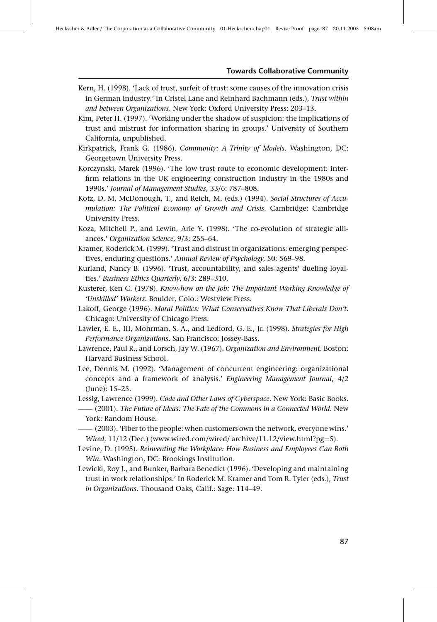- Kern, H. (1998). 'Lack of trust, surfeit of trust: some causes of the innovation crisis in German industry.' In Cristel Lane and Reinhard Bachmann (eds.), Trust within and between Organizations. New York: Oxford University Press: 203–13.
- Kim, Peter H. (1997). 'Working under the shadow of suspicion: the implications of trust and mistrust for information sharing in groups.' University of Southern California, unpublished.
- Kirkpatrick, Frank G. (1986). Community: A Trinity of Models. Washington, DC: Georgetown University Press.
- Korczynski, Marek (1996). 'The low trust route to economic development: interfirm relations in the UK engineering construction industry in the 1980s and 1990s.' Journal of Management Studies, 33/6: 787–808.
- Kotz, D. M, McDonough, T., and Reich, M. (eds.) (1994). Social Structures of Accumulation: The Political Economy of Growth and Crisis. Cambridge: Cambridge University Press.
- Koza, Mitchell P., and Lewin, Arie Y. (1998). 'The co-evolution of strategic alliances.' Organization Science, 9/3: 255–64.
- Kramer, Roderick M. (1999). 'Trust and distrust in organizations: emerging perspectives, enduring questions.' Annual Review of Psychology, 50: 569–98.
- Kurland, Nancy B. (1996). 'Trust, accountability, and sales agents' dueling loyalties.' Business Ethics Quarterly, 6/3: 289–310.
- Kusterer, Ken C. (1978). Know-how on the Job: The Important Working Knowledge of 'Unskilled' Workers. Boulder, Colo.: Westview Press.
- Lakoff, George (1996). Moral Politics: What Conservatives Know That Liberals Don't. Chicago: University of Chicago Press.
- Lawler, E. E., III, Mohrman, S. A., and Ledford, G. E., Jr. (1998). Strategies for High Performance Organizations. San Francisco: Jossey-Bass.
- Lawrence, Paul R., and Lorsch, Jay W. (1967). Organization and Environment. Boston: Harvard Business School.
- Lee, Dennis M. (1992). 'Management of concurrent engineering: organizational concepts and a framework of analysis.' Engineering Management Journal, 4/2 (June): 15–25.

Lessig, Lawrence (1999). Code and Other Laws of Cyberspace. New York: Basic Books.

- —— (2001). The Future of Ideas: The Fate of the Commons in a Connected World. New York: Random House.
- —— (2003). 'Fiber to the people: when customers own the network, everyone wins.' Wired, 11/12 (Dec.) (www.wired.com/wired/ archive/11.12/view.html?pg=5).
- Levine, D. (1995). Reinventing the Workplace: How Business and Employees Can Both Win. Washington, DC: Brookings Institution.
- Lewicki, Roy J., and Bunker, Barbara Benedict (1996). 'Developing and maintaining trust in work relationships.' In Roderick M. Kramer and Tom R. Tyler (eds.), Trust in Organizations. Thousand Oaks, Calif.: Sage: 114–49.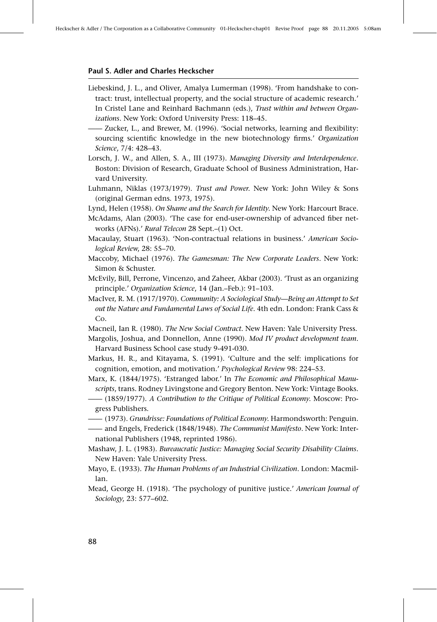- Liebeskind, J. L., and Oliver, Amalya Lumerman (1998). 'From handshake to contract: trust, intellectual property, and the social structure of academic research.' In Cristel Lane and Reinhard Bachmann (eds.), Trust within and between Organizations. New York: Oxford University Press: 118–45.
- —— Zucker, L., and Brewer, M. (1996). 'Social networks, learning and flexibility: sourcing scientific knowledge in the new biotechnology firms.' Organization Science, 7/4: 428–43.
- Lorsch, J. W., and Allen, S. A., III (1973). Managing Diversity and Interdependence. Boston: Division of Research, Graduate School of Business Administration, Harvard University.
- Luhmann, Niklas (1973/1979). Trust and Power. New York: John Wiley & Sons (original German edns. 1973, 1975).
- Lynd, Helen (1958). On Shame and the Search for Identity. New York: Harcourt Brace.
- McAdams, Alan (2003). 'The case for end-user-ownership of advanced fiber networks (AFNs).' Rural Telecon 28 Sept.–(1) Oct.
- Macaulay, Stuart (1963). 'Non-contractual relations in business.' American Sociological Review, 28: 55–70.
- Maccoby, Michael (1976). The Gamesman: The New Corporate Leaders. New York: Simon & Schuster.
- McEvily, Bill, Perrone, Vincenzo, and Zaheer, Akbar (2003). 'Trust as an organizing principle.' Organization Science, 14 (Jan.–Feb.): 91–103.
- MacIver, R. M. (1917/1970). Community: A Sociological Study—Being an Attempt to Set out the Nature and Fundamental Laws of Social Life. 4th edn. London: Frank Cass & Co.
- Macneil, Ian R. (1980). The New Social Contract. New Haven: Yale University Press.
- Margolis, Joshua, and Donnellon, Anne (1990). Mod IV product development team. Harvard Business School case study 9-491-030.
- Markus, H. R., and Kitayama, S. (1991). 'Culture and the self: implications for cognition, emotion, and motivation.' Psychological Review 98: 224–53.
- Marx, K. (1844/1975). 'Estranged labor.' In The Economic and Philosophical Manuscripts, trans. Rodney Livingstone and Gregory Benton. New York: Vintage Books.
- —— (1859/1977). A Contribution to the Critique of Political Economy. Moscow: Progress Publishers.
- —— (1973). Grundrisse: Foundations of Political Economy. Harmondsworth: Penguin.
- and Engels, Frederick (1848/1948). The Communist Manifesto. New York: International Publishers (1948, reprinted 1986).
- Mashaw, J. L. (1983). Bureaucratic Justice: Managing Social Security Disability Claims. New Haven: Yale University Press.
- Mayo, E. (1933). The Human Problems of an Industrial Civilization. London: Macmillan.
- Mead, George H. (1918). 'The psychology of punitive justice.' American Journal of Sociology, 23: 577–602.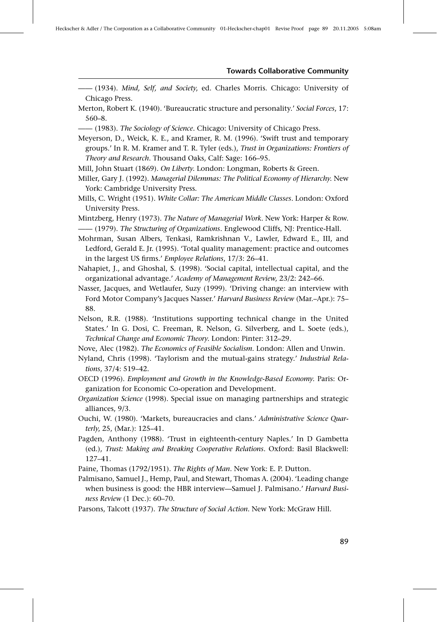- —— (1934). Mind, Self, and Society, ed. Charles Morris. Chicago: University of Chicago Press.
- Merton, Robert K. (1940). 'Bureaucratic structure and personality.' Social Forces, 17: 560–8.
- —— (1983). The Sociology of Science. Chicago: University of Chicago Press.

Meyerson, D., Weick, K. E., and Kramer, R. M. (1996). 'Swift trust and temporary groups.' In R. M. Kramer and T. R. Tyler (eds.), Trust in Organizations: Frontiers of Theory and Research. Thousand Oaks, Calf: Sage: 166–95.

- Mill, John Stuart (1869). On Liberty. London: Longman, Roberts & Green.
- Miller, Gary J. (1992). Managerial Dilemmas: The Political Economy of Hierarchy. New York: Cambridge University Press.
- Mills, C. Wright (1951). White Collar: The American Middle Classes. London: Oxford University Press.

Mintzberg, Henry (1973). The Nature of Managerial Work. New York: Harper & Row. – (1979). The Structuring of Organizations. Englewood Cliffs, NJ: Prentice-Hall.

- Mohrman, Susan Albers, Tenkasi, Ramkrishnan V., Lawler, Edward E., III, and Ledford, Gerald E. Jr. (1995). 'Total quality management: practice and outcomes in the largest US firms.' Employee Relations, 17/3: 26–41.
- Nahapiet, J., and Ghoshal, S. (1998). 'Social capital, intellectual capital, and the organizational advantage.' Academy of Management Review, 23/2: 242–66.
- Nasser, Jacques, and Wetlaufer, Suzy (1999). 'Driving change: an interview with Ford Motor Company's Jacques Nasser.' Harvard Business Review (Mar.–Apr.): 75– 88.
- Nelson, R.R. (1988). 'Institutions supporting technical change in the United States.' In G. Dosi, C. Freeman, R. Nelson, G. Silverberg, and L. Soete (eds.), Technical Change and Economic Theory. London: Pinter: 312–29.
- Nove, Alec (1982). The Economics of Feasible Socialism. London: Allen and Unwin.
- Nyland, Chris (1998). 'Taylorism and the mutual-gains strategy.' Industrial Relations, 37/4: 519–42.
- OECD (1996). Employment and Growth in the Knowledge-Based Economy. Paris: Organization for Economic Co-operation and Development.
- Organization Science (1998). Special issue on managing partnerships and strategic alliances, 9/3.
- Ouchi, W. (1980). 'Markets, bureaucracies and clans.' Administrative Science Quarterly, 25, (Mar.): 125–41.
- Pagden, Anthony (1988). 'Trust in eighteenth-century Naples.' In D Gambetta (ed.), Trust: Making and Breaking Cooperative Relations. Oxford: Basil Blackwell: 127–41.
- Paine, Thomas (1792/1951). The Rights of Man. New York: E. P. Dutton.
- Palmisano, Samuel J., Hemp, Paul, and Stewart, Thomas A. (2004). 'Leading change when business is good: the HBR interview—Samuel J. Palmisano.' Harvard Business Review (1 Dec.): 60–70.

Parsons, Talcott (1937). The Structure of Social Action. New York: McGraw Hill.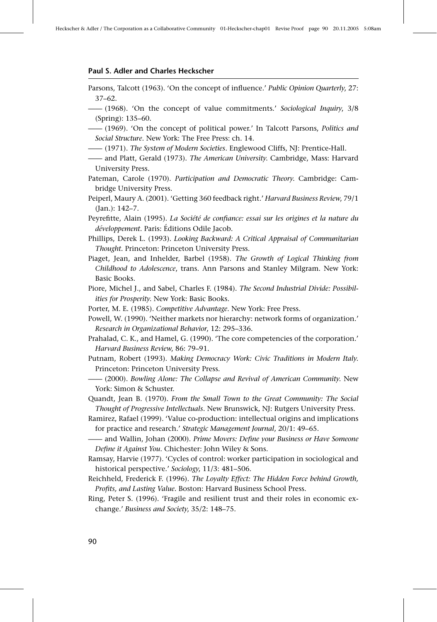- Parsons, Talcott (1963). 'On the concept of influence.' Public Opinion Quarterly, 27: 37–62.
- $-$  (1968). 'On the concept of value commitments.' Sociological Inquiry, 3/8 (Spring): 135–60.
- —— (1969). 'On the concept of political power.' In Talcott Parsons, Politics and Social Structure. New York: The Free Press: ch. 14.
- —— (1971). The System of Modern Societies. Englewood Cliffs, NJ: Prentice-Hall.
- —— and Platt, Gerald (1973). The American University. Cambridge, Mass: Harvard University Press.
- Pateman, Carole (1970). Participation and Democratic Theory. Cambridge: Cambridge University Press.
- Peiperl, Maury A. (2001). 'Getting 360 feedback right.' Harvard Business Review, 79/1 (Jan.): 142–7.
- Peyrefitte, Alain (1995). La Société de confiance: essai sur les origines et la nature du développement. Paris: Éditions Odile Jacob.
- Phillips, Derek L. (1993). Looking Backward: A Critical Appraisal of Communitarian Thought. Princeton: Princeton University Press.
- Piaget, Jean, and Inhelder, Barbel (1958). The Growth of Logical Thinking from Childhood to Adolescence, trans. Ann Parsons and Stanley Milgram. New York: Basic Books.
- Piore, Michel J., and Sabel, Charles F. (1984). The Second Industrial Divide: Possibilities for Prosperity. New York: Basic Books.
- Porter, M. E. (1985). Competitive Advantage. New York: Free Press.
- Powell, W. (1990). 'Neither markets nor hierarchy: network forms of organization.' Research in Organizational Behavior, 12: 295–336.
- Prahalad, C. K., and Hamel, G. (1990). 'The core competencies of the corporation.' Harvard Business Review, 86: 79–91.
- Putnam, Robert (1993). Making Democracy Work: Civic Traditions in Modern Italy. Princeton: Princeton University Press.
- —— (2000). Bowling Alone: The Collapse and Revival of American Community. New York: Simon & Schuster.
- Quandt, Jean B. (1970). From the Small Town to the Great Community: The Social Thought of Progressive Intellectuals. New Brunswick, NJ: Rutgers University Press.
- Ramirez, Rafael (1999). 'Value co-production: intellectual origins and implications for practice and research.' Strategic Management Journal, 20/1: 49–65.
- —— and Wallin, Johan (2000). Prime Movers: Define your Business or Have Someone Define it Against You. Chichester: John Wiley & Sons.
- Ramsay, Harvie (1977). 'Cycles of control: worker participation in sociological and historical perspective.' Sociology, 11/3: 481–506.
- Reichheld, Frederick F. (1996). The Loyalty Effect: The Hidden Force behind Growth, Profits, and Lasting Value. Boston: Harvard Business School Press.
- Ring, Peter S. (1996). 'Fragile and resilient trust and their roles in economic exchange.' Business and Society, 35/2: 148–75.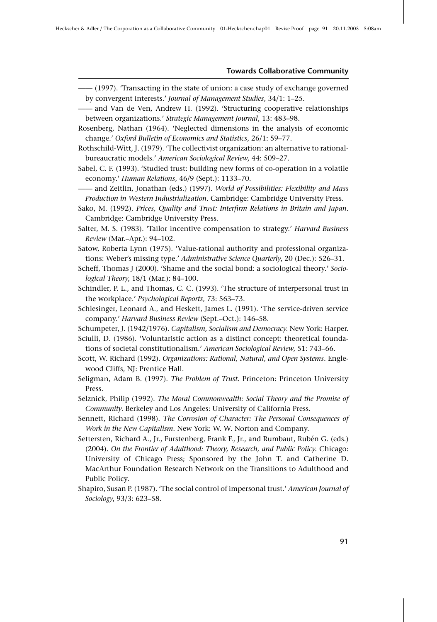- —— (1997). 'Transacting in the state of union: a case study of exchange governed by convergent interests.' Journal of Management Studies, 34/1: 1–25.
- —— and Van de Ven, Andrew H. (1992). 'Structuring cooperative relationships between organizations.' Strategic Management Journal, 13: 483–98.
- Rosenberg, Nathan (1964). 'Neglected dimensions in the analysis of economic change.' Oxford Bulletin of Economics and Statistics, 26/1: 59–77.
- Rothschild-Witt, J. (1979). 'The collectivist organization: an alternative to rationalbureaucratic models.' American Sociological Review, 44: 509–27.
- Sabel, C. F. (1993). 'Studied trust: building new forms of co-operation in a volatile economy.' Human Relations, 46/9 (Sept.): 1133–70.
- and Zeitlin, Jonathan (eds.) (1997). World of Possibilities: Flexibility and Mass Production in Western Industrialization. Cambridge: Cambridge University Press.
- Sako, M. (1992). Prices, Quality and Trust: Interfirm Relations in Britain and Japan. Cambridge: Cambridge University Press.
- Salter, M. S. (1983). 'Tailor incentive compensation to strategy.' Harvard Business Review (Mar.–Apr.): 94–102.
- Satow, Roberta Lynn (1975). 'Value-rational authority and professional organizations: Weber's missing type.' Administrative Science Quarterly, 20 (Dec.): 526–31.
- Scheff, Thomas J (2000). 'Shame and the social bond: a sociological theory.' Sociological Theory, 18/1 (Mar.): 84–100.
- Schindler, P. L., and Thomas, C. C. (1993). 'The structure of interpersonal trust in the workplace.' Psychological Reports, 73: 563–73.
- Schlesinger, Leonard A., and Heskett, James L. (1991). 'The service-driven service company.' Harvard Business Review (Sept.–Oct.): 146–58.

Schumpeter, J. (1942/1976). Capitalism, Socialism and Democracy. New York: Harper.

- Sciulli, D. (1986). 'Voluntaristic action as a distinct concept: theoretical foundations of societal constitutionalism.' American Sociological Review, 51: 743–66.
- Scott, W. Richard (1992). Organizations: Rational, Natural, and Open Systems. Englewood Cliffs, NJ: Prentice Hall.
- Seligman, Adam B. (1997). The Problem of Trust. Princeton: Princeton University Press.

Selznick, Philip (1992). The Moral Commonwealth: Social Theory and the Promise of Community. Berkeley and Los Angeles: University of California Press.

- Sennett, Richard (1998). The Corrosion of Character: The Personal Consequences of Work in the New Capitalism. New York: W. W. Norton and Company.
- Settersten, Richard A., Jr., Furstenberg, Frank F., Jr., and Rumbaut, Rubén G. (eds.) (2004). On the Frontier of Adulthood: Theory, Research, and Public Policy. Chicago: University of Chicago Press; Sponsored by the John T. and Catherine D. MacArthur Foundation Research Network on the Transitions to Adulthood and Public Policy.
- Shapiro, Susan P. (1987). 'The social control of impersonal trust.' American Journal of Sociology, 93/3: 623–58.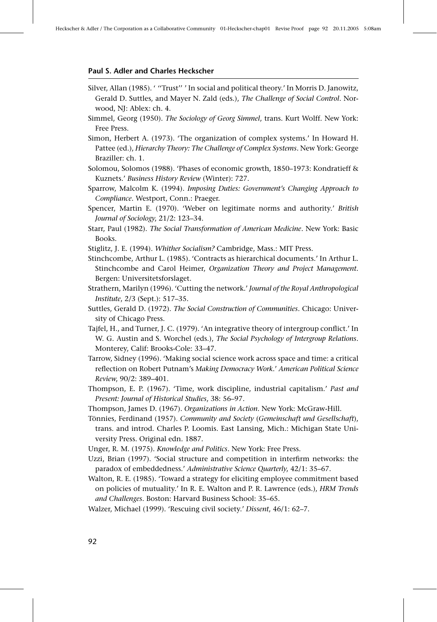- Silver, Allan (1985). ' ''Trust'' ' In social and political theory.' In Morris D. Janowitz, Gerald D. Suttles, and Mayer N. Zald (eds.), The Challenge of Social Control. Norwood, NJ: Ablex: ch. 4.
- Simmel, Georg (1950). The Sociology of Georg Simmel, trans. Kurt Wolff. New York: Free Press.
- Simon, Herbert A. (1973). 'The organization of complex systems.' In Howard H. Pattee (ed.), Hierarchy Theory: The Challenge of Complex Systems. New York: George Braziller: ch. 1.
- Solomou, Solomos (1988). 'Phases of economic growth, 1850–1973: Kondratieff & Kuznets.' Business History Review (Winter): 727.
- Sparrow, Malcolm K. (1994). Imposing Duties: Government's Changing Approach to Compliance. Westport, Conn.: Praeger.
- Spencer, Martin E. (1970). 'Weber on legitimate norms and authority.' British Journal of Sociology, 21/2: 123–34.
- Starr, Paul (1982). The Social Transformation of American Medicine. New York: Basic Books.
- Stiglitz, J. E. (1994). Whither Socialism? Cambridge, Mass.: MIT Press.
- Stinchcombe, Arthur L. (1985). 'Contracts as hierarchical documents.' In Arthur L. Stinchcombe and Carol Heimer, Organization Theory and Project Management. Bergen: Universitetsforslaget.
- Strathern, Marilyn (1996). 'Cutting the network.' Journal of the Royal Anthropological Institute, 2/3 (Sept.): 517–35.
- Suttles, Gerald D. (1972). The Social Construction of Communities. Chicago: University of Chicago Press.
- Tajfel, H., and Turner, J. C. (1979). 'An integrative theory of intergroup conflict.' In W. G. Austin and S. Worchel (eds.), The Social Psychology of Intergroup Relations. Monterey, Calif: Brooks-Cole: 33–47.
- Tarrow, Sidney (1996). 'Making social science work across space and time: a critical reflection on Robert Putnam's Making Democracy Work.' American Political Science Review, 90/2: 389–401.
- Thompson, E. P. (1967). 'Time, work discipline, industrial capitalism.' Past and Present: Journal of Historical Studies, 38: 56–97.
- Thompson, James D. (1967). Organizations in Action. New York: McGraw-Hill.
- Tönnies, Ferdinand (1957). Community and Society (Gemeinschaft und Gesellschaft), trans. and introd. Charles P. Loomis. East Lansing, Mich.: Michigan State University Press. Original edn. 1887.
- Unger, R. M. (1975). Knowledge and Politics. New York: Free Press.
- Uzzi, Brian (1997). 'Social structure and competition in interfirm networks: the paradox of embeddedness.' Administrative Science Quarterly, 42/1: 35–67.
- Walton, R. E. (1985). 'Toward a strategy for eliciting employee commitment based on policies of mutuality.' In R. E. Walton and P. R. Lawrence (eds.), HRM Trends and Challenges. Boston: Harvard Business School: 35–65.

Walzer, Michael (1999). 'Rescuing civil society.' Dissent, 46/1: 62–7.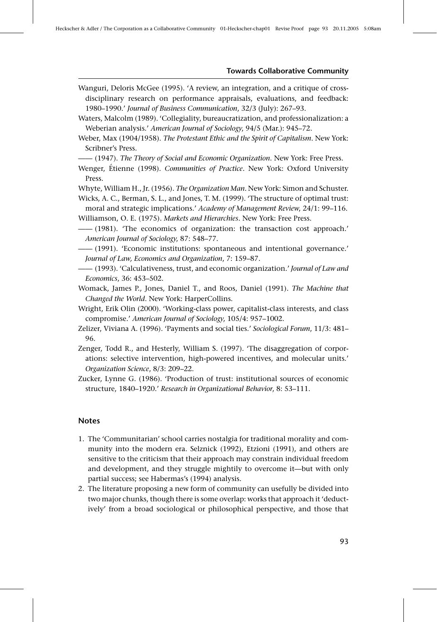Wanguri, Deloris McGee (1995). 'A review, an integration, and a critique of crossdisciplinary research on performance appraisals, evaluations, and feedback: 1980–1990.' Journal of Business Communication, 32/3 (July): 267–93.

Waters, Malcolm (1989). 'Collegiality, bureaucratization, and professionalization: a Weberian analysis.' American Journal of Sociology, 94/5 (Mar.): 945–72.

Weber, Max (1904/1958). The Protestant Ethic and the Spirit of Capitalism. New York: Scribner's Press.

—— (1947). The Theory of Social and Economic Organization. New York: Free Press.

Wenger, Étienne (1998). Communities of Practice. New York: Oxford University Press.

Whyte, William H., Jr. (1956). The Organization Man. New York: Simon and Schuster.

- Wicks, A. C., Berman, S. L., and Jones, T. M. (1999). 'The structure of optimal trust: moral and strategic implications.' Academy of Management Review, 24/1: 99–116.
- Williamson, O. E. (1975). Markets and Hierarchies. New York: Free Press.
- —— (1981). 'The economics of organization: the transaction cost approach.' American Journal of Sociology, 87: 548–77.
- —— (1991). 'Economic institutions: spontaneous and intentional governance.' Journal of Law, Economics and Organization, 7: 159–87.
- —— (1993). 'Calculativeness, trust, and economic organization.' Journal of Law and Economics, 36: 453–502.
- Womack, James P., Jones, Daniel T., and Roos, Daniel (1991). The Machine that Changed the World. New York: HarperCollins.
- Wright, Erik Olin (2000). 'Working-class power, capitalist-class interests, and class compromise.' American Journal of Sociology, 105/4: 957–1002.
- Zelizer, Viviana A. (1996). 'Payments and social ties.' Sociological Forum, 11/3: 481– 96.
- Zenger, Todd R., and Hesterly, William S. (1997). 'The disaggregation of corporations: selective intervention, high-powered incentives, and molecular units.' Organization Science, 8/3: 209–22.
- Zucker, Lynne G. (1986). 'Production of trust: institutional sources of economic structure, 1840–1920.' Research in Organizational Behavior, 8: 53–111.

### Notes

- 1. The 'Communitarian' school carries nostalgia for traditional morality and community into the modern era. Selznick (1992), Etzioni (1991), and others are sensitive to the criticism that their approach may constrain individual freedom and development, and they struggle mightily to overcome it—but with only partial success; see Habermas's (1994) analysis.
- 2. The literature proposing a new form of community can usefully be divided into two major chunks, though there is some overlap: works that approach it 'deductively' from a broad sociological or philosophical perspective, and those that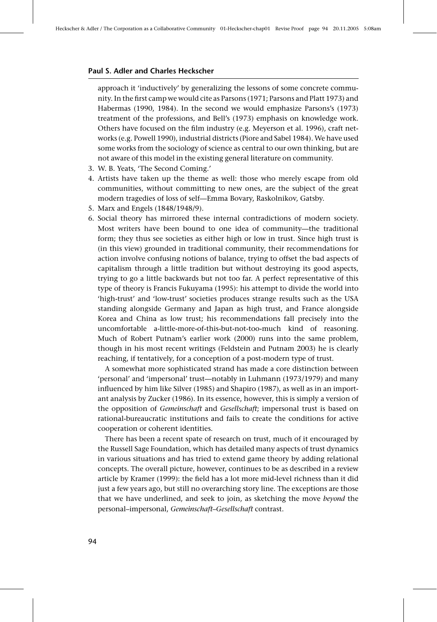approach it 'inductively' by generalizing the lessons of some concrete community. In the first camp we would cite as Parsons (1971; Parsons and Platt 1973) and Habermas (1990, 1984). In the second we would emphasize Parsons's (1973) treatment of the professions, and Bell's (1973) emphasis on knowledge work. Others have focused on the film industry (e.g. Meyerson et al. 1996), craft networks (e.g. Powell 1990), industrial districts (Piore and Sabel 1984). We have used some works from the sociology of science as central to our own thinking, but are not aware of this model in the existing general literature on community.

- 3. W. B. Yeats, 'The Second Coming.'
- 4. Artists have taken up the theme as well: those who merely escape from old communities, without committing to new ones, are the subject of the great modern tragedies of loss of self—Emma Bovary, Raskolnikov, Gatsby.
- 5. Marx and Engels (1848/1948/9).
- 6. Social theory has mirrored these internal contradictions of modern society. Most writers have been bound to one idea of community—the traditional form; they thus see societies as either high or low in trust. Since high trust is (in this view) grounded in traditional community, their recommendations for action involve confusing notions of balance, trying to offset the bad aspects of capitalism through a little tradition but without destroying its good aspects, trying to go a little backwards but not too far. A perfect representative of this type of theory is Francis Fukuyama (1995): his attempt to divide the world into 'high-trust' and 'low-trust' societies produces strange results such as the USA standing alongside Germany and Japan as high trust, and France alongside Korea and China as low trust; his recommendations fall precisely into the uncomfortable a-little-more-of-this-but-not-too-much kind of reasoning. Much of Robert Putnam's earlier work (2000) runs into the same problem, though in his most recent writings (Feldstein and Putnam 2003) he is clearly reaching, if tentatively, for a conception of a post-modern type of trust.

A somewhat more sophisticated strand has made a core distinction between 'personal' and 'impersonal' trust—notably in Luhmann (1973/1979) and many influenced by him like Silver (1985) and Shapiro (1987), as well as in an important analysis by Zucker (1986). In its essence, however, this is simply a version of the opposition of Gemeinschaft and Gesellschaft; impersonal trust is based on rational-bureaucratic institutions and fails to create the conditions for active cooperation or coherent identities.

There has been a recent spate of research on trust, much of it encouraged by the Russell Sage Foundation, which has detailed many aspects of trust dynamics in various situations and has tried to extend game theory by adding relational concepts. The overall picture, however, continues to be as described in a review article by Kramer (1999): the field has a lot more mid-level richness than it did just a few years ago, but still no overarching story line. The exceptions are those that we have underlined, and seek to join, as sketching the move beyond the personal–impersonal, Gemeinschaft–Gesellschaft contrast.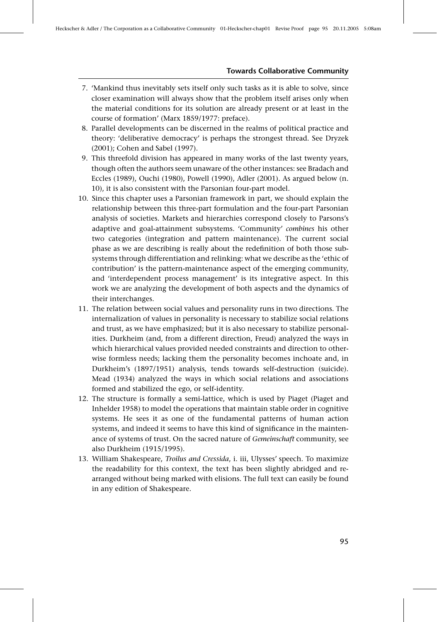- 7. 'Mankind thus inevitably sets itself only such tasks as it is able to solve, since closer examination will always show that the problem itself arises only when the material conditions for its solution are already present or at least in the course of formation' (Marx 1859/1977: preface).
- 8. Parallel developments can be discerned in the realms of political practice and theory: 'deliberative democracy' is perhaps the strongest thread. See Dryzek (2001); Cohen and Sabel (1997).
- 9. This threefold division has appeared in many works of the last twenty years, though often the authors seem unaware of the other instances: see Bradach and Eccles (1989), Ouchi (1980), Powell (1990), Adler (2001). As argued below (n. 10), it is also consistent with the Parsonian four-part model.
- 10. Since this chapter uses a Parsonian framework in part, we should explain the relationship between this three-part formulation and the four-part Parsonian analysis of societies. Markets and hierarchies correspond closely to Parsons's adaptive and goal-attainment subsystems. 'Community' combines his other two categories (integration and pattern maintenance). The current social phase as we are describing is really about the redefinition of both those subsystems through differentiation and relinking: what we describe as the 'ethic of contribution' is the pattern-maintenance aspect of the emerging community, and 'interdependent process management' is its integrative aspect. In this work we are analyzing the development of both aspects and the dynamics of their interchanges.
- 11. The relation between social values and personality runs in two directions. The internalization of values in personality is necessary to stabilize social relations and trust, as we have emphasized; but it is also necessary to stabilize personalities. Durkheim (and, from a different direction, Freud) analyzed the ways in which hierarchical values provided needed constraints and direction to otherwise formless needs; lacking them the personality becomes inchoate and, in Durkheim's (1897/1951) analysis, tends towards self-destruction (suicide). Mead (1934) analyzed the ways in which social relations and associations formed and stabilized the ego, or self-identity.
- 12. The structure is formally a semi-lattice, which is used by Piaget (Piaget and Inhelder 1958) to model the operations that maintain stable order in cognitive systems. He sees it as one of the fundamental patterns of human action systems, and indeed it seems to have this kind of significance in the maintenance of systems of trust. On the sacred nature of Gemeinschaft community, see also Durkheim (1915/1995).
- 13. William Shakespeare, Troilus and Cressida, i. iii, Ulysses' speech. To maximize the readability for this context, the text has been slightly abridged and rearranged without being marked with elisions. The full text can easily be found in any edition of Shakespeare.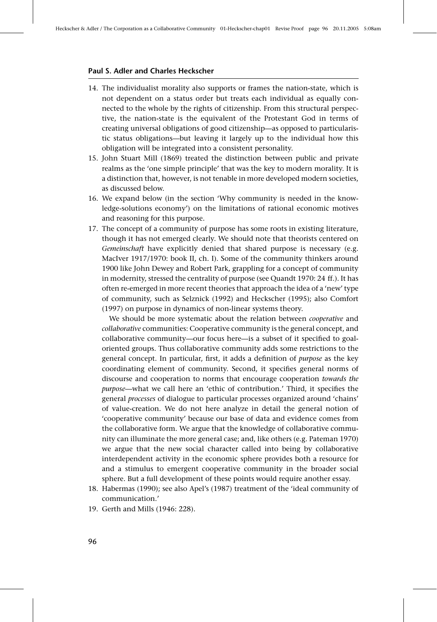- 14. The individualist morality also supports or frames the nation-state, which is not dependent on a status order but treats each individual as equally connected to the whole by the rights of citizenship. From this structural perspective, the nation-state is the equivalent of the Protestant God in terms of creating universal obligations of good citizenship—as opposed to particularistic status obligations—but leaving it largely up to the individual how this obligation will be integrated into a consistent personality.
- 15. John Stuart Mill (1869) treated the distinction between public and private realms as the 'one simple principle' that was the key to modern morality. It is a distinction that, however, is not tenable in more developed modern societies, as discussed below.
- 16. We expand below (in the section 'Why community is needed in the knowledge-solutions economy') on the limitations of rational economic motives and reasoning for this purpose.
- 17. The concept of a community of purpose has some roots in existing literature, though it has not emerged clearly. We should note that theorists centered on Gemeinschaft have explicitly denied that shared purpose is necessary (e.g. MacIver 1917/1970: book II, ch. I). Some of the community thinkers around 1900 like John Dewey and Robert Park, grappling for a concept of community in modernity, stressed the centrality of purpose (see Quandt 1970: 24 ff.). It has often re-emerged in more recent theories that approach the idea of a 'new' type of community, such as Selznick (1992) and Heckscher (1995); also Comfort (1997) on purpose in dynamics of non-linear systems theory.

We should be more systematic about the relation between cooperative and collaborative communities: Cooperative community is the general concept, and collaborative community—our focus here—is a subset of it specified to goaloriented groups. Thus collaborative community adds some restrictions to the general concept. In particular, first, it adds a definition of purpose as the key coordinating element of community. Second, it specifies general norms of discourse and cooperation to norms that encourage cooperation towards the purpose—what we call here an 'ethic of contribution.' Third, it specifies the general processes of dialogue to particular processes organized around 'chains' of value-creation. We do not here analyze in detail the general notion of 'cooperative community' because our base of data and evidence comes from the collaborative form. We argue that the knowledge of collaborative community can illuminate the more general case; and, like others (e.g. Pateman 1970) we argue that the new social character called into being by collaborative interdependent activity in the economic sphere provides both a resource for and a stimulus to emergent cooperative community in the broader social sphere. But a full development of these points would require another essay.

- 18. Habermas (1990); see also Apel's (1987) treatment of the 'ideal community of communication.'
- 19. Gerth and Mills (1946: 228).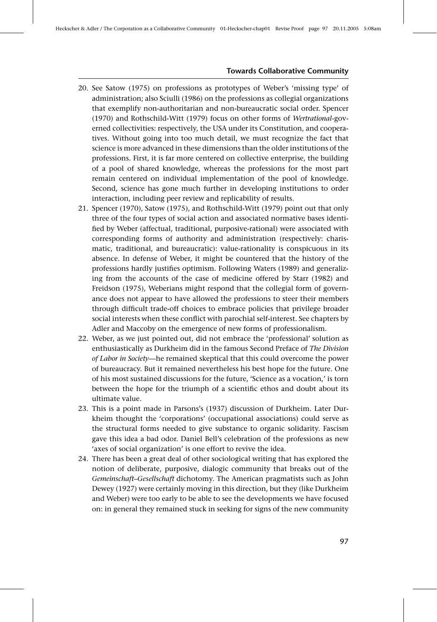- 20. See Satow (1975) on professions as prototypes of Weber's 'missing type' of administration; also Sciulli (1986) on the professions as collegial organizations that exemplify non-authoritarian and non-bureaucratic social order. Spencer (1970) and Rothschild-Witt (1979) focus on other forms of Wertrational-governed collectivities: respectively, the USA under its Constitution, and cooperatives. Without going into too much detail, we must recognize the fact that science is more advanced in these dimensions than the older institutions of the professions. First, it is far more centered on collective enterprise, the building of a pool of shared knowledge, whereas the professions for the most part remain centered on individual implementation of the pool of knowledge. Second, science has gone much further in developing institutions to order interaction, including peer review and replicability of results.
- 21. Spencer (1970), Satow (1975), and Rothschild-Witt (1979) point out that only three of the four types of social action and associated normative bases identified by Weber (affectual, traditional, purposive-rational) were associated with corresponding forms of authority and administration (respectively: charismatic, traditional, and bureaucratic): value-rationality is conspicuous in its absence. In defense of Weber, it might be countered that the history of the professions hardly justifies optimism. Following Waters (1989) and generalizing from the accounts of the case of medicine offered by Starr (1982) and Freidson (1975), Weberians might respond that the collegial form of governance does not appear to have allowed the professions to steer their members through difficult trade-off choices to embrace policies that privilege broader social interests when these conflict with parochial self-interest. See chapters by Adler and Maccoby on the emergence of new forms of professionalism.
- 22. Weber, as we just pointed out, did not embrace the 'professional' solution as enthusiastically as Durkheim did in the famous Second Preface of The Division of Labor in Society—he remained skeptical that this could overcome the power of bureaucracy. But it remained nevertheless his best hope for the future. One of his most sustained discussions for the future, 'Science as a vocation,' is torn between the hope for the triumph of a scientific ethos and doubt about its ultimate value.
- 23. This is a point made in Parsons's (1937) discussion of Durkheim. Later Durkheim thought the 'corporations' (occupational associations) could serve as the structural forms needed to give substance to organic solidarity. Fascism gave this idea a bad odor. Daniel Bell's celebration of the professions as new 'axes of social organization' is one effort to revive the idea.
- 24. There has been a great deal of other sociological writing that has explored the notion of deliberate, purposive, dialogic community that breaks out of the Gemeinschaft–Gesellschaft dichotomy. The American pragmatists such as John Dewey (1927) were certainly moving in this direction, but they (like Durkheim and Weber) were too early to be able to see the developments we have focused on: in general they remained stuck in seeking for signs of the new community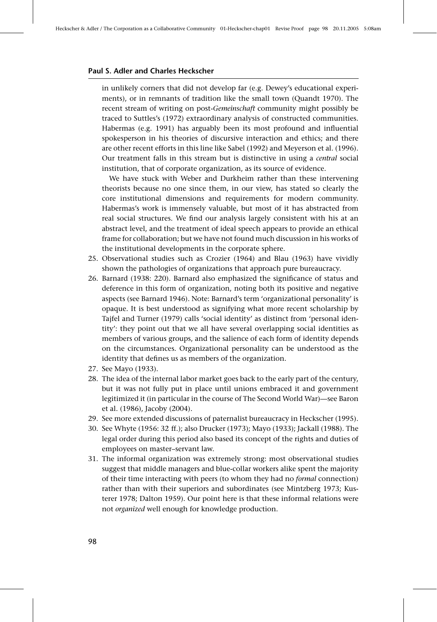in unlikely corners that did not develop far (e.g. Dewey's educational experiments), or in remnants of tradition like the small town (Quandt 1970). The recent stream of writing on post-Gemeinschaft community might possibly be traced to Suttles's (1972) extraordinary analysis of constructed communities. Habermas (e.g. 1991) has arguably been its most profound and influential spokesperson in his theories of discursive interaction and ethics; and there are other recent efforts in this line like Sabel (1992) and Meyerson et al. (1996). Our treatment falls in this stream but is distinctive in using a central social institution, that of corporate organization, as its source of evidence.

We have stuck with Weber and Durkheim rather than these intervening theorists because no one since them, in our view, has stated so clearly the core institutional dimensions and requirements for modern community. Habermas's work is immensely valuable, but most of it has abstracted from real social structures. We find our analysis largely consistent with his at an abstract level, and the treatment of ideal speech appears to provide an ethical frame for collaboration; but we have not found much discussion in his works of the institutional developments in the corporate sphere.

- 25. Observational studies such as Crozier (1964) and Blau (1963) have vividly shown the pathologies of organizations that approach pure bureaucracy.
- 26. Barnard (1938: 220). Barnard also emphasized the significance of status and deference in this form of organization, noting both its positive and negative aspects (see Barnard 1946). Note: Barnard's term 'organizational personality' is opaque. It is best understood as signifying what more recent scholarship by Tajfel and Turner (1979) calls 'social identity' as distinct from 'personal identity': they point out that we all have several overlapping social identities as members of various groups, and the salience of each form of identity depends on the circumstances. Organizational personality can be understood as the identity that defines us as members of the organization.
- 27. See Mayo (1933).
- 28. The idea of the internal labor market goes back to the early part of the century, but it was not fully put in place until unions embraced it and government legitimized it (in particular in the course of The Second World War)—see Baron et al. (1986), Jacoby (2004).
- 29. See more extended discussions of paternalist bureaucracy in Heckscher (1995).
- 30. See Whyte (1956: 32 ff.); also Drucker (1973); Mayo (1933); Jackall (1988). The legal order during this period also based its concept of the rights and duties of employees on master–servant law.
- 31. The informal organization was extremely strong: most observational studies suggest that middle managers and blue-collar workers alike spent the majority of their time interacting with peers (to whom they had no formal connection) rather than with their superiors and subordinates (see Mintzberg 1973; Kusterer 1978; Dalton 1959). Our point here is that these informal relations were not organized well enough for knowledge production.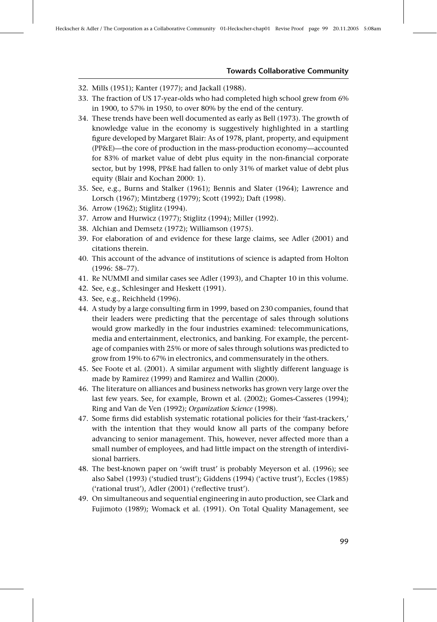- 32. Mills (1951); Kanter (1977); and Jackall (1988).
- 33. The fraction of US 17-year-olds who had completed high school grew from 6% in 1900, to 57% in 1950, to over 80% by the end of the century.
- 34. These trends have been well documented as early as Bell (1973). The growth of knowledge value in the economy is suggestively highlighted in a startling figure developed by Margaret Blair: As of 1978, plant, property, and equipment (PP&E)—the core of production in the mass-production economy—accounted for 83% of market value of debt plus equity in the non-financial corporate sector, but by 1998, PP&E had fallen to only 31% of market value of debt plus equity (Blair and Kochan 2000: 1).
- 35. See, e.g., Burns and Stalker (1961); Bennis and Slater (1964); Lawrence and Lorsch (1967); Mintzberg (1979); Scott (1992); Daft (1998).
- 36. Arrow (1962); Stiglitz (1994).
- 37. Arrow and Hurwicz (1977); Stiglitz (1994); Miller (1992).
- 38. Alchian and Demsetz (1972); Williamson (1975).
- 39. For elaboration of and evidence for these large claims, see Adler (2001) and citations therein.
- 40. This account of the advance of institutions of science is adapted from Holton (1996: 58–77).
- 41. Re NUMMI and similar cases see Adler (1993), and Chapter 10 in this volume.
- 42. See, e.g., Schlesinger and Heskett (1991).
- 43. See, e.g., Reichheld (1996).
- 44. A study by a large consulting firm in 1999, based on 230 companies, found that their leaders were predicting that the percentage of sales through solutions would grow markedly in the four industries examined: telecommunications, media and entertainment, electronics, and banking. For example, the percentage of companies with 25% or more of sales through solutions was predicted to grow from 19% to 67% in electronics, and commensurately in the others.
- 45. See Foote et al. (2001). A similar argument with slightly different language is made by Ramirez (1999) and Ramirez and Wallin (2000).
- 46. The literature on alliances and business networks has grown very large over the last few years. See, for example, Brown et al. (2002); Gomes-Casseres (1994); Ring and Van de Ven (1992); Organization Science (1998).
- 47. Some firms did establish systematic rotational policies for their 'fast-trackers,' with the intention that they would know all parts of the company before advancing to senior management. This, however, never affected more than a small number of employees, and had little impact on the strength of interdivisional barriers.
- 48. The best-known paper on 'swift trust' is probably Meyerson et al. (1996); see also Sabel (1993) ('studied trust'); Giddens (1994) ('active trust'), Eccles (1985) ('rational trust'), Adler (2001) ('reflective trust').
- 49. On simultaneous and sequential engineering in auto production, see Clark and Fujimoto (1989); Womack et al. (1991). On Total Quality Management, see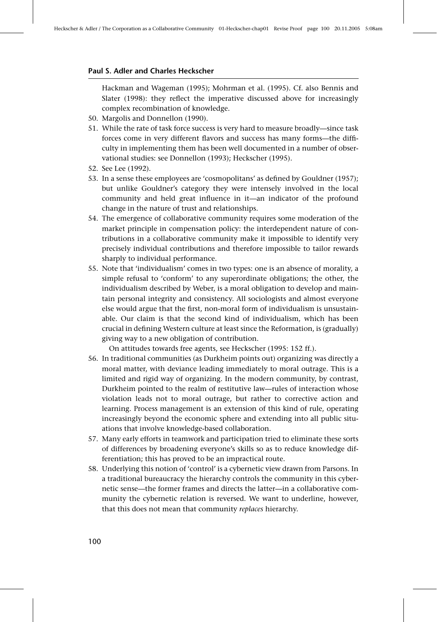Hackman and Wageman (1995); Mohrman et al. (1995). Cf. also Bennis and Slater (1998): they reflect the imperative discussed above for increasingly complex recombination of knowledge.

- 50. Margolis and Donnellon (1990).
- 51. While the rate of task force success is very hard to measure broadly—since task forces come in very different flavors and success has many forms—the difficulty in implementing them has been well documented in a number of observational studies: see Donnellon (1993); Heckscher (1995).
- 52. See Lee (1992).
- 53. In a sense these employees are 'cosmopolitans' as defined by Gouldner (1957); but unlike Gouldner's category they were intensely involved in the local community and held great influence in it—an indicator of the profound change in the nature of trust and relationships.
- 54. The emergence of collaborative community requires some moderation of the market principle in compensation policy: the interdependent nature of contributions in a collaborative community make it impossible to identify very precisely individual contributions and therefore impossible to tailor rewards sharply to individual performance.
- 55. Note that 'individualism' comes in two types: one is an absence of morality, a simple refusal to 'conform' to any superordinate obligations; the other, the individualism described by Weber, is a moral obligation to develop and maintain personal integrity and consistency. All sociologists and almost everyone else would argue that the first, non-moral form of individualism is unsustainable. Our claim is that the second kind of individualism, which has been crucial in defining Western culture at least since the Reformation, is (gradually) giving way to a new obligation of contribution.

On attitudes towards free agents, see Heckscher (1995: 152 ff.).

- 56. In traditional communities (as Durkheim points out) organizing was directly a moral matter, with deviance leading immediately to moral outrage. This is a limited and rigid way of organizing. In the modern community, by contrast, Durkheim pointed to the realm of restitutive law—rules of interaction whose violation leads not to moral outrage, but rather to corrective action and learning. Process management is an extension of this kind of rule, operating increasingly beyond the economic sphere and extending into all public situations that involve knowledge-based collaboration.
- 57. Many early efforts in teamwork and participation tried to eliminate these sorts of differences by broadening everyone's skills so as to reduce knowledge differentiation; this has proved to be an impractical route.
- 58. Underlying this notion of 'control' is a cybernetic view drawn from Parsons. In a traditional bureaucracy the hierarchy controls the community in this cybernetic sense—the former frames and directs the latter—in a collaborative community the cybernetic relation is reversed. We want to underline, however, that this does not mean that community replaces hierarchy.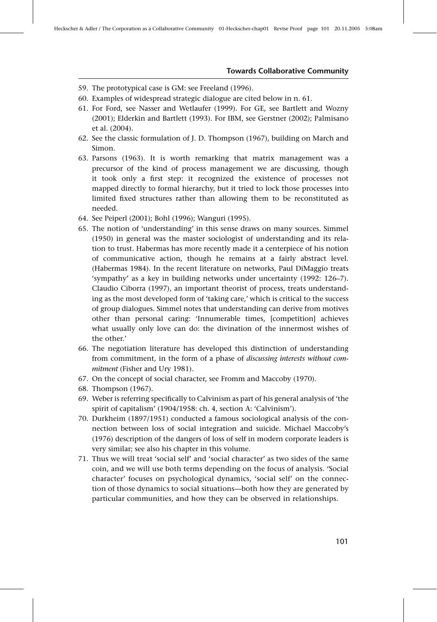- 59. The prototypical case is GM: see Freeland (1996).
- 60. Examples of widespread strategic dialogue are cited below in n. 61.
- 61. For Ford, see Nasser and Wetlaufer (1999). For GE, see Bartlett and Wozny (2001); Elderkin and Bartlett (1993). For IBM, see Gerstner (2002); Palmisano et al. (2004).
- 62. See the classic formulation of J. D. Thompson (1967), building on March and Simon.
- 63. Parsons (1963). It is worth remarking that matrix management was a precursor of the kind of process management we are discussing, though it took only a first step: it recognized the existence of processes not mapped directly to formal hierarchy, but it tried to lock those processes into limited fixed structures rather than allowing them to be reconstituted as needed.
- 64. See Peiperl (2001); Bohl (1996); Wanguri (1995).
- 65. The notion of 'understanding' in this sense draws on many sources. Simmel (1950) in general was the master sociologist of understanding and its relation to trust. Habermas has more recently made it a centerpiece of his notion of communicative action, though he remains at a fairly abstract level. (Habermas 1984). In the recent literature on networks, Paul DiMaggio treats 'sympathy' as a key in building networks under uncertainty (1992: 126–7). Claudio Ciborra (1997), an important theorist of process, treats understanding as the most developed form of 'taking care,' which is critical to the success of group dialogues. Simmel notes that understanding can derive from motives other than personal caring: 'Innumerable times, [competition] achieves what usually only love can do: the divination of the innermost wishes of the other.'
- 66. The negotiation literature has developed this distinction of understanding from commitment, in the form of a phase of discussing interests without commitment (Fisher and Ury 1981).
- 67. On the concept of social character, see Fromm and Maccoby (1970).
- 68. Thompson (1967).
- 69. Weber is referring specifically to Calvinism as part of his general analysis of 'the spirit of capitalism' (1904/1958: ch. 4, section A: 'Calvinism').
- 70. Durkheim (1897/1951) conducted a famous sociological analysis of the connection between loss of social integration and suicide. Michael Maccoby's (1976) description of the dangers of loss of self in modern corporate leaders is very similar; see also his chapter in this volume.
- 71. Thus we will treat 'social self' and 'social character' as two sides of the same coin, and we will use both terms depending on the focus of analysis. 'Social character' focuses on psychological dynamics, 'social self' on the connection of those dynamics to social situations—both how they are generated by particular communities, and how they can be observed in relationships.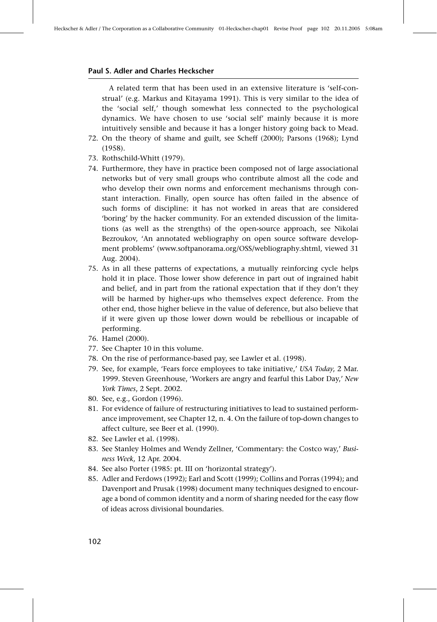A related term that has been used in an extensive literature is 'self-construal' (e.g. Markus and Kitayama 1991). This is very similar to the idea of the 'social self,' though somewhat less connected to the psychological dynamics. We have chosen to use 'social self' mainly because it is more intuitively sensible and because it has a longer history going back to Mead.

- 72. On the theory of shame and guilt, see Scheff (2000); Parsons (1968); Lynd (1958).
- 73. Rothschild-Whitt (1979).
- 74. Furthermore, they have in practice been composed not of large associational networks but of very small groups who contribute almost all the code and who develop their own norms and enforcement mechanisms through constant interaction. Finally, open source has often failed in the absence of such forms of discipline: it has not worked in areas that are considered 'boring' by the hacker community. For an extended discussion of the limitations (as well as the strengths) of the open-source approach, see Nikolai Bezroukov, 'An annotated webliography on open source software development problems' (www.softpanorama.org/OSS/webliography.shtml, viewed 31 Aug. 2004).
- 75. As in all these patterns of expectations, a mutually reinforcing cycle helps hold it in place. Those lower show deference in part out of ingrained habit and belief, and in part from the rational expectation that if they don't they will be harmed by higher-ups who themselves expect deference. From the other end, those higher believe in the value of deference, but also believe that if it were given up those lower down would be rebellious or incapable of performing.
- 76. Hamel (2000).
- 77. See Chapter 10 in this volume.
- 78. On the rise of performance-based pay, see Lawler et al. (1998).
- 79. See, for example, 'Fears force employees to take initiative,' USA Today, 2 Mar. 1999. Steven Greenhouse, 'Workers are angry and fearful this Labor Day,' New York Times, 2 Sept. 2002.
- 80. See, e.g., Gordon (1996).
- 81. For evidence of failure of restructuring initiatives to lead to sustained performance improvement, see Chapter 12, n. 4. On the failure of top-down changes to affect culture, see Beer et al. (1990).
- 82. See Lawler et al. (1998).
- 83. See Stanley Holmes and Wendy Zellner, 'Commentary: the Costco way,' Business Week, 12 Apr. 2004.
- 84. See also Porter (1985: pt. III on 'horizontal strategy').
- 85. Adler and Ferdows (1992); Earl and Scott (1999); Collins and Porras (1994); and Davenport and Prusak (1998) document many techniques designed to encourage a bond of common identity and a norm of sharing needed for the easy flow of ideas across divisional boundaries.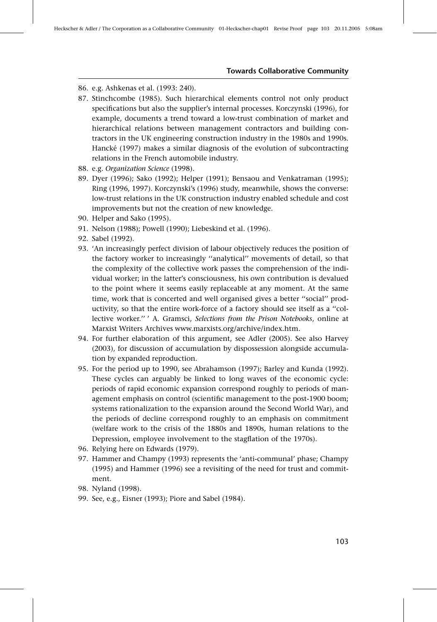- 86. e.g. Ashkenas et al. (1993: 240).
- 87. Stinchcombe (1985). Such hierarchical elements control not only product specifications but also the supplier's internal processes. Korczynski (1996), for example, documents a trend toward a low-trust combination of market and hierarchical relations between management contractors and building contractors in the UK engineering construction industry in the 1980s and 1990s. Hancké (1997) makes a similar diagnosis of the evolution of subcontracting relations in the French automobile industry.
- 88. e.g. Organization Science (1998).
- 89. Dyer (1996); Sako (1992); Helper (1991); Bensaou and Venkatraman (1995); Ring (1996, 1997). Korczynski's (1996) study, meanwhile, shows the converse: low-trust relations in the UK construction industry enabled schedule and cost improvements but not the creation of new knowledge.
- 90. Helper and Sako (1995).
- 91. Nelson (1988); Powell (1990); Liebeskind et al. (1996).
- 92. Sabel (1992).
- 93. 'An increasingly perfect division of labour objectively reduces the position of the factory worker to increasingly ''analytical'' movements of detail, so that the complexity of the collective work passes the comprehension of the individual worker; in the latter's consciousness, his own contribution is devalued to the point where it seems easily replaceable at any moment. At the same time, work that is concerted and well organised gives a better ''social'' productivity, so that the entire work-force of a factory should see itself as a ''collective worker.'' ' A. Gramsci, Selections from the Prison Notebooks, online at Marxist Writers Archives www.marxists.org/archive/index.htm.
- 94. For further elaboration of this argument, see Adler (2005). See also Harvey (2003), for discussion of accumulation by dispossession alongside accumulation by expanded reproduction.
- 95. For the period up to 1990, see Abrahamson (1997); Barley and Kunda (1992). These cycles can arguably be linked to long waves of the economic cycle: periods of rapid economic expansion correspond roughly to periods of management emphasis on control (scientific management to the post-1900 boom; systems rationalization to the expansion around the Second World War), and the periods of decline correspond roughly to an emphasis on commitment (welfare work to the crisis of the 1880s and 1890s, human relations to the Depression, employee involvement to the stagflation of the 1970s).
- 96. Relying here on Edwards (1979).
- 97. Hammer and Champy (1993) represents the 'anti-communal' phase; Champy (1995) and Hammer (1996) see a revisiting of the need for trust and commitment.
- 98. Nyland (1998).
- 99. See, e.g., Eisner (1993); Piore and Sabel (1984).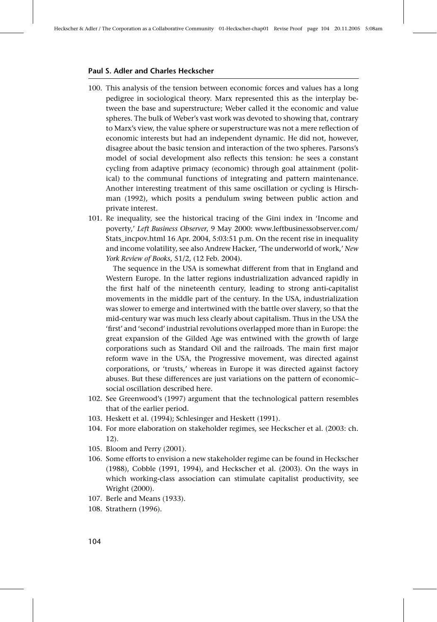- 100. This analysis of the tension between economic forces and values has a long pedigree in sociological theory. Marx represented this as the interplay between the base and superstructure; Weber called it the economic and value spheres. The bulk of Weber's vast work was devoted to showing that, contrary to Marx's view, the value sphere or superstructure was not a mere reflection of economic interests but had an independent dynamic. He did not, however, disagree about the basic tension and interaction of the two spheres. Parsons's model of social development also reflects this tension: he sees a constant cycling from adaptive primacy (economic) through goal attainment (political) to the communal functions of integrating and pattern maintenance. Another interesting treatment of this same oscillation or cycling is Hirschman (1992), which posits a pendulum swing between public action and private interest.
- 101. Re inequality, see the historical tracing of the Gini index in 'Income and poverty,' Left Business Observer, 9 May 2000: www.leftbusinessobserver.com/ Stats incpov.html 16 Apr. 2004, 5:03:51 p.m. On the recent rise in inequality and income volatility, see also Andrew Hacker, 'The underworld of work,' New York Review of Books, 51/2, (12 Feb. 2004).

The sequence in the USA is somewhat different from that in England and Western Europe. In the latter regions industrialization advanced rapidly in the first half of the nineteenth century, leading to strong anti-capitalist movements in the middle part of the century. In the USA, industrialization was slower to emerge and intertwined with the battle over slavery, so that the mid-century war was much less clearly about capitalism. Thus in the USA the 'first' and 'second' industrial revolutions overlapped more than in Europe: the great expansion of the Gilded Age was entwined with the growth of large corporations such as Standard Oil and the railroads. The main first major reform wave in the USA, the Progressive movement, was directed against corporations, or 'trusts,' whereas in Europe it was directed against factory abuses. But these differences are just variations on the pattern of economic– social oscillation described here.

- 102. See Greenwood's (1997) argument that the technological pattern resembles that of the earlier period.
- 103. Heskett et al. (1994); Schlesinger and Heskett (1991).
- 104. For more elaboration on stakeholder regimes, see Heckscher et al. (2003: ch. 12).
- 105. Bloom and Perry (2001).
- 106. Some efforts to envision a new stakeholder regime can be found in Heckscher (1988), Cobble (1991, 1994), and Heckscher et al. (2003). On the ways in which working-class association can stimulate capitalist productivity, see Wright (2000).
- 107. Berle and Means (1933).
- 108. Strathern (1996).